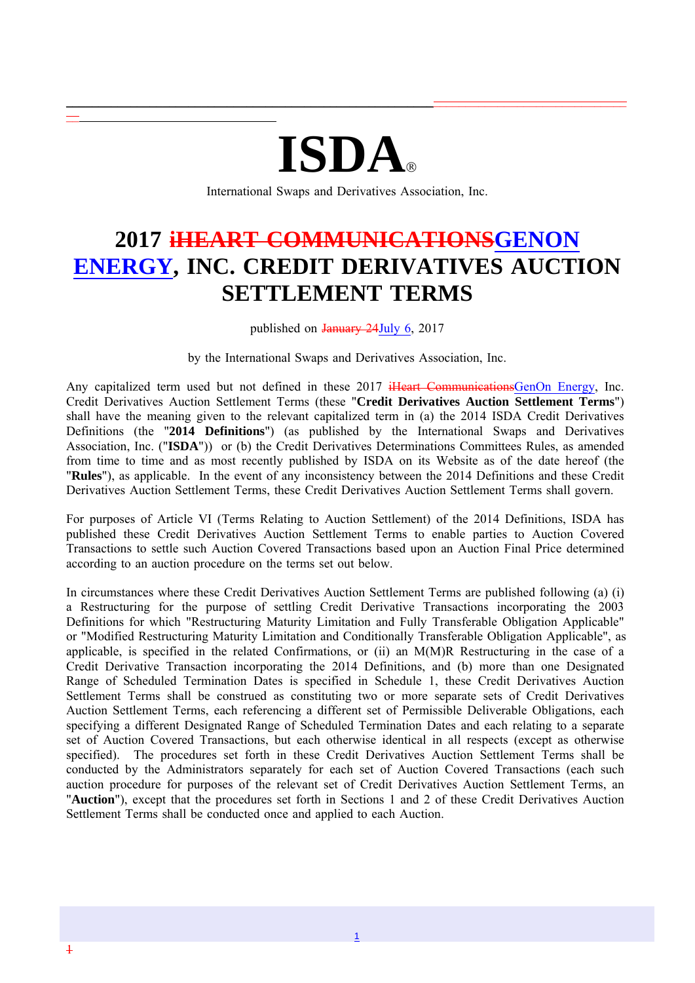# **ISDA**

 $\_$  , and the state of the state of the state of the state of the state of the state of the state of the state of the state of the state of the state of the state of the state of the state of the state of the state of the

International Swaps and Derivatives Association, Inc.

## **2017 iHEART COMMUNICATIONSGENON ENERGY, INC. CREDIT DERIVATIVES AUCTION SETTLEMENT TERMS**

published on January 24July 6, 2017

by the International Swaps and Derivatives Association, Inc.

Any capitalized term used but not defined in these 2017 iHeart CommunicationsGenOn Energy, Inc. Credit Derivatives Auction Settlement Terms (these "**Credit Derivatives Auction Settlement Terms**") shall have the meaning given to the relevant capitalized term in (a) the 2014 ISDA Credit Derivatives Definitions (the "**2014 Definitions**") (as published by the International Swaps and Derivatives Association, Inc. ("**ISDA**")) or (b) the Credit Derivatives Determinations Committees Rules, as amended from time to time and as most recently published by ISDA on its Website as of the date hereof (the "**Rules**"), as applicable. In the event of any inconsistency between the 2014 Definitions and these Credit Derivatives Auction Settlement Terms, these Credit Derivatives Auction Settlement Terms shall govern.

For purposes of Article VI (Terms Relating to Auction Settlement) of the 2014 Definitions, ISDA has published these Credit Derivatives Auction Settlement Terms to enable parties to Auction Covered Transactions to settle such Auction Covered Transactions based upon an Auction Final Price determined according to an auction procedure on the terms set out below.

In circumstances where these Credit Derivatives Auction Settlement Terms are published following (a) (i) a Restructuring for the purpose of settling Credit Derivative Transactions incorporating the 2003 Definitions for which "Restructuring Maturity Limitation and Fully Transferable Obligation Applicable" or "Modified Restructuring Maturity Limitation and Conditionally Transferable Obligation Applicable", as applicable, is specified in the related Confirmations, or (ii) an M(M)R Restructuring in the case of a Credit Derivative Transaction incorporating the 2014 Definitions, and (b) more than one Designated Range of Scheduled Termination Dates is specified in Schedule 1, these Credit Derivatives Auction Settlement Terms shall be construed as constituting two or more separate sets of Credit Derivatives Auction Settlement Terms, each referencing a different set of Permissible Deliverable Obligations, each specifying a different Designated Range of Scheduled Termination Dates and each relating to a separate set of Auction Covered Transactions, but each otherwise identical in all respects (except as otherwise specified). The procedures set forth in these Credit Derivatives Auction Settlement Terms shall be conducted by the Administrators separately for each set of Auction Covered Transactions (each such auction procedure for purposes of the relevant set of Credit Derivatives Auction Settlement Terms, an "**Auction**"), except that the procedures set forth in Sections 1 and 2 of these Credit Derivatives Auction Settlement Terms shall be conducted once and applied to each Auction.

 $-$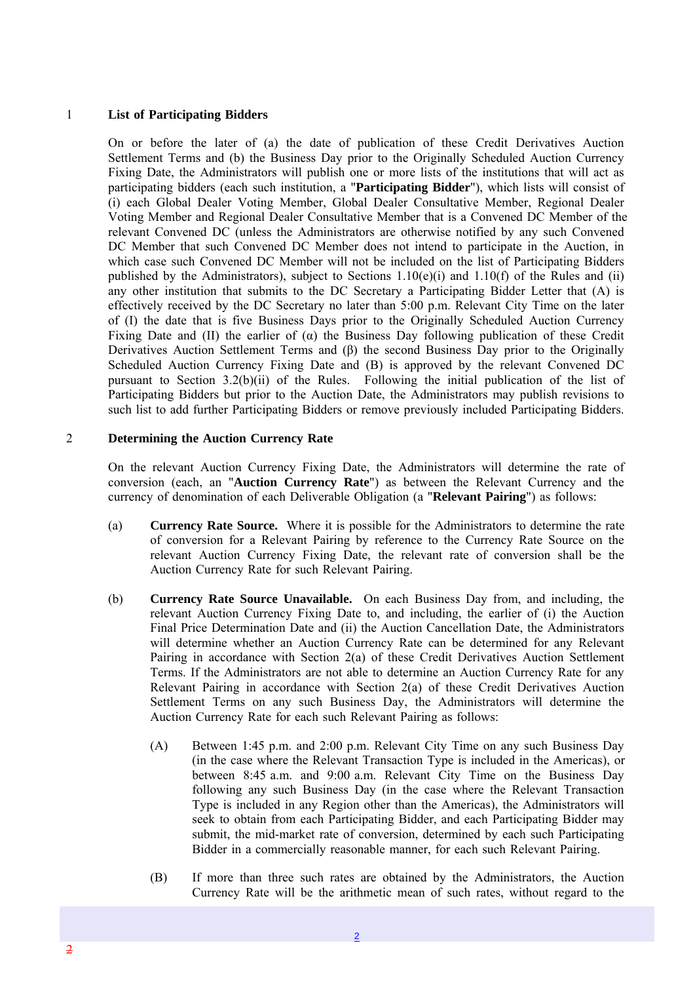#### 1 **List of Participating Bidders**

On or before the later of (a) the date of publication of these Credit Derivatives Auction Settlement Terms and (b) the Business Day prior to the Originally Scheduled Auction Currency Fixing Date, the Administrators will publish one or more lists of the institutions that will act as participating bidders (each such institution, a "**Participating Bidder**"), which lists will consist of (i) each Global Dealer Voting Member, Global Dealer Consultative Member, Regional Dealer Voting Member and Regional Dealer Consultative Member that is a Convened DC Member of the relevant Convened DC (unless the Administrators are otherwise notified by any such Convened DC Member that such Convened DC Member does not intend to participate in the Auction, in which case such Convened DC Member will not be included on the list of Participating Bidders published by the Administrators), subject to Sections  $1.10(e)(i)$  and  $1.10(f)$  of the Rules and (ii) any other institution that submits to the DC Secretary a Participating Bidder Letter that (A) is effectively received by the DC Secretary no later than 5:00 p.m. Relevant City Time on the later of (I) the date that is five Business Days prior to the Originally Scheduled Auction Currency Fixing Date and (II) the earlier of  $(\alpha)$  the Business Day following publication of these Credit Derivatives Auction Settlement Terms and (β) the second Business Day prior to the Originally Scheduled Auction Currency Fixing Date and (B) is approved by the relevant Convened DC pursuant to Section 3.2(b)(ii) of the Rules. Following the initial publication of the list of Participating Bidders but prior to the Auction Date, the Administrators may publish revisions to such list to add further Participating Bidders or remove previously included Participating Bidders.

#### 2 **Determining the Auction Currency Rate**

On the relevant Auction Currency Fixing Date, the Administrators will determine the rate of conversion (each, an "**Auction Currency Rate**") as between the Relevant Currency and the currency of denomination of each Deliverable Obligation (a "**Relevant Pairing**") as follows:

- (a) **Currency Rate Source.** Where it is possible for the Administrators to determine the rate of conversion for a Relevant Pairing by reference to the Currency Rate Source on the relevant Auction Currency Fixing Date, the relevant rate of conversion shall be the Auction Currency Rate for such Relevant Pairing.
- (b) **Currency Rate Source Unavailable.** On each Business Day from, and including, the relevant Auction Currency Fixing Date to, and including, the earlier of (i) the Auction Final Price Determination Date and (ii) the Auction Cancellation Date, the Administrators will determine whether an Auction Currency Rate can be determined for any Relevant Pairing in accordance with Section 2(a) of these Credit Derivatives Auction Settlement Terms. If the Administrators are not able to determine an Auction Currency Rate for any Relevant Pairing in accordance with Section 2(a) of these Credit Derivatives Auction Settlement Terms on any such Business Day, the Administrators will determine the Auction Currency Rate for each such Relevant Pairing as follows:
	- (A) Between 1:45 p.m. and 2:00 p.m. Relevant City Time on any such Business Day (in the case where the Relevant Transaction Type is included in the Americas), or between 8:45 a.m. and 9:00 a.m. Relevant City Time on the Business Day following any such Business Day (in the case where the Relevant Transaction Type is included in any Region other than the Americas), the Administrators will seek to obtain from each Participating Bidder, and each Participating Bidder may submit, the mid-market rate of conversion, determined by each such Participating Bidder in a commercially reasonable manner, for each such Relevant Pairing.
	- (B) If more than three such rates are obtained by the Administrators, the Auction Currency Rate will be the arithmetic mean of such rates, without regard to the

2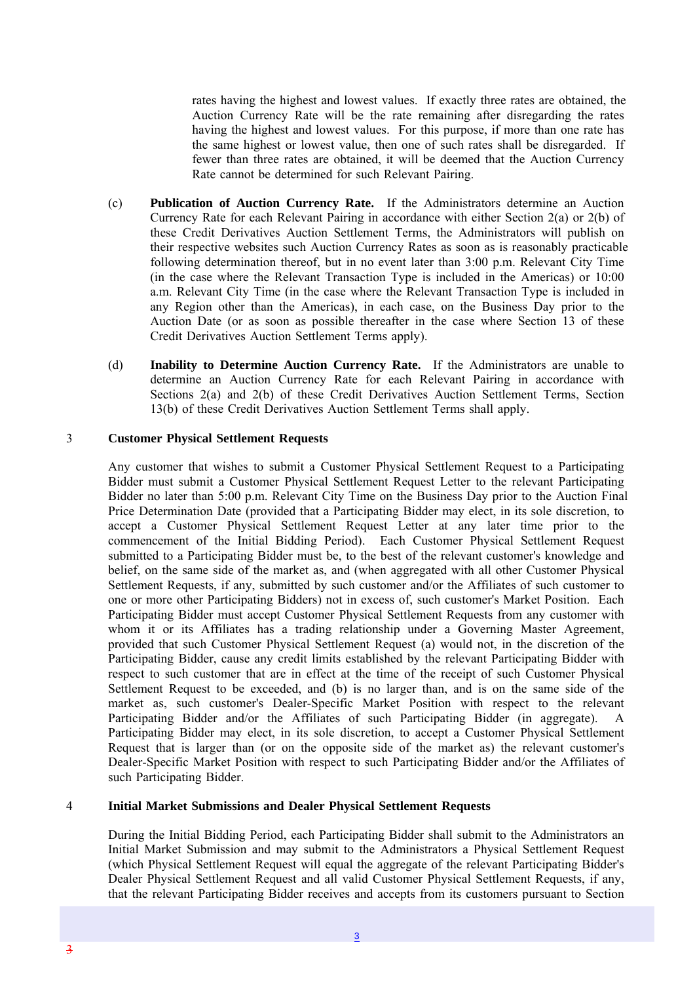rates having the highest and lowest values. If exactly three rates are obtained, the Auction Currency Rate will be the rate remaining after disregarding the rates having the highest and lowest values. For this purpose, if more than one rate has the same highest or lowest value, then one of such rates shall be disregarded. If fewer than three rates are obtained, it will be deemed that the Auction Currency Rate cannot be determined for such Relevant Pairing.

- (c) **Publication of Auction Currency Rate.** If the Administrators determine an Auction Currency Rate for each Relevant Pairing in accordance with either Section 2(a) or 2(b) of these Credit Derivatives Auction Settlement Terms, the Administrators will publish on their respective websites such Auction Currency Rates as soon as is reasonably practicable following determination thereof, but in no event later than 3:00 p.m. Relevant City Time (in the case where the Relevant Transaction Type is included in the Americas) or 10:00 a.m. Relevant City Time (in the case where the Relevant Transaction Type is included in any Region other than the Americas), in each case, on the Business Day prior to the Auction Date (or as soon as possible thereafter in the case where Section 13 of these Credit Derivatives Auction Settlement Terms apply).
- (d) **Inability to Determine Auction Currency Rate.** If the Administrators are unable to determine an Auction Currency Rate for each Relevant Pairing in accordance with Sections 2(a) and 2(b) of these Credit Derivatives Auction Settlement Terms, Section 13(b) of these Credit Derivatives Auction Settlement Terms shall apply.

#### 3 **Customer Physical Settlement Requests**

Any customer that wishes to submit a Customer Physical Settlement Request to a Participating Bidder must submit a Customer Physical Settlement Request Letter to the relevant Participating Bidder no later than 5:00 p.m. Relevant City Time on the Business Day prior to the Auction Final Price Determination Date (provided that a Participating Bidder may elect, in its sole discretion, to accept a Customer Physical Settlement Request Letter at any later time prior to the commencement of the Initial Bidding Period). Each Customer Physical Settlement Request submitted to a Participating Bidder must be, to the best of the relevant customer's knowledge and belief, on the same side of the market as, and (when aggregated with all other Customer Physical Settlement Requests, if any, submitted by such customer and/or the Affiliates of such customer to one or more other Participating Bidders) not in excess of, such customer's Market Position. Each Participating Bidder must accept Customer Physical Settlement Requests from any customer with whom it or its Affiliates has a trading relationship under a Governing Master Agreement, provided that such Customer Physical Settlement Request (a) would not, in the discretion of the Participating Bidder, cause any credit limits established by the relevant Participating Bidder with respect to such customer that are in effect at the time of the receipt of such Customer Physical Settlement Request to be exceeded, and (b) is no larger than, and is on the same side of the market as, such customer's Dealer-Specific Market Position with respect to the relevant Participating Bidder and/or the Affiliates of such Participating Bidder (in aggregate). A Participating Bidder may elect, in its sole discretion, to accept a Customer Physical Settlement Request that is larger than (or on the opposite side of the market as) the relevant customer's Dealer-Specific Market Position with respect to such Participating Bidder and/or the Affiliates of such Participating Bidder.

#### 4 **Initial Market Submissions and Dealer Physical Settlement Requests**

During the Initial Bidding Period, each Participating Bidder shall submit to the Administrators an Initial Market Submission and may submit to the Administrators a Physical Settlement Request (which Physical Settlement Request will equal the aggregate of the relevant Participating Bidder's Dealer Physical Settlement Request and all valid Customer Physical Settlement Requests, if any, that the relevant Participating Bidder receives and accepts from its customers pursuant to Section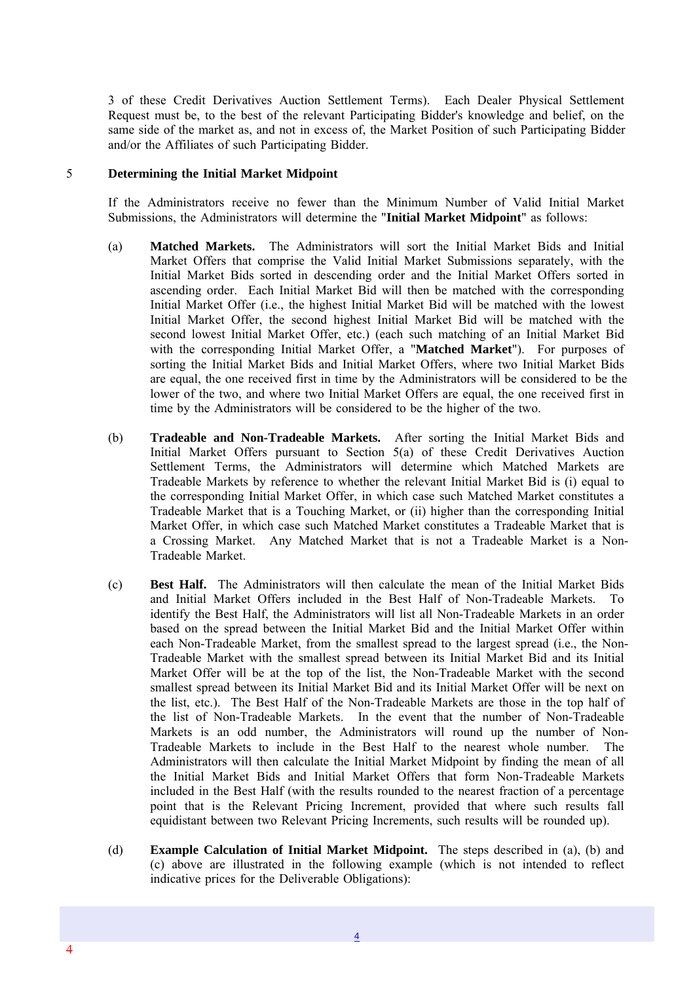3 of these Credit Derivatives Auction Settlement Terms). Each Dealer Physical Settlement Request must be, to the best of the relevant Participating Bidder's knowledge and belief, on the same side of the market as, and not in excess of, the Market Position of such Participating Bidder and/or the Affiliates of such Participating Bidder.

#### 5 **Determining the Initial Market Midpoint**

4

If the Administrators receive no fewer than the Minimum Number of Valid Initial Market Submissions, the Administrators will determine the "**Initial Market Midpoint**" as follows:

- (a) **Matched Markets.** The Administrators will sort the Initial Market Bids and Initial Market Offers that comprise the Valid Initial Market Submissions separately, with the Initial Market Bids sorted in descending order and the Initial Market Offers sorted in ascending order. Each Initial Market Bid will then be matched with the corresponding Initial Market Offer (i.e., the highest Initial Market Bid will be matched with the lowest Initial Market Offer, the second highest Initial Market Bid will be matched with the second lowest Initial Market Offer, etc.) (each such matching of an Initial Market Bid with the corresponding Initial Market Offer, a "**Matched Market**"). For purposes of sorting the Initial Market Bids and Initial Market Offers, where two Initial Market Bids are equal, the one received first in time by the Administrators will be considered to be the lower of the two, and where two Initial Market Offers are equal, the one received first in time by the Administrators will be considered to be the higher of the two.
- (b) **Tradeable and Non-Tradeable Markets.** After sorting the Initial Market Bids and Initial Market Offers pursuant to Section 5(a) of these Credit Derivatives Auction Settlement Terms, the Administrators will determine which Matched Markets are Tradeable Markets by reference to whether the relevant Initial Market Bid is (i) equal to the corresponding Initial Market Offer, in which case such Matched Market constitutes a Tradeable Market that is a Touching Market, or (ii) higher than the corresponding Initial Market Offer, in which case such Matched Market constitutes a Tradeable Market that is a Crossing Market. Any Matched Market that is not a Tradeable Market is a Non-Tradeable Market.
- (c) **Best Half.** The Administrators will then calculate the mean of the Initial Market Bids and Initial Market Offers included in the Best Half of Non-Tradeable Markets. To identify the Best Half, the Administrators will list all Non-Tradeable Markets in an order based on the spread between the Initial Market Bid and the Initial Market Offer within each Non-Tradeable Market, from the smallest spread to the largest spread (i.e., the Non-Tradeable Market with the smallest spread between its Initial Market Bid and its Initial Market Offer will be at the top of the list, the Non-Tradeable Market with the second smallest spread between its Initial Market Bid and its Initial Market Offer will be next on the list, etc.). The Best Half of the Non-Tradeable Markets are those in the top half of the list of Non-Tradeable Markets. In the event that the number of Non-Tradeable Markets is an odd number, the Administrators will round up the number of Non-Tradeable Markets to include in the Best Half to the nearest whole number. The Administrators will then calculate the Initial Market Midpoint by finding the mean of all the Initial Market Bids and Initial Market Offers that form Non-Tradeable Markets included in the Best Half (with the results rounded to the nearest fraction of a percentage point that is the Relevant Pricing Increment, provided that where such results fall equidistant between two Relevant Pricing Increments, such results will be rounded up).
- (d) **Example Calculation of Initial Market Midpoint.** The steps described in (a), (b) and (c) above are illustrated in the following example (which is not intended to reflect indicative prices for the Deliverable Obligations):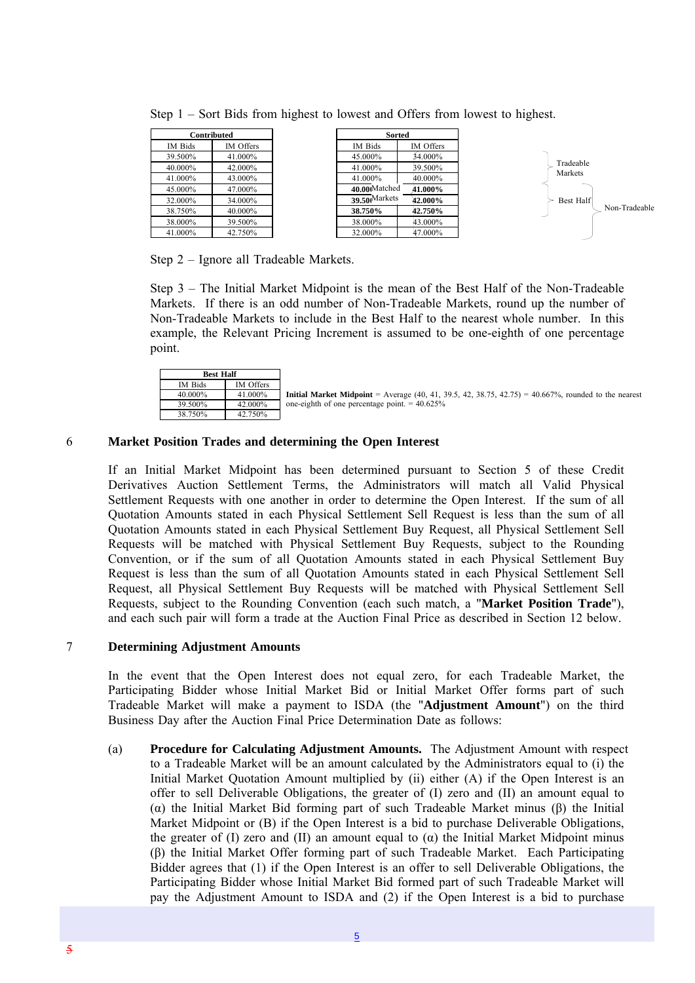|         | Contributed |
|---------|-------------|
| IM Bids | IM Offers   |
| 39.500% | 41.000%     |
| 40.000% | 42.000%     |
| 41.000% | 43.000%     |
| 45.000% | 47.000%     |
| 32.000% | 34.000%     |
| 38.750% | 40.000%     |
| 38.000% | 39.500%     |
| 41.000% | 42.750%     |

Step 1 – Sort Bids from highest to lowest and Offers from lowest to highest.

Step 2 – Ignore all Tradeable Markets.

Step 3 – The Initial Market Midpoint is the mean of the Best Half of the Non-Tradeable Markets. If there is an odd number of Non-Tradeable Markets, round up the number of Non-Tradeable Markets to include in the Best Half to the nearest whole number. In this example, the Relevant Pricing Increment is assumed to be one-eighth of one percentage point.

| <b>Best Half</b> |           |                                                                                                             |
|------------------|-----------|-------------------------------------------------------------------------------------------------------------|
| IM Bids          | IM Offers |                                                                                                             |
| 40.000%          | 41.000%   | <b>Initial Market Midpoint</b> = Average (40, 41, 39.5, 42, 38.75, 42.75) = 40.667%, rounded to the nearest |
| 39.500%          | 42.000%   | one-eighth of one percentage point. $= 40.625\%$                                                            |
| 38.750%          | 42.750%   |                                                                                                             |

#### 6 **Market Position Trades and determining the Open Interest**

If an Initial Market Midpoint has been determined pursuant to Section 5 of these Credit Derivatives Auction Settlement Terms, the Administrators will match all Valid Physical Settlement Requests with one another in order to determine the Open Interest. If the sum of all Quotation Amounts stated in each Physical Settlement Sell Request is less than the sum of all Quotation Amounts stated in each Physical Settlement Buy Request, all Physical Settlement Sell Requests will be matched with Physical Settlement Buy Requests, subject to the Rounding Convention, or if the sum of all Quotation Amounts stated in each Physical Settlement Buy Request is less than the sum of all Quotation Amounts stated in each Physical Settlement Sell Request, all Physical Settlement Buy Requests will be matched with Physical Settlement Sell Requests, subject to the Rounding Convention (each such match, a "**Market Position Trade**"), and each such pair will form a trade at the Auction Final Price as described in Section 12 below.

#### 7 **Determining Adjustment Amounts**

In the event that the Open Interest does not equal zero, for each Tradeable Market, the Participating Bidder whose Initial Market Bid or Initial Market Offer forms part of such Tradeable Market will make a payment to ISDA (the "**Adjustment Amount**") on the third Business Day after the Auction Final Price Determination Date as follows:

(a) **Procedure for Calculating Adjustment Amounts.** The Adjustment Amount with respect to a Tradeable Market will be an amount calculated by the Administrators equal to (i) the Initial Market Quotation Amount multiplied by (ii) either (A) if the Open Interest is an offer to sell Deliverable Obligations, the greater of (I) zero and (II) an amount equal to (α) the Initial Market Bid forming part of such Tradeable Market minus (β) the Initial Market Midpoint or (B) if the Open Interest is a bid to purchase Deliverable Obligations, the greater of (I) zero and (II) an amount equal to ( $\alpha$ ) the Initial Market Midpoint minus (β) the Initial Market Offer forming part of such Tradeable Market. Each Participating Bidder agrees that (1) if the Open Interest is an offer to sell Deliverable Obligations, the Participating Bidder whose Initial Market Bid formed part of such Tradeable Market will pay the Adjustment Amount to ISDA and (2) if the Open Interest is a bid to purchase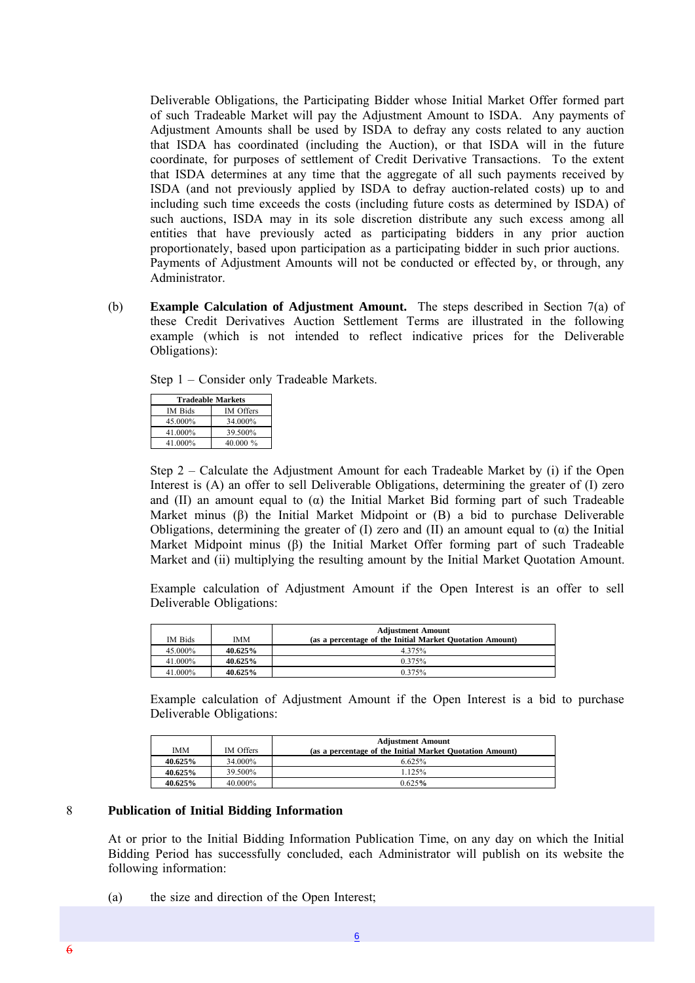Deliverable Obligations, the Participating Bidder whose Initial Market Offer formed part of such Tradeable Market will pay the Adjustment Amount to ISDA. Any payments of Adjustment Amounts shall be used by ISDA to defray any costs related to any auction that ISDA has coordinated (including the Auction), or that ISDA will in the future coordinate, for purposes of settlement of Credit Derivative Transactions. To the extent that ISDA determines at any time that the aggregate of all such payments received by ISDA (and not previously applied by ISDA to defray auction-related costs) up to and including such time exceeds the costs (including future costs as determined by ISDA) of such auctions, ISDA may in its sole discretion distribute any such excess among all entities that have previously acted as participating bidders in any prior auction proportionately, based upon participation as a participating bidder in such prior auctions. Payments of Adjustment Amounts will not be conducted or effected by, or through, any Administrator.

(b) **Example Calculation of Adjustment Amount.** The steps described in Section 7(a) of these Credit Derivatives Auction Settlement Terms are illustrated in the following example (which is not intended to reflect indicative prices for the Deliverable Obligations):

Step 1 – Consider only Tradeable Markets.

| <b>Tradeable Markets</b> |                  |  |  |
|--------------------------|------------------|--|--|
| IM Bids                  | <b>IM</b> Offers |  |  |
| 45.000%                  | 34.000%          |  |  |
| 41.000%                  | 39.500%          |  |  |
| 40.000 $\%$<br>41.000%   |                  |  |  |

Step 2 – Calculate the Adjustment Amount for each Tradeable Market by (i) if the Open Interest is (A) an offer to sell Deliverable Obligations, determining the greater of (I) zero and (II) an amount equal to  $(\alpha)$  the Initial Market Bid forming part of such Tradeable Market minus (β) the Initial Market Midpoint or (B) a bid to purchase Deliverable Obligations, determining the greater of (I) zero and (II) an amount equal to  $(\alpha)$  the Initial Market Midpoint minus (β) the Initial Market Offer forming part of such Tradeable Market and (ii) multiplying the resulting amount by the Initial Market Quotation Amount.

Example calculation of Adjustment Amount if the Open Interest is an offer to sell Deliverable Obligations:

|         |            | <b>Adjustment Amount</b>                                 |  |
|---------|------------|----------------------------------------------------------|--|
| IM Bids | <b>IMM</b> | (as a percentage of the Initial Market Quotation Amount) |  |
| 45.000% | 40.625%    | 4.375%                                                   |  |
| 41.000% | $40.625\%$ | 0.375%                                                   |  |
| 41.000% | 40.625%    | 0.375%                                                   |  |

Example calculation of Adjustment Amount if the Open Interest is a bid to purchase Deliverable Obligations:

|            |           | <b>Adjustment Amount</b>                                 |  |
|------------|-----------|----------------------------------------------------------|--|
| <b>IMM</b> | IM Offers | (as a percentage of the Initial Market Quotation Amount) |  |
| 40.625%    | 34.000%   | 6.625%                                                   |  |
| 40.625%    | 39.500%   | 1.125%                                                   |  |
| 40.625%    | 40.000%   | 0.625%                                                   |  |

#### 8 **Publication of Initial Bidding Information**

At or prior to the Initial Bidding Information Publication Time, on any day on which the Initial Bidding Period has successfully concluded, each Administrator will publish on its website the following information:

(a) the size and direction of the Open Interest;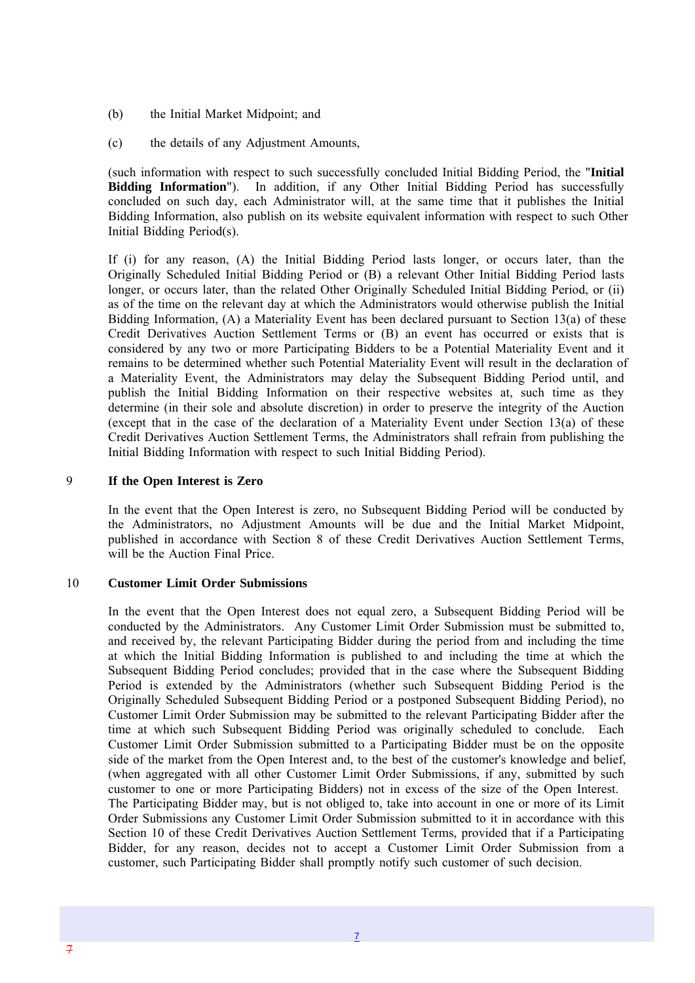- (b) the Initial Market Midpoint; and
- (c) the details of any Adjustment Amounts,

(such information with respect to such successfully concluded Initial Bidding Period, the "**Initial Bidding Information**"). In addition, if any Other Initial Bidding Period has successfully concluded on such day, each Administrator will, at the same time that it publishes the Initial Bidding Information, also publish on its website equivalent information with respect to such Other Initial Bidding Period(s).

If (i) for any reason, (A) the Initial Bidding Period lasts longer, or occurs later, than the Originally Scheduled Initial Bidding Period or (B) a relevant Other Initial Bidding Period lasts longer, or occurs later, than the related Other Originally Scheduled Initial Bidding Period, or (ii) as of the time on the relevant day at which the Administrators would otherwise publish the Initial Bidding Information, (A) a Materiality Event has been declared pursuant to Section 13(a) of these Credit Derivatives Auction Settlement Terms or (B) an event has occurred or exists that is considered by any two or more Participating Bidders to be a Potential Materiality Event and it remains to be determined whether such Potential Materiality Event will result in the declaration of a Materiality Event, the Administrators may delay the Subsequent Bidding Period until, and publish the Initial Bidding Information on their respective websites at, such time as they determine (in their sole and absolute discretion) in order to preserve the integrity of the Auction (except that in the case of the declaration of a Materiality Event under Section 13(a) of these Credit Derivatives Auction Settlement Terms, the Administrators shall refrain from publishing the Initial Bidding Information with respect to such Initial Bidding Period).

#### 9 **If the Open Interest is Zero**

In the event that the Open Interest is zero, no Subsequent Bidding Period will be conducted by the Administrators, no Adjustment Amounts will be due and the Initial Market Midpoint, published in accordance with Section 8 of these Credit Derivatives Auction Settlement Terms, will be the Auction Final Price.

#### 10 **Customer Limit Order Submissions**

In the event that the Open Interest does not equal zero, a Subsequent Bidding Period will be conducted by the Administrators. Any Customer Limit Order Submission must be submitted to, and received by, the relevant Participating Bidder during the period from and including the time at which the Initial Bidding Information is published to and including the time at which the Subsequent Bidding Period concludes; provided that in the case where the Subsequent Bidding Period is extended by the Administrators (whether such Subsequent Bidding Period is the Originally Scheduled Subsequent Bidding Period or a postponed Subsequent Bidding Period), no Customer Limit Order Submission may be submitted to the relevant Participating Bidder after the time at which such Subsequent Bidding Period was originally scheduled to conclude. Each Customer Limit Order Submission submitted to a Participating Bidder must be on the opposite side of the market from the Open Interest and, to the best of the customer's knowledge and belief, (when aggregated with all other Customer Limit Order Submissions, if any, submitted by such customer to one or more Participating Bidders) not in excess of the size of the Open Interest. The Participating Bidder may, but is not obliged to, take into account in one or more of its Limit Order Submissions any Customer Limit Order Submission submitted to it in accordance with this Section 10 of these Credit Derivatives Auction Settlement Terms, provided that if a Participating Bidder, for any reason, decides not to accept a Customer Limit Order Submission from a customer, such Participating Bidder shall promptly notify such customer of such decision.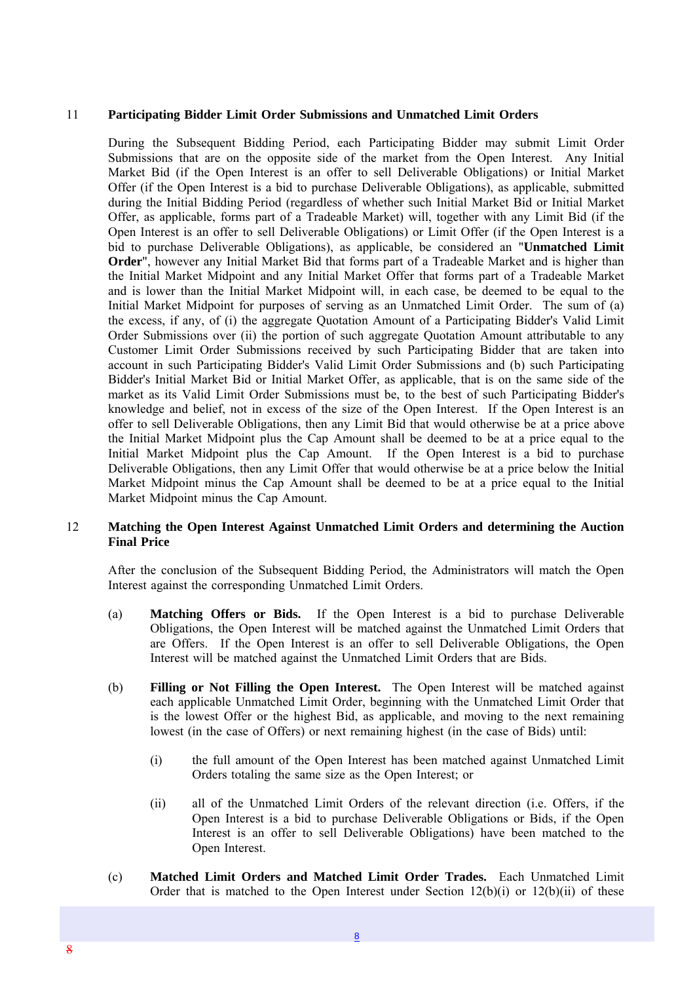#### 11 **Participating Bidder Limit Order Submissions and Unmatched Limit Orders**

During the Subsequent Bidding Period, each Participating Bidder may submit Limit Order Submissions that are on the opposite side of the market from the Open Interest. Any Initial Market Bid (if the Open Interest is an offer to sell Deliverable Obligations) or Initial Market Offer (if the Open Interest is a bid to purchase Deliverable Obligations), as applicable, submitted during the Initial Bidding Period (regardless of whether such Initial Market Bid or Initial Market Offer, as applicable, forms part of a Tradeable Market) will, together with any Limit Bid (if the Open Interest is an offer to sell Deliverable Obligations) or Limit Offer (if the Open Interest is a bid to purchase Deliverable Obligations), as applicable, be considered an "**Unmatched Limit Order**", however any Initial Market Bid that forms part of a Tradeable Market and is higher than the Initial Market Midpoint and any Initial Market Offer that forms part of a Tradeable Market and is lower than the Initial Market Midpoint will, in each case, be deemed to be equal to the Initial Market Midpoint for purposes of serving as an Unmatched Limit Order. The sum of (a) the excess, if any, of (i) the aggregate Quotation Amount of a Participating Bidder's Valid Limit Order Submissions over (ii) the portion of such aggregate Quotation Amount attributable to any Customer Limit Order Submissions received by such Participating Bidder that are taken into account in such Participating Bidder's Valid Limit Order Submissions and (b) such Participating Bidder's Initial Market Bid or Initial Market Offer, as applicable, that is on the same side of the market as its Valid Limit Order Submissions must be, to the best of such Participating Bidder's knowledge and belief, not in excess of the size of the Open Interest. If the Open Interest is an offer to sell Deliverable Obligations, then any Limit Bid that would otherwise be at a price above the Initial Market Midpoint plus the Cap Amount shall be deemed to be at a price equal to the Initial Market Midpoint plus the Cap Amount. If the Open Interest is a bid to purchase Deliverable Obligations, then any Limit Offer that would otherwise be at a price below the Initial Market Midpoint minus the Cap Amount shall be deemed to be at a price equal to the Initial Market Midpoint minus the Cap Amount.

#### 12 **Matching the Open Interest Against Unmatched Limit Orders and determining the Auction Final Price**

After the conclusion of the Subsequent Bidding Period, the Administrators will match the Open Interest against the corresponding Unmatched Limit Orders.

- (a) **Matching Offers or Bids.** If the Open Interest is a bid to purchase Deliverable Obligations, the Open Interest will be matched against the Unmatched Limit Orders that are Offers. If the Open Interest is an offer to sell Deliverable Obligations, the Open Interest will be matched against the Unmatched Limit Orders that are Bids.
- (b) **Filling or Not Filling the Open Interest.** The Open Interest will be matched against each applicable Unmatched Limit Order, beginning with the Unmatched Limit Order that is the lowest Offer or the highest Bid, as applicable, and moving to the next remaining lowest (in the case of Offers) or next remaining highest (in the case of Bids) until:
	- (i) the full amount of the Open Interest has been matched against Unmatched Limit Orders totaling the same size as the Open Interest; or
	- (ii) all of the Unmatched Limit Orders of the relevant direction (i.e. Offers, if the Open Interest is a bid to purchase Deliverable Obligations or Bids, if the Open Interest is an offer to sell Deliverable Obligations) have been matched to the Open Interest.
- (c) **Matched Limit Orders and Matched Limit Order Trades.** Each Unmatched Limit Order that is matched to the Open Interest under Section  $12(b)(i)$  or  $12(b)(ii)$  of these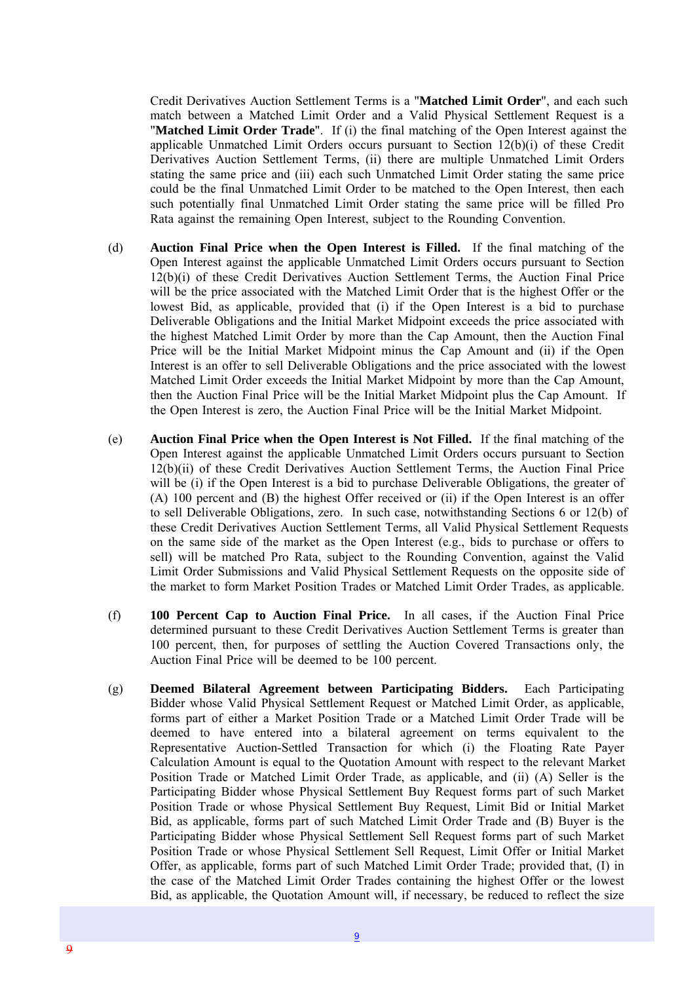Credit Derivatives Auction Settlement Terms is a "**Matched Limit Order**", and each such match between a Matched Limit Order and a Valid Physical Settlement Request is a "**Matched Limit Order Trade**". If (i) the final matching of the Open Interest against the applicable Unmatched Limit Orders occurs pursuant to Section 12(b)(i) of these Credit Derivatives Auction Settlement Terms, (ii) there are multiple Unmatched Limit Orders stating the same price and (iii) each such Unmatched Limit Order stating the same price could be the final Unmatched Limit Order to be matched to the Open Interest, then each such potentially final Unmatched Limit Order stating the same price will be filled Pro Rata against the remaining Open Interest, subject to the Rounding Convention.

- (d) **Auction Final Price when the Open Interest is Filled.** If the final matching of the Open Interest against the applicable Unmatched Limit Orders occurs pursuant to Section 12(b)(i) of these Credit Derivatives Auction Settlement Terms, the Auction Final Price will be the price associated with the Matched Limit Order that is the highest Offer or the lowest Bid, as applicable, provided that (i) if the Open Interest is a bid to purchase Deliverable Obligations and the Initial Market Midpoint exceeds the price associated with the highest Matched Limit Order by more than the Cap Amount, then the Auction Final Price will be the Initial Market Midpoint minus the Cap Amount and (ii) if the Open Interest is an offer to sell Deliverable Obligations and the price associated with the lowest Matched Limit Order exceeds the Initial Market Midpoint by more than the Cap Amount, then the Auction Final Price will be the Initial Market Midpoint plus the Cap Amount. If the Open Interest is zero, the Auction Final Price will be the Initial Market Midpoint.
- (e) **Auction Final Price when the Open Interest is Not Filled.** If the final matching of the Open Interest against the applicable Unmatched Limit Orders occurs pursuant to Section 12(b)(ii) of these Credit Derivatives Auction Settlement Terms, the Auction Final Price will be (i) if the Open Interest is a bid to purchase Deliverable Obligations, the greater of (A) 100 percent and (B) the highest Offer received or (ii) if the Open Interest is an offer to sell Deliverable Obligations, zero. In such case, notwithstanding Sections 6 or 12(b) of these Credit Derivatives Auction Settlement Terms, all Valid Physical Settlement Requests on the same side of the market as the Open Interest (e.g., bids to purchase or offers to sell) will be matched Pro Rata, subject to the Rounding Convention, against the Valid Limit Order Submissions and Valid Physical Settlement Requests on the opposite side of the market to form Market Position Trades or Matched Limit Order Trades, as applicable.
- (f) **100 Percent Cap to Auction Final Price.** In all cases, if the Auction Final Price determined pursuant to these Credit Derivatives Auction Settlement Terms is greater than 100 percent, then, for purposes of settling the Auction Covered Transactions only, the Auction Final Price will be deemed to be 100 percent.
- (g) **Deemed Bilateral Agreement between Participating Bidders.** Each Participating Bidder whose Valid Physical Settlement Request or Matched Limit Order, as applicable, forms part of either a Market Position Trade or a Matched Limit Order Trade will be deemed to have entered into a bilateral agreement on terms equivalent to the Representative Auction-Settled Transaction for which (i) the Floating Rate Payer Calculation Amount is equal to the Quotation Amount with respect to the relevant Market Position Trade or Matched Limit Order Trade, as applicable, and (ii) (A) Seller is the Participating Bidder whose Physical Settlement Buy Request forms part of such Market Position Trade or whose Physical Settlement Buy Request, Limit Bid or Initial Market Bid, as applicable, forms part of such Matched Limit Order Trade and (B) Buyer is the Participating Bidder whose Physical Settlement Sell Request forms part of such Market Position Trade or whose Physical Settlement Sell Request, Limit Offer or Initial Market Offer, as applicable, forms part of such Matched Limit Order Trade; provided that, (I) in the case of the Matched Limit Order Trades containing the highest Offer or the lowest Bid, as applicable, the Quotation Amount will, if necessary, be reduced to reflect the size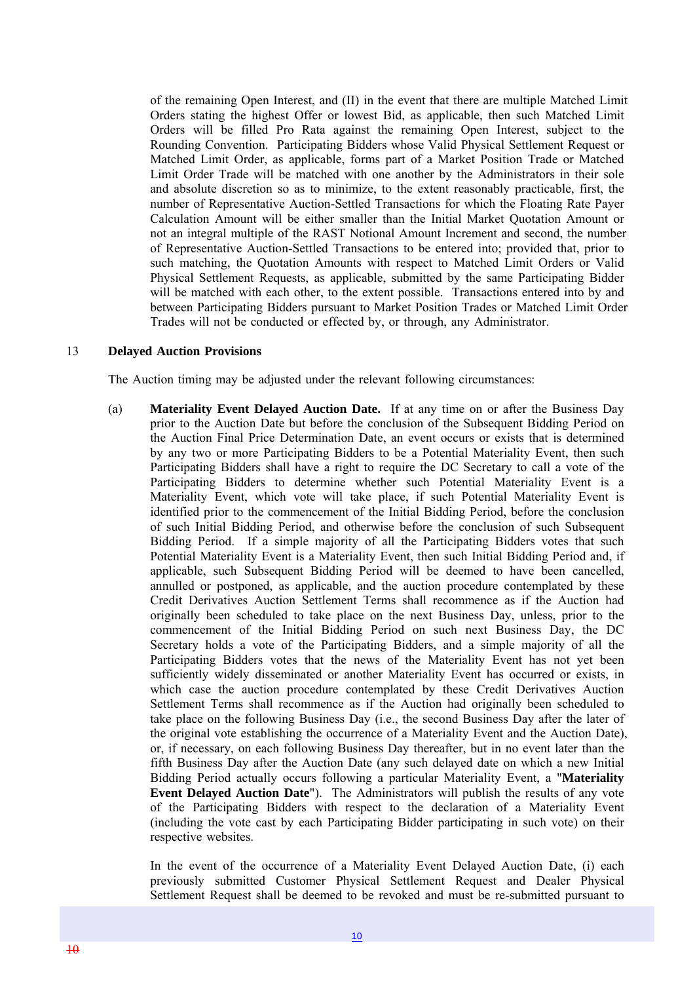of the remaining Open Interest, and (II) in the event that there are multiple Matched Limit Orders stating the highest Offer or lowest Bid, as applicable, then such Matched Limit Orders will be filled Pro Rata against the remaining Open Interest, subject to the Rounding Convention. Participating Bidders whose Valid Physical Settlement Request or Matched Limit Order, as applicable, forms part of a Market Position Trade or Matched Limit Order Trade will be matched with one another by the Administrators in their sole and absolute discretion so as to minimize, to the extent reasonably practicable, first, the number of Representative Auction-Settled Transactions for which the Floating Rate Payer Calculation Amount will be either smaller than the Initial Market Quotation Amount or not an integral multiple of the RAST Notional Amount Increment and second, the number of Representative Auction-Settled Transactions to be entered into; provided that, prior to such matching, the Quotation Amounts with respect to Matched Limit Orders or Valid Physical Settlement Requests, as applicable, submitted by the same Participating Bidder will be matched with each other, to the extent possible. Transactions entered into by and between Participating Bidders pursuant to Market Position Trades or Matched Limit Order Trades will not be conducted or effected by, or through, any Administrator.

#### 13 **Delayed Auction Provisions**

The Auction timing may be adjusted under the relevant following circumstances:

(a) **Materiality Event Delayed Auction Date.** If at any time on or after the Business Day prior to the Auction Date but before the conclusion of the Subsequent Bidding Period on the Auction Final Price Determination Date, an event occurs or exists that is determined by any two or more Participating Bidders to be a Potential Materiality Event, then such Participating Bidders shall have a right to require the DC Secretary to call a vote of the Participating Bidders to determine whether such Potential Materiality Event is a Materiality Event, which vote will take place, if such Potential Materiality Event is identified prior to the commencement of the Initial Bidding Period, before the conclusion of such Initial Bidding Period, and otherwise before the conclusion of such Subsequent Bidding Period. If a simple majority of all the Participating Bidders votes that such Potential Materiality Event is a Materiality Event, then such Initial Bidding Period and, if applicable, such Subsequent Bidding Period will be deemed to have been cancelled, annulled or postponed, as applicable, and the auction procedure contemplated by these Credit Derivatives Auction Settlement Terms shall recommence as if the Auction had originally been scheduled to take place on the next Business Day, unless, prior to the commencement of the Initial Bidding Period on such next Business Day, the DC Secretary holds a vote of the Participating Bidders, and a simple majority of all the Participating Bidders votes that the news of the Materiality Event has not yet been sufficiently widely disseminated or another Materiality Event has occurred or exists, in which case the auction procedure contemplated by these Credit Derivatives Auction Settlement Terms shall recommence as if the Auction had originally been scheduled to take place on the following Business Day (i.e., the second Business Day after the later of the original vote establishing the occurrence of a Materiality Event and the Auction Date), or, if necessary, on each following Business Day thereafter, but in no event later than the fifth Business Day after the Auction Date (any such delayed date on which a new Initial Bidding Period actually occurs following a particular Materiality Event, a "**Materiality Event Delayed Auction Date**"). The Administrators will publish the results of any vote of the Participating Bidders with respect to the declaration of a Materiality Event (including the vote cast by each Participating Bidder participating in such vote) on their respective websites.

In the event of the occurrence of a Materiality Event Delayed Auction Date, (i) each previously submitted Customer Physical Settlement Request and Dealer Physical Settlement Request shall be deemed to be revoked and must be re-submitted pursuant to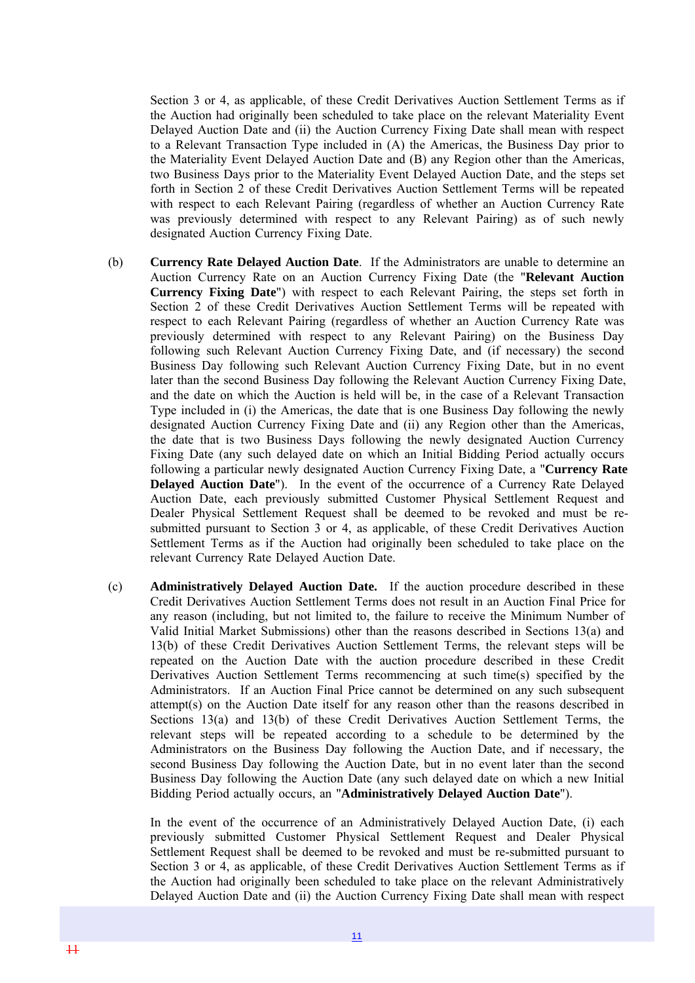Section 3 or 4, as applicable, of these Credit Derivatives Auction Settlement Terms as if the Auction had originally been scheduled to take place on the relevant Materiality Event Delayed Auction Date and (ii) the Auction Currency Fixing Date shall mean with respect to a Relevant Transaction Type included in (A) the Americas, the Business Day prior to the Materiality Event Delayed Auction Date and (B) any Region other than the Americas, two Business Days prior to the Materiality Event Delayed Auction Date, and the steps set forth in Section 2 of these Credit Derivatives Auction Settlement Terms will be repeated with respect to each Relevant Pairing (regardless of whether an Auction Currency Rate was previously determined with respect to any Relevant Pairing) as of such newly designated Auction Currency Fixing Date.

- (b) **Currency Rate Delayed Auction Date**. If the Administrators are unable to determine an Auction Currency Rate on an Auction Currency Fixing Date (the "**Relevant Auction Currency Fixing Date**") with respect to each Relevant Pairing, the steps set forth in Section 2 of these Credit Derivatives Auction Settlement Terms will be repeated with respect to each Relevant Pairing (regardless of whether an Auction Currency Rate was previously determined with respect to any Relevant Pairing) on the Business Day following such Relevant Auction Currency Fixing Date, and (if necessary) the second Business Day following such Relevant Auction Currency Fixing Date, but in no event later than the second Business Day following the Relevant Auction Currency Fixing Date, and the date on which the Auction is held will be, in the case of a Relevant Transaction Type included in (i) the Americas, the date that is one Business Day following the newly designated Auction Currency Fixing Date and (ii) any Region other than the Americas, the date that is two Business Days following the newly designated Auction Currency Fixing Date (any such delayed date on which an Initial Bidding Period actually occurs following a particular newly designated Auction Currency Fixing Date, a "**Currency Rate Delayed Auction Date**"). In the event of the occurrence of a Currency Rate Delayed Auction Date, each previously submitted Customer Physical Settlement Request and Dealer Physical Settlement Request shall be deemed to be revoked and must be resubmitted pursuant to Section 3 or 4, as applicable, of these Credit Derivatives Auction Settlement Terms as if the Auction had originally been scheduled to take place on the relevant Currency Rate Delayed Auction Date.
- (c) **Administratively Delayed Auction Date.** If the auction procedure described in these Credit Derivatives Auction Settlement Terms does not result in an Auction Final Price for any reason (including, but not limited to, the failure to receive the Minimum Number of Valid Initial Market Submissions) other than the reasons described in Sections 13(a) and 13(b) of these Credit Derivatives Auction Settlement Terms, the relevant steps will be repeated on the Auction Date with the auction procedure described in these Credit Derivatives Auction Settlement Terms recommencing at such time(s) specified by the Administrators. If an Auction Final Price cannot be determined on any such subsequent attempt(s) on the Auction Date itself for any reason other than the reasons described in Sections 13(a) and 13(b) of these Credit Derivatives Auction Settlement Terms, the relevant steps will be repeated according to a schedule to be determined by the Administrators on the Business Day following the Auction Date, and if necessary, the second Business Day following the Auction Date, but in no event later than the second Business Day following the Auction Date (any such delayed date on which a new Initial Bidding Period actually occurs, an "**Administratively Delayed Auction Date**").

In the event of the occurrence of an Administratively Delayed Auction Date, (i) each previously submitted Customer Physical Settlement Request and Dealer Physical Settlement Request shall be deemed to be revoked and must be re-submitted pursuant to Section 3 or 4, as applicable, of these Credit Derivatives Auction Settlement Terms as if the Auction had originally been scheduled to take place on the relevant Administratively Delayed Auction Date and (ii) the Auction Currency Fixing Date shall mean with respect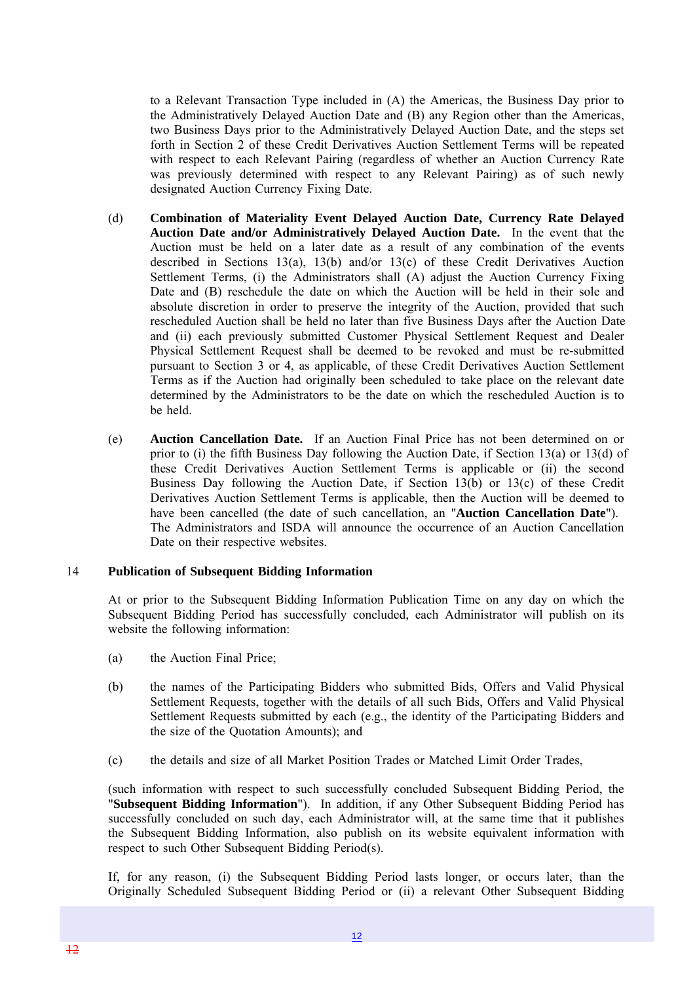to a Relevant Transaction Type included in (A) the Americas, the Business Day prior to the Administratively Delayed Auction Date and (B) any Region other than the Americas, two Business Days prior to the Administratively Delayed Auction Date, and the steps set forth in Section 2 of these Credit Derivatives Auction Settlement Terms will be repeated with respect to each Relevant Pairing (regardless of whether an Auction Currency Rate was previously determined with respect to any Relevant Pairing) as of such newly designated Auction Currency Fixing Date.

- (d) **Combination of Materiality Event Delayed Auction Date, Currency Rate Delayed Auction Date and/or Administratively Delayed Auction Date.** In the event that the Auction must be held on a later date as a result of any combination of the events described in Sections 13(a), 13(b) and/or 13(c) of these Credit Derivatives Auction Settlement Terms, (i) the Administrators shall (A) adjust the Auction Currency Fixing Date and (B) reschedule the date on which the Auction will be held in their sole and absolute discretion in order to preserve the integrity of the Auction, provided that such rescheduled Auction shall be held no later than five Business Days after the Auction Date and (ii) each previously submitted Customer Physical Settlement Request and Dealer Physical Settlement Request shall be deemed to be revoked and must be re-submitted pursuant to Section 3 or 4, as applicable, of these Credit Derivatives Auction Settlement Terms as if the Auction had originally been scheduled to take place on the relevant date determined by the Administrators to be the date on which the rescheduled Auction is to be held.
- (e) **Auction Cancellation Date.** If an Auction Final Price has not been determined on or prior to (i) the fifth Business Day following the Auction Date, if Section 13(a) or 13(d) of these Credit Derivatives Auction Settlement Terms is applicable or (ii) the second Business Day following the Auction Date, if Section 13(b) or 13(c) of these Credit Derivatives Auction Settlement Terms is applicable, then the Auction will be deemed to have been cancelled (the date of such cancellation, an "**Auction Cancellation Date**"). The Administrators and ISDA will announce the occurrence of an Auction Cancellation Date on their respective websites.

#### 14 **Publication of Subsequent Bidding Information**

At or prior to the Subsequent Bidding Information Publication Time on any day on which the Subsequent Bidding Period has successfully concluded, each Administrator will publish on its website the following information:

- (a) the Auction Final Price;
- (b) the names of the Participating Bidders who submitted Bids, Offers and Valid Physical Settlement Requests, together with the details of all such Bids, Offers and Valid Physical Settlement Requests submitted by each (e.g., the identity of the Participating Bidders and the size of the Quotation Amounts); and
- (c) the details and size of all Market Position Trades or Matched Limit Order Trades,

(such information with respect to such successfully concluded Subsequent Bidding Period, the "**Subsequent Bidding Information**"). In addition, if any Other Subsequent Bidding Period has successfully concluded on such day, each Administrator will, at the same time that it publishes the Subsequent Bidding Information, also publish on its website equivalent information with respect to such Other Subsequent Bidding Period(s).

If, for any reason, (i) the Subsequent Bidding Period lasts longer, or occurs later, than the Originally Scheduled Subsequent Bidding Period or (ii) a relevant Other Subsequent Bidding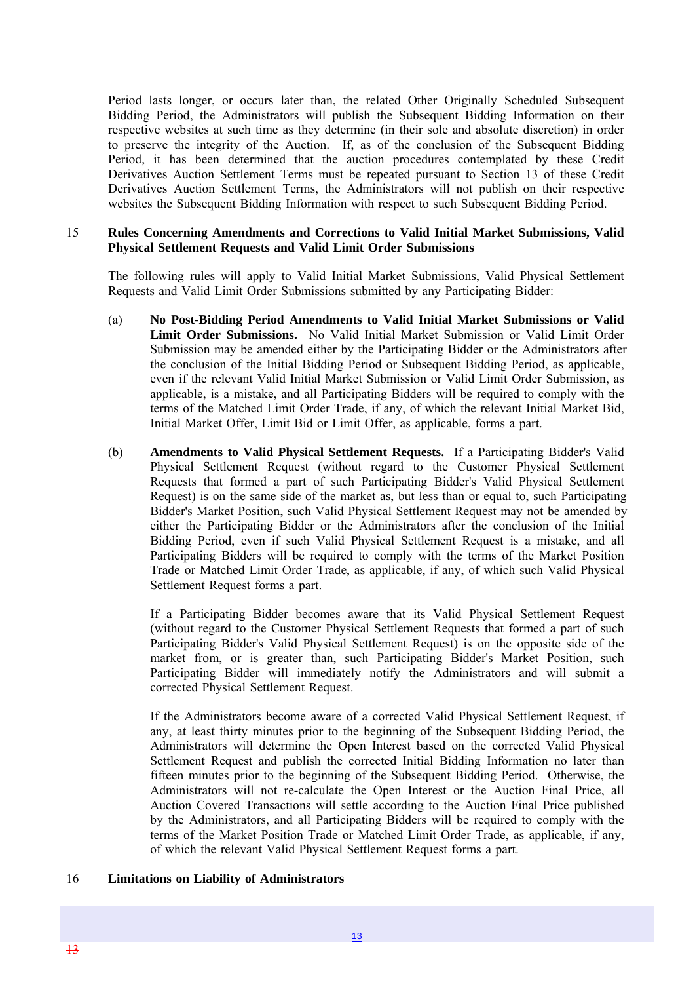Period lasts longer, or occurs later than, the related Other Originally Scheduled Subsequent Bidding Period, the Administrators will publish the Subsequent Bidding Information on their respective websites at such time as they determine (in their sole and absolute discretion) in order to preserve the integrity of the Auction. If, as of the conclusion of the Subsequent Bidding Period, it has been determined that the auction procedures contemplated by these Credit Derivatives Auction Settlement Terms must be repeated pursuant to Section 13 of these Credit Derivatives Auction Settlement Terms, the Administrators will not publish on their respective websites the Subsequent Bidding Information with respect to such Subsequent Bidding Period.

#### 15 **Rules Concerning Amendments and Corrections to Valid Initial Market Submissions, Valid Physical Settlement Requests and Valid Limit Order Submissions**

The following rules will apply to Valid Initial Market Submissions, Valid Physical Settlement Requests and Valid Limit Order Submissions submitted by any Participating Bidder:

- (a) **No Post-Bidding Period Amendments to Valid Initial Market Submissions or Valid Limit Order Submissions.** No Valid Initial Market Submission or Valid Limit Order Submission may be amended either by the Participating Bidder or the Administrators after the conclusion of the Initial Bidding Period or Subsequent Bidding Period, as applicable, even if the relevant Valid Initial Market Submission or Valid Limit Order Submission, as applicable, is a mistake, and all Participating Bidders will be required to comply with the terms of the Matched Limit Order Trade, if any, of which the relevant Initial Market Bid, Initial Market Offer, Limit Bid or Limit Offer, as applicable, forms a part.
- (b) **Amendments to Valid Physical Settlement Requests.** If a Participating Bidder's Valid Physical Settlement Request (without regard to the Customer Physical Settlement Requests that formed a part of such Participating Bidder's Valid Physical Settlement Request) is on the same side of the market as, but less than or equal to, such Participating Bidder's Market Position, such Valid Physical Settlement Request may not be amended by either the Participating Bidder or the Administrators after the conclusion of the Initial Bidding Period, even if such Valid Physical Settlement Request is a mistake, and all Participating Bidders will be required to comply with the terms of the Market Position Trade or Matched Limit Order Trade, as applicable, if any, of which such Valid Physical Settlement Request forms a part.

If a Participating Bidder becomes aware that its Valid Physical Settlement Request (without regard to the Customer Physical Settlement Requests that formed a part of such Participating Bidder's Valid Physical Settlement Request) is on the opposite side of the market from, or is greater than, such Participating Bidder's Market Position, such Participating Bidder will immediately notify the Administrators and will submit a corrected Physical Settlement Request.

If the Administrators become aware of a corrected Valid Physical Settlement Request, if any, at least thirty minutes prior to the beginning of the Subsequent Bidding Period, the Administrators will determine the Open Interest based on the corrected Valid Physical Settlement Request and publish the corrected Initial Bidding Information no later than fifteen minutes prior to the beginning of the Subsequent Bidding Period. Otherwise, the Administrators will not re-calculate the Open Interest or the Auction Final Price, all Auction Covered Transactions will settle according to the Auction Final Price published by the Administrators, and all Participating Bidders will be required to comply with the terms of the Market Position Trade or Matched Limit Order Trade, as applicable, if any, of which the relevant Valid Physical Settlement Request forms a part.

#### 16 **Limitations on Liability of Administrators**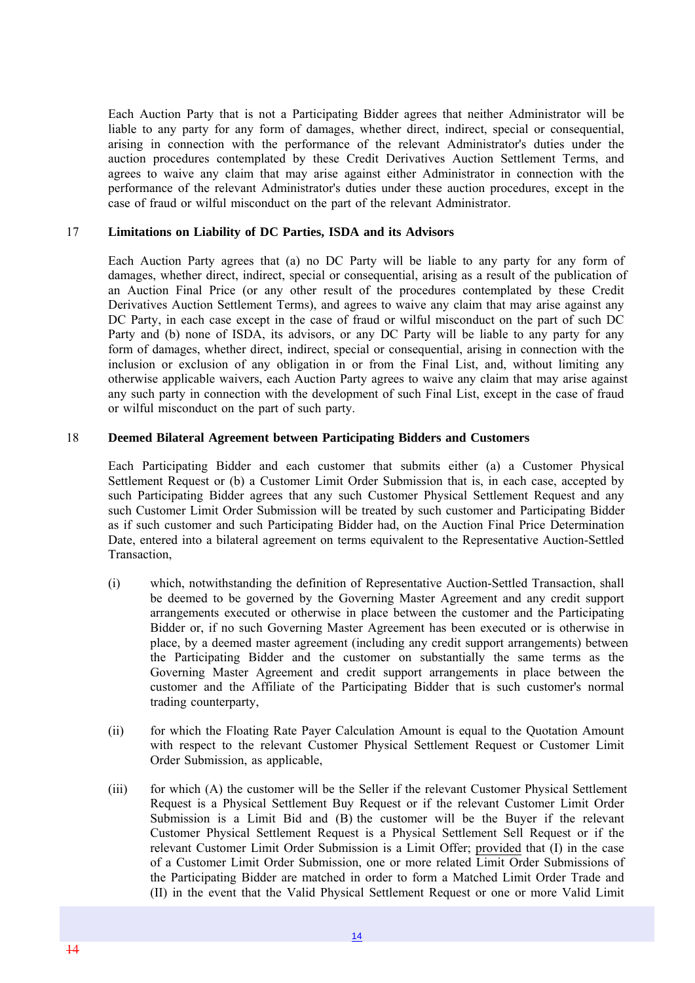Each Auction Party that is not a Participating Bidder agrees that neither Administrator will be liable to any party for any form of damages, whether direct, indirect, special or consequential, arising in connection with the performance of the relevant Administrator's duties under the auction procedures contemplated by these Credit Derivatives Auction Settlement Terms, and agrees to waive any claim that may arise against either Administrator in connection with the performance of the relevant Administrator's duties under these auction procedures, except in the case of fraud or wilful misconduct on the part of the relevant Administrator.

#### 17 **Limitations on Liability of DC Parties, ISDA and its Advisors**

Each Auction Party agrees that (a) no DC Party will be liable to any party for any form of damages, whether direct, indirect, special or consequential, arising as a result of the publication of an Auction Final Price (or any other result of the procedures contemplated by these Credit Derivatives Auction Settlement Terms), and agrees to waive any claim that may arise against any DC Party, in each case except in the case of fraud or wilful misconduct on the part of such DC Party and (b) none of ISDA, its advisors, or any DC Party will be liable to any party for any form of damages, whether direct, indirect, special or consequential, arising in connection with the inclusion or exclusion of any obligation in or from the Final List, and, without limiting any otherwise applicable waivers, each Auction Party agrees to waive any claim that may arise against any such party in connection with the development of such Final List, except in the case of fraud or wilful misconduct on the part of such party.

#### 18 **Deemed Bilateral Agreement between Participating Bidders and Customers**

Each Participating Bidder and each customer that submits either (a) a Customer Physical Settlement Request or (b) a Customer Limit Order Submission that is, in each case, accepted by such Participating Bidder agrees that any such Customer Physical Settlement Request and any such Customer Limit Order Submission will be treated by such customer and Participating Bidder as if such customer and such Participating Bidder had, on the Auction Final Price Determination Date, entered into a bilateral agreement on terms equivalent to the Representative Auction-Settled Transaction,

- (i) which, notwithstanding the definition of Representative Auction-Settled Transaction, shall be deemed to be governed by the Governing Master Agreement and any credit support arrangements executed or otherwise in place between the customer and the Participating Bidder or, if no such Governing Master Agreement has been executed or is otherwise in place, by a deemed master agreement (including any credit support arrangements) between the Participating Bidder and the customer on substantially the same terms as the Governing Master Agreement and credit support arrangements in place between the customer and the Affiliate of the Participating Bidder that is such customer's normal trading counterparty,
- (ii) for which the Floating Rate Payer Calculation Amount is equal to the Quotation Amount with respect to the relevant Customer Physical Settlement Request or Customer Limit Order Submission, as applicable,
- (iii) for which (A) the customer will be the Seller if the relevant Customer Physical Settlement Request is a Physical Settlement Buy Request or if the relevant Customer Limit Order Submission is a Limit Bid and (B) the customer will be the Buyer if the relevant Customer Physical Settlement Request is a Physical Settlement Sell Request or if the relevant Customer Limit Order Submission is a Limit Offer; provided that (I) in the case of a Customer Limit Order Submission, one or more related Limit Order Submissions of the Participating Bidder are matched in order to form a Matched Limit Order Trade and (II) in the event that the Valid Physical Settlement Request or one or more Valid Limit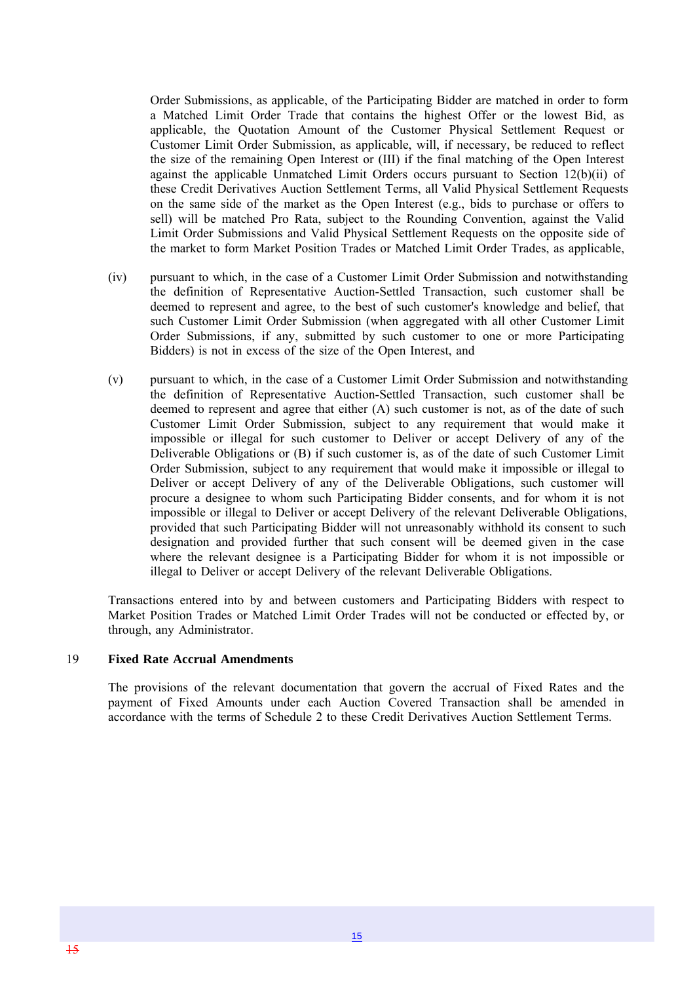Order Submissions, as applicable, of the Participating Bidder are matched in order to form a Matched Limit Order Trade that contains the highest Offer or the lowest Bid, as applicable, the Quotation Amount of the Customer Physical Settlement Request or Customer Limit Order Submission, as applicable, will, if necessary, be reduced to reflect the size of the remaining Open Interest or (III) if the final matching of the Open Interest against the applicable Unmatched Limit Orders occurs pursuant to Section  $12(b)(ii)$  of these Credit Derivatives Auction Settlement Terms, all Valid Physical Settlement Requests on the same side of the market as the Open Interest (e.g., bids to purchase or offers to sell) will be matched Pro Rata, subject to the Rounding Convention, against the Valid Limit Order Submissions and Valid Physical Settlement Requests on the opposite side of the market to form Market Position Trades or Matched Limit Order Trades, as applicable,

- (iv) pursuant to which, in the case of a Customer Limit Order Submission and notwithstanding the definition of Representative Auction-Settled Transaction, such customer shall be deemed to represent and agree, to the best of such customer's knowledge and belief, that such Customer Limit Order Submission (when aggregated with all other Customer Limit Order Submissions, if any, submitted by such customer to one or more Participating Bidders) is not in excess of the size of the Open Interest, and
- (v) pursuant to which, in the case of a Customer Limit Order Submission and notwithstanding the definition of Representative Auction-Settled Transaction, such customer shall be deemed to represent and agree that either (A) such customer is not, as of the date of such Customer Limit Order Submission, subject to any requirement that would make it impossible or illegal for such customer to Deliver or accept Delivery of any of the Deliverable Obligations or (B) if such customer is, as of the date of such Customer Limit Order Submission, subject to any requirement that would make it impossible or illegal to Deliver or accept Delivery of any of the Deliverable Obligations, such customer will procure a designee to whom such Participating Bidder consents, and for whom it is not impossible or illegal to Deliver or accept Delivery of the relevant Deliverable Obligations, provided that such Participating Bidder will not unreasonably withhold its consent to such designation and provided further that such consent will be deemed given in the case where the relevant designee is a Participating Bidder for whom it is not impossible or illegal to Deliver or accept Delivery of the relevant Deliverable Obligations.

Transactions entered into by and between customers and Participating Bidders with respect to Market Position Trades or Matched Limit Order Trades will not be conducted or effected by, or through, any Administrator.

#### 19 **Fixed Rate Accrual Amendments**

The provisions of the relevant documentation that govern the accrual of Fixed Rates and the payment of Fixed Amounts under each Auction Covered Transaction shall be amended in accordance with the terms of Schedule 2 to these Credit Derivatives Auction Settlement Terms.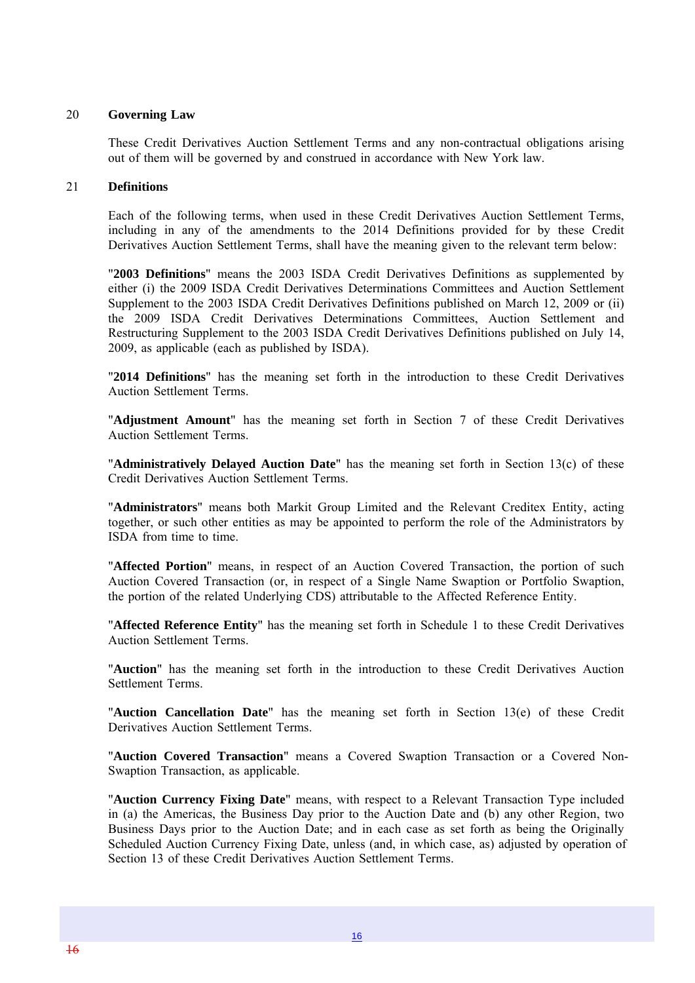#### 20 **Governing Law**

These Credit Derivatives Auction Settlement Terms and any non-contractual obligations arising out of them will be governed by and construed in accordance with New York law.

#### 21 **Definitions**

Each of the following terms, when used in these Credit Derivatives Auction Settlement Terms, including in any of the amendments to the 2014 Definitions provided for by these Credit Derivatives Auction Settlement Terms, shall have the meaning given to the relevant term below:

"**2003 Definitions**" means the 2003 ISDA Credit Derivatives Definitions as supplemented by either (i) the 2009 ISDA Credit Derivatives Determinations Committees and Auction Settlement Supplement to the 2003 ISDA Credit Derivatives Definitions published on March 12, 2009 or (ii) the 2009 ISDA Credit Derivatives Determinations Committees, Auction Settlement and Restructuring Supplement to the 2003 ISDA Credit Derivatives Definitions published on July 14, 2009, as applicable (each as published by ISDA).

"**2014 Definitions**" has the meaning set forth in the introduction to these Credit Derivatives Auction Settlement Terms.

"**Adjustment Amount**" has the meaning set forth in Section 7 of these Credit Derivatives Auction Settlement Terms.

"**Administratively Delayed Auction Date**" has the meaning set forth in Section 13(c) of these Credit Derivatives Auction Settlement Terms.

"**Administrators**" means both Markit Group Limited and the Relevant Creditex Entity, acting together, or such other entities as may be appointed to perform the role of the Administrators by ISDA from time to time.

"**Affected Portion**" means, in respect of an Auction Covered Transaction, the portion of such Auction Covered Transaction (or, in respect of a Single Name Swaption or Portfolio Swaption, the portion of the related Underlying CDS) attributable to the Affected Reference Entity.

"**Affected Reference Entity**" has the meaning set forth in Schedule 1 to these Credit Derivatives Auction Settlement Terms.

"**Auction**" has the meaning set forth in the introduction to these Credit Derivatives Auction Settlement Terms.

"**Auction Cancellation Date**" has the meaning set forth in Section 13(e) of these Credit Derivatives Auction Settlement Terms.

"**Auction Covered Transaction**" means a Covered Swaption Transaction or a Covered Non-Swaption Transaction, as applicable.

"**Auction Currency Fixing Date**" means, with respect to a Relevant Transaction Type included in (a) the Americas, the Business Day prior to the Auction Date and (b) any other Region, two Business Days prior to the Auction Date; and in each case as set forth as being the Originally Scheduled Auction Currency Fixing Date, unless (and, in which case, as) adjusted by operation of Section 13 of these Credit Derivatives Auction Settlement Terms.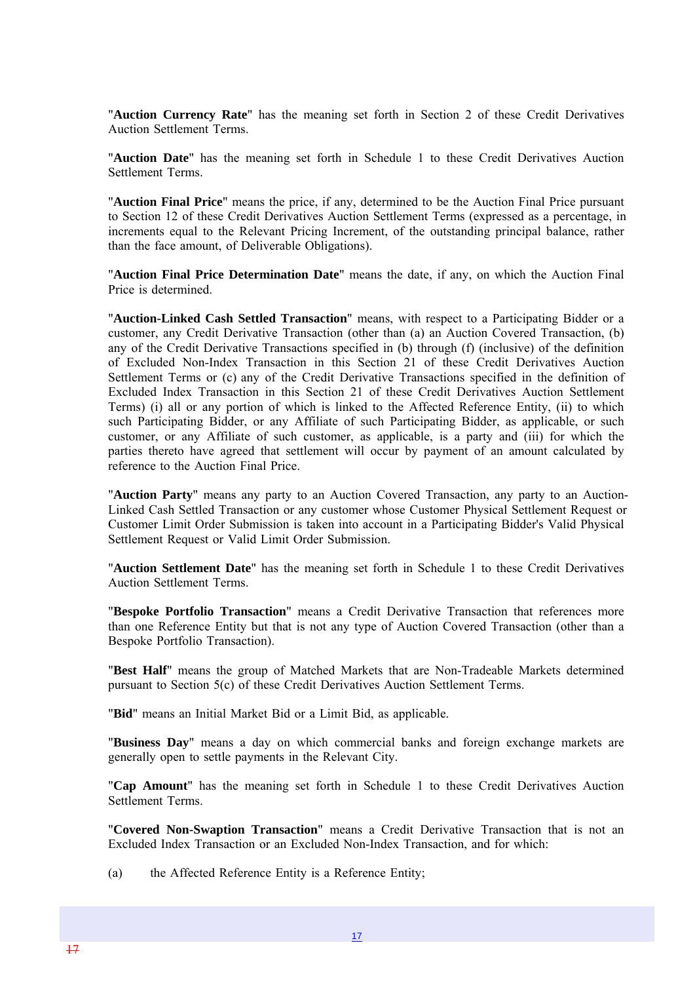"**Auction Currency Rate**" has the meaning set forth in Section 2 of these Credit Derivatives Auction Settlement Terms.

"**Auction Date**" has the meaning set forth in Schedule 1 to these Credit Derivatives Auction Settlement Terms.

"**Auction Final Price**" means the price, if any, determined to be the Auction Final Price pursuant to Section 12 of these Credit Derivatives Auction Settlement Terms (expressed as a percentage, in increments equal to the Relevant Pricing Increment, of the outstanding principal balance, rather than the face amount, of Deliverable Obligations).

"**Auction Final Price Determination Date**" means the date, if any, on which the Auction Final Price is determined.

"**Auction-Linked Cash Settled Transaction**" means, with respect to a Participating Bidder or a customer, any Credit Derivative Transaction (other than (a) an Auction Covered Transaction, (b) any of the Credit Derivative Transactions specified in (b) through (f) (inclusive) of the definition of Excluded Non-Index Transaction in this Section 21 of these Credit Derivatives Auction Settlement Terms or (c) any of the Credit Derivative Transactions specified in the definition of Excluded Index Transaction in this Section 21 of these Credit Derivatives Auction Settlement Terms) (i) all or any portion of which is linked to the Affected Reference Entity, (ii) to which such Participating Bidder, or any Affiliate of such Participating Bidder, as applicable, or such customer, or any Affiliate of such customer, as applicable, is a party and (iii) for which the parties thereto have agreed that settlement will occur by payment of an amount calculated by reference to the Auction Final Price.

"**Auction Party**" means any party to an Auction Covered Transaction, any party to an Auction-Linked Cash Settled Transaction or any customer whose Customer Physical Settlement Request or Customer Limit Order Submission is taken into account in a Participating Bidder's Valid Physical Settlement Request or Valid Limit Order Submission.

"**Auction Settlement Date**" has the meaning set forth in Schedule 1 to these Credit Derivatives Auction Settlement Terms.

"**Bespoke Portfolio Transaction**" means a Credit Derivative Transaction that references more than one Reference Entity but that is not any type of Auction Covered Transaction (other than a Bespoke Portfolio Transaction).

"**Best Half**" means the group of Matched Markets that are Non-Tradeable Markets determined pursuant to Section 5(c) of these Credit Derivatives Auction Settlement Terms.

"**Bid**" means an Initial Market Bid or a Limit Bid, as applicable.

"**Business Day**" means a day on which commercial banks and foreign exchange markets are generally open to settle payments in the Relevant City.

"**Cap Amount**" has the meaning set forth in Schedule 1 to these Credit Derivatives Auction Settlement Terms.

"**Covered Non-Swaption Transaction**" means a Credit Derivative Transaction that is not an Excluded Index Transaction or an Excluded Non-Index Transaction, and for which:

(a) the Affected Reference Entity is a Reference Entity;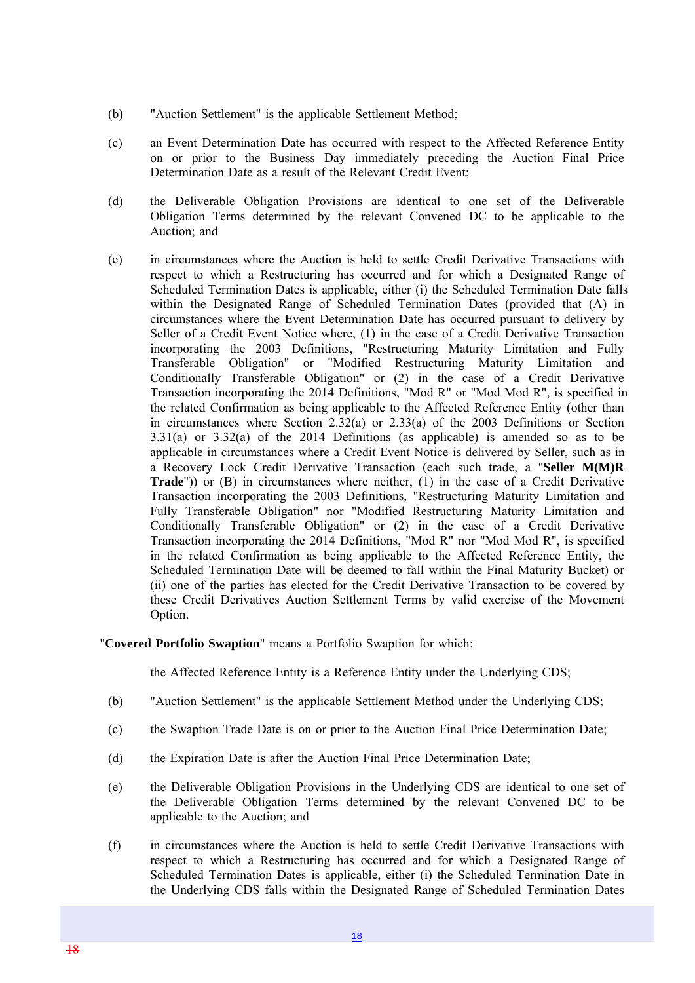- (b) "Auction Settlement" is the applicable Settlement Method;
- (c) an Event Determination Date has occurred with respect to the Affected Reference Entity on or prior to the Business Day immediately preceding the Auction Final Price Determination Date as a result of the Relevant Credit Event;
- (d) the Deliverable Obligation Provisions are identical to one set of the Deliverable Obligation Terms determined by the relevant Convened DC to be applicable to the Auction; and
- (e) in circumstances where the Auction is held to settle Credit Derivative Transactions with respect to which a Restructuring has occurred and for which a Designated Range of Scheduled Termination Dates is applicable, either (i) the Scheduled Termination Date falls within the Designated Range of Scheduled Termination Dates (provided that (A) in circumstances where the Event Determination Date has occurred pursuant to delivery by Seller of a Credit Event Notice where, (1) in the case of a Credit Derivative Transaction incorporating the 2003 Definitions, "Restructuring Maturity Limitation and Fully Transferable Obligation" or "Modified Restructuring Maturity Limitation and Conditionally Transferable Obligation" or (2) in the case of a Credit Derivative Transaction incorporating the 2014 Definitions, "Mod R" or "Mod Mod R", is specified in the related Confirmation as being applicable to the Affected Reference Entity (other than in circumstances where Section 2.32(a) or 2.33(a) of the 2003 Definitions or Section 3.31(a) or 3.32(a) of the 2014 Definitions (as applicable) is amended so as to be applicable in circumstances where a Credit Event Notice is delivered by Seller, such as in a Recovery Lock Credit Derivative Transaction (each such trade, a "**Seller M(M)R Trade**")) or (B) in circumstances where neither, (1) in the case of a Credit Derivative Transaction incorporating the 2003 Definitions, "Restructuring Maturity Limitation and Fully Transferable Obligation" nor "Modified Restructuring Maturity Limitation and Conditionally Transferable Obligation" or (2) in the case of a Credit Derivative Transaction incorporating the 2014 Definitions, "Mod R" nor "Mod Mod R", is specified in the related Confirmation as being applicable to the Affected Reference Entity, the Scheduled Termination Date will be deemed to fall within the Final Maturity Bucket) or (ii) one of the parties has elected for the Credit Derivative Transaction to be covered by these Credit Derivatives Auction Settlement Terms by valid exercise of the Movement Option.

"**Covered Portfolio Swaption**" means a Portfolio Swaption for which:

the Affected Reference Entity is a Reference Entity under the Underlying CDS;

- (b) "Auction Settlement" is the applicable Settlement Method under the Underlying CDS;
- (c) the Swaption Trade Date is on or prior to the Auction Final Price Determination Date;
- (d) the Expiration Date is after the Auction Final Price Determination Date;
- (e) the Deliverable Obligation Provisions in the Underlying CDS are identical to one set of the Deliverable Obligation Terms determined by the relevant Convened DC to be applicable to the Auction; and
- (f) in circumstances where the Auction is held to settle Credit Derivative Transactions with respect to which a Restructuring has occurred and for which a Designated Range of Scheduled Termination Dates is applicable, either (i) the Scheduled Termination Date in the Underlying CDS falls within the Designated Range of Scheduled Termination Dates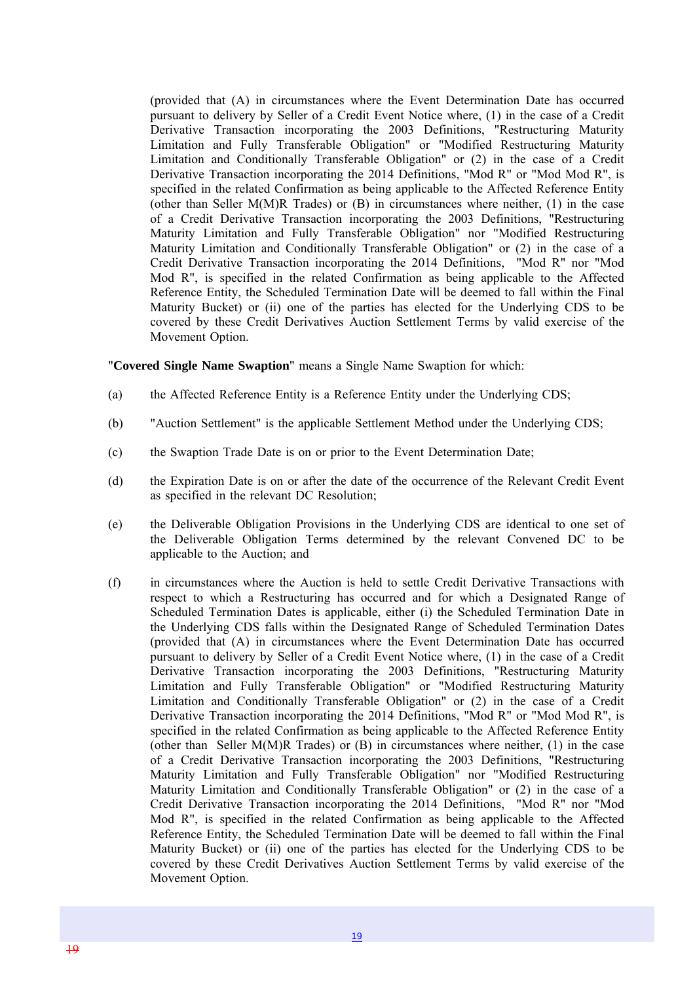(provided that (A) in circumstances where the Event Determination Date has occurred pursuant to delivery by Seller of a Credit Event Notice where, (1) in the case of a Credit Derivative Transaction incorporating the 2003 Definitions, "Restructuring Maturity Limitation and Fully Transferable Obligation" or "Modified Restructuring Maturity Limitation and Conditionally Transferable Obligation" or (2) in the case of a Credit Derivative Transaction incorporating the 2014 Definitions, "Mod R" or "Mod Mod R", is specified in the related Confirmation as being applicable to the Affected Reference Entity (other than Seller M(M)R Trades) or  $(B)$  in circumstances where neither,  $(1)$  in the case of a Credit Derivative Transaction incorporating the 2003 Definitions, "Restructuring Maturity Limitation and Fully Transferable Obligation" nor "Modified Restructuring Maturity Limitation and Conditionally Transferable Obligation" or (2) in the case of a Credit Derivative Transaction incorporating the 2014 Definitions, "Mod R" nor "Mod Mod R", is specified in the related Confirmation as being applicable to the Affected Reference Entity, the Scheduled Termination Date will be deemed to fall within the Final Maturity Bucket) or (ii) one of the parties has elected for the Underlying CDS to be covered by these Credit Derivatives Auction Settlement Terms by valid exercise of the Movement Option.

"**Covered Single Name Swaption**" means a Single Name Swaption for which:

- (a) the Affected Reference Entity is a Reference Entity under the Underlying CDS;
- (b) "Auction Settlement" is the applicable Settlement Method under the Underlying CDS;
- (c) the Swaption Trade Date is on or prior to the Event Determination Date;
- (d) the Expiration Date is on or after the date of the occurrence of the Relevant Credit Event as specified in the relevant DC Resolution;
- (e) the Deliverable Obligation Provisions in the Underlying CDS are identical to one set of the Deliverable Obligation Terms determined by the relevant Convened DC to be applicable to the Auction; and
- (f) in circumstances where the Auction is held to settle Credit Derivative Transactions with respect to which a Restructuring has occurred and for which a Designated Range of Scheduled Termination Dates is applicable, either (i) the Scheduled Termination Date in the Underlying CDS falls within the Designated Range of Scheduled Termination Dates (provided that (A) in circumstances where the Event Determination Date has occurred pursuant to delivery by Seller of a Credit Event Notice where, (1) in the case of a Credit Derivative Transaction incorporating the 2003 Definitions, "Restructuring Maturity Limitation and Fully Transferable Obligation" or "Modified Restructuring Maturity Limitation and Conditionally Transferable Obligation" or (2) in the case of a Credit Derivative Transaction incorporating the 2014 Definitions, "Mod R" or "Mod Mod R", is specified in the related Confirmation as being applicable to the Affected Reference Entity (other than Seller M(M)R Trades) or  $(B)$  in circumstances where neither,  $(1)$  in the case of a Credit Derivative Transaction incorporating the 2003 Definitions, "Restructuring Maturity Limitation and Fully Transferable Obligation" nor "Modified Restructuring Maturity Limitation and Conditionally Transferable Obligation" or (2) in the case of a Credit Derivative Transaction incorporating the 2014 Definitions, "Mod R" nor "Mod Mod R", is specified in the related Confirmation as being applicable to the Affected Reference Entity, the Scheduled Termination Date will be deemed to fall within the Final Maturity Bucket) or (ii) one of the parties has elected for the Underlying CDS to be covered by these Credit Derivatives Auction Settlement Terms by valid exercise of the Movement Option.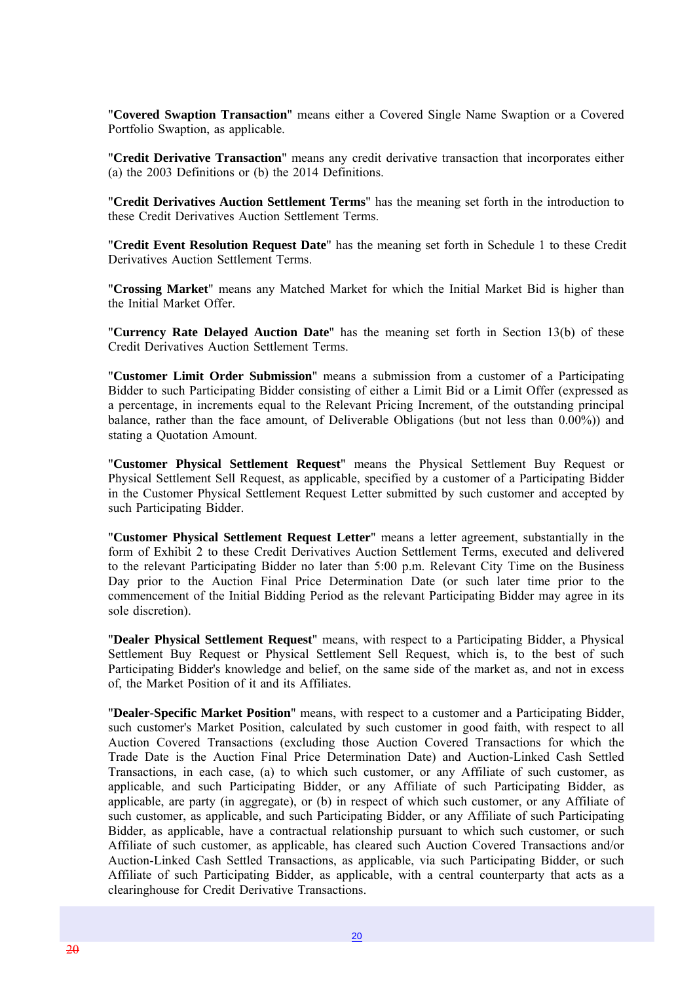"**Covered Swaption Transaction**" means either a Covered Single Name Swaption or a Covered Portfolio Swaption, as applicable.

"**Credit Derivative Transaction**" means any credit derivative transaction that incorporates either (a) the 2003 Definitions or (b) the 2014 Definitions.

"**Credit Derivatives Auction Settlement Terms**" has the meaning set forth in the introduction to these Credit Derivatives Auction Settlement Terms.

"**Credit Event Resolution Request Date**" has the meaning set forth in Schedule 1 to these Credit Derivatives Auction Settlement Terms.

"**Crossing Market**" means any Matched Market for which the Initial Market Bid is higher than the Initial Market Offer.

"**Currency Rate Delayed Auction Date**" has the meaning set forth in Section 13(b) of these Credit Derivatives Auction Settlement Terms.

"**Customer Limit Order Submission**" means a submission from a customer of a Participating Bidder to such Participating Bidder consisting of either a Limit Bid or a Limit Offer (expressed as a percentage, in increments equal to the Relevant Pricing Increment, of the outstanding principal balance, rather than the face amount, of Deliverable Obligations (but not less than 0.00%)) and stating a Quotation Amount.

"**Customer Physical Settlement Request**" means the Physical Settlement Buy Request or Physical Settlement Sell Request, as applicable, specified by a customer of a Participating Bidder in the Customer Physical Settlement Request Letter submitted by such customer and accepted by such Participating Bidder.

"**Customer Physical Settlement Request Letter**" means a letter agreement, substantially in the form of Exhibit 2 to these Credit Derivatives Auction Settlement Terms, executed and delivered to the relevant Participating Bidder no later than 5:00 p.m. Relevant City Time on the Business Day prior to the Auction Final Price Determination Date (or such later time prior to the commencement of the Initial Bidding Period as the relevant Participating Bidder may agree in its sole discretion).

"**Dealer Physical Settlement Request**" means, with respect to a Participating Bidder, a Physical Settlement Buy Request or Physical Settlement Sell Request, which is, to the best of such Participating Bidder's knowledge and belief, on the same side of the market as, and not in excess of, the Market Position of it and its Affiliates.

"**Dealer-Specific Market Position**" means, with respect to a customer and a Participating Bidder, such customer's Market Position, calculated by such customer in good faith, with respect to all Auction Covered Transactions (excluding those Auction Covered Transactions for which the Trade Date is the Auction Final Price Determination Date) and Auction-Linked Cash Settled Transactions, in each case, (a) to which such customer, or any Affiliate of such customer, as applicable, and such Participating Bidder, or any Affiliate of such Participating Bidder, as applicable, are party (in aggregate), or (b) in respect of which such customer, or any Affiliate of such customer, as applicable, and such Participating Bidder, or any Affiliate of such Participating Bidder, as applicable, have a contractual relationship pursuant to which such customer, or such Affiliate of such customer, as applicable, has cleared such Auction Covered Transactions and/or Auction-Linked Cash Settled Transactions, as applicable, via such Participating Bidder, or such Affiliate of such Participating Bidder, as applicable, with a central counterparty that acts as a clearinghouse for Credit Derivative Transactions.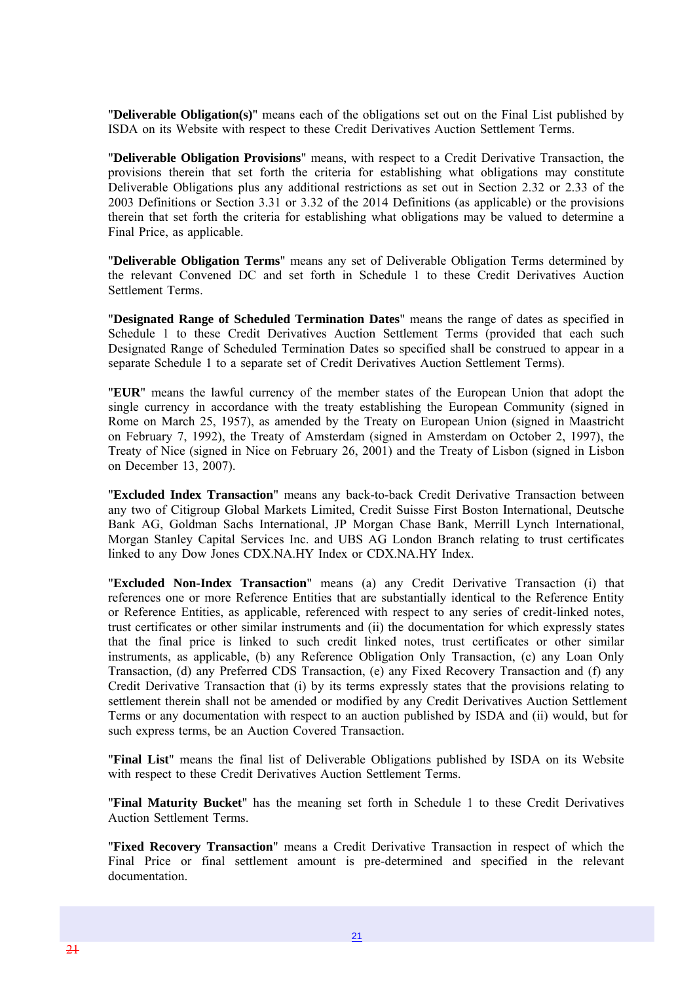"**Deliverable Obligation(s)**" means each of the obligations set out on the Final List published by ISDA on its Website with respect to these Credit Derivatives Auction Settlement Terms.

"**Deliverable Obligation Provisions**" means, with respect to a Credit Derivative Transaction, the provisions therein that set forth the criteria for establishing what obligations may constitute Deliverable Obligations plus any additional restrictions as set out in Section 2.32 or 2.33 of the 2003 Definitions or Section 3.31 or 3.32 of the 2014 Definitions (as applicable) or the provisions therein that set forth the criteria for establishing what obligations may be valued to determine a Final Price, as applicable.

"**Deliverable Obligation Terms**" means any set of Deliverable Obligation Terms determined by the relevant Convened DC and set forth in Schedule 1 to these Credit Derivatives Auction Settlement Terms.

"**Designated Range of Scheduled Termination Dates**" means the range of dates as specified in Schedule 1 to these Credit Derivatives Auction Settlement Terms (provided that each such Designated Range of Scheduled Termination Dates so specified shall be construed to appear in a separate Schedule 1 to a separate set of Credit Derivatives Auction Settlement Terms).

"**EUR**" means the lawful currency of the member states of the European Union that adopt the single currency in accordance with the treaty establishing the European Community (signed in Rome on March 25, 1957), as amended by the Treaty on European Union (signed in Maastricht on February 7, 1992), the Treaty of Amsterdam (signed in Amsterdam on October 2, 1997), the Treaty of Nice (signed in Nice on February 26, 2001) and the Treaty of Lisbon (signed in Lisbon on December 13, 2007).

"**Excluded Index Transaction**" means any back-to-back Credit Derivative Transaction between any two of Citigroup Global Markets Limited, Credit Suisse First Boston International, Deutsche Bank AG, Goldman Sachs International, JP Morgan Chase Bank, Merrill Lynch International, Morgan Stanley Capital Services Inc. and UBS AG London Branch relating to trust certificates linked to any Dow Jones CDX.NA.HY Index or CDX.NA.HY Index.

"**Excluded Non-Index Transaction**" means (a) any Credit Derivative Transaction (i) that references one or more Reference Entities that are substantially identical to the Reference Entity or Reference Entities, as applicable, referenced with respect to any series of credit-linked notes, trust certificates or other similar instruments and (ii) the documentation for which expressly states that the final price is linked to such credit linked notes, trust certificates or other similar instruments, as applicable, (b) any Reference Obligation Only Transaction, (c) any Loan Only Transaction, (d) any Preferred CDS Transaction, (e) any Fixed Recovery Transaction and (f) any Credit Derivative Transaction that (i) by its terms expressly states that the provisions relating to settlement therein shall not be amended or modified by any Credit Derivatives Auction Settlement Terms or any documentation with respect to an auction published by ISDA and (ii) would, but for such express terms, be an Auction Covered Transaction.

"**Final List**" means the final list of Deliverable Obligations published by ISDA on its Website with respect to these Credit Derivatives Auction Settlement Terms.

"**Final Maturity Bucket**" has the meaning set forth in Schedule 1 to these Credit Derivatives Auction Settlement Terms.

"**Fixed Recovery Transaction**" means a Credit Derivative Transaction in respect of which the Final Price or final settlement amount is pre-determined and specified in the relevant documentation.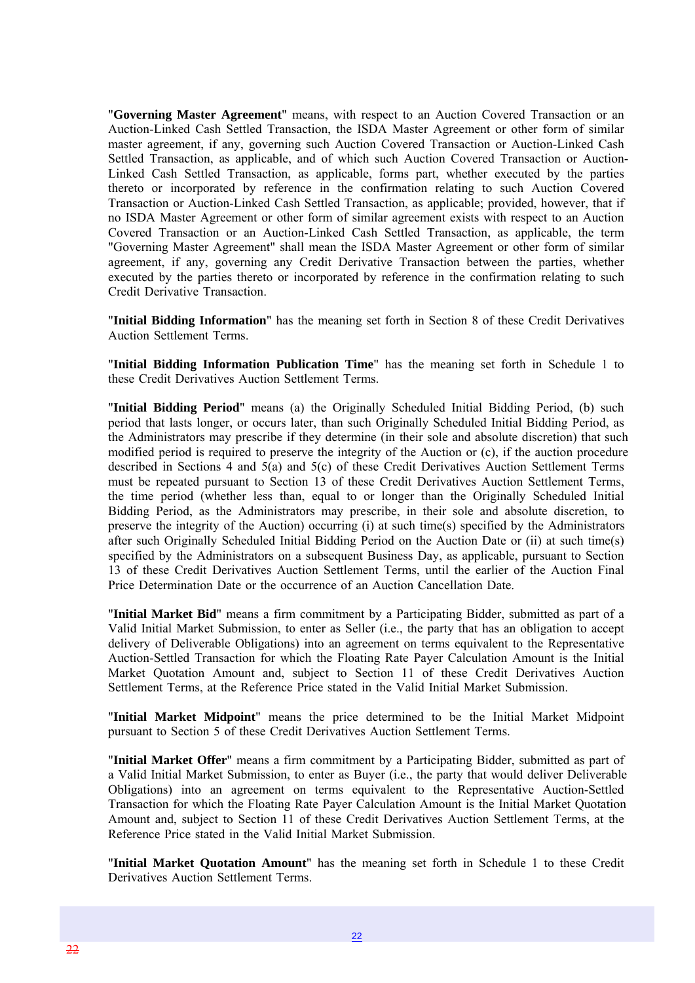"**Governing Master Agreement**" means, with respect to an Auction Covered Transaction or an Auction-Linked Cash Settled Transaction, the ISDA Master Agreement or other form of similar master agreement, if any, governing such Auction Covered Transaction or Auction-Linked Cash Settled Transaction, as applicable, and of which such Auction Covered Transaction or Auction-Linked Cash Settled Transaction, as applicable, forms part, whether executed by the parties thereto or incorporated by reference in the confirmation relating to such Auction Covered Transaction or Auction-Linked Cash Settled Transaction, as applicable; provided, however, that if no ISDA Master Agreement or other form of similar agreement exists with respect to an Auction Covered Transaction or an Auction-Linked Cash Settled Transaction, as applicable, the term "Governing Master Agreement" shall mean the ISDA Master Agreement or other form of similar agreement, if any, governing any Credit Derivative Transaction between the parties, whether executed by the parties thereto or incorporated by reference in the confirmation relating to such Credit Derivative Transaction.

"**Initial Bidding Information**" has the meaning set forth in Section 8 of these Credit Derivatives Auction Settlement Terms.

"**Initial Bidding Information Publication Time**" has the meaning set forth in Schedule 1 to these Credit Derivatives Auction Settlement Terms.

"**Initial Bidding Period**" means (a) the Originally Scheduled Initial Bidding Period, (b) such period that lasts longer, or occurs later, than such Originally Scheduled Initial Bidding Period, as the Administrators may prescribe if they determine (in their sole and absolute discretion) that such modified period is required to preserve the integrity of the Auction or (c), if the auction procedure described in Sections 4 and 5(a) and 5(c) of these Credit Derivatives Auction Settlement Terms must be repeated pursuant to Section 13 of these Credit Derivatives Auction Settlement Terms, the time period (whether less than, equal to or longer than the Originally Scheduled Initial Bidding Period, as the Administrators may prescribe, in their sole and absolute discretion, to preserve the integrity of the Auction) occurring (i) at such time(s) specified by the Administrators after such Originally Scheduled Initial Bidding Period on the Auction Date or (ii) at such time(s) specified by the Administrators on a subsequent Business Day, as applicable, pursuant to Section 13 of these Credit Derivatives Auction Settlement Terms, until the earlier of the Auction Final Price Determination Date or the occurrence of an Auction Cancellation Date.

"**Initial Market Bid**" means a firm commitment by a Participating Bidder, submitted as part of a Valid Initial Market Submission, to enter as Seller (i.e., the party that has an obligation to accept delivery of Deliverable Obligations) into an agreement on terms equivalent to the Representative Auction-Settled Transaction for which the Floating Rate Payer Calculation Amount is the Initial Market Quotation Amount and, subject to Section 11 of these Credit Derivatives Auction Settlement Terms, at the Reference Price stated in the Valid Initial Market Submission.

"**Initial Market Midpoint**" means the price determined to be the Initial Market Midpoint pursuant to Section 5 of these Credit Derivatives Auction Settlement Terms.

"**Initial Market Offer**" means a firm commitment by a Participating Bidder, submitted as part of a Valid Initial Market Submission, to enter as Buyer (i.e., the party that would deliver Deliverable Obligations) into an agreement on terms equivalent to the Representative Auction-Settled Transaction for which the Floating Rate Payer Calculation Amount is the Initial Market Quotation Amount and, subject to Section 11 of these Credit Derivatives Auction Settlement Terms, at the Reference Price stated in the Valid Initial Market Submission.

"**Initial Market Quotation Amount**" has the meaning set forth in Schedule 1 to these Credit Derivatives Auction Settlement Terms.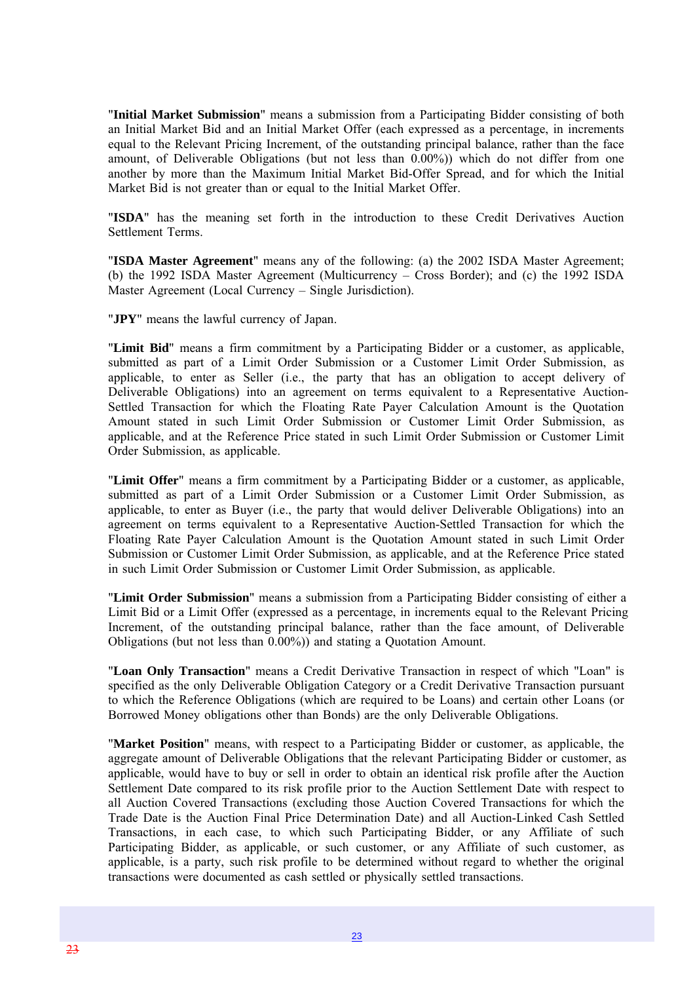"**Initial Market Submission**" means a submission from a Participating Bidder consisting of both an Initial Market Bid and an Initial Market Offer (each expressed as a percentage, in increments equal to the Relevant Pricing Increment, of the outstanding principal balance, rather than the face amount, of Deliverable Obligations (but not less than 0.00%)) which do not differ from one another by more than the Maximum Initial Market Bid-Offer Spread, and for which the Initial Market Bid is not greater than or equal to the Initial Market Offer.

"**ISDA**" has the meaning set forth in the introduction to these Credit Derivatives Auction Settlement Terms.

"**ISDA Master Agreement**" means any of the following: (a) the 2002 ISDA Master Agreement; (b) the 1992 ISDA Master Agreement (Multicurrency – Cross Border); and (c) the 1992 ISDA Master Agreement (Local Currency – Single Jurisdiction).

"**JPY**" means the lawful currency of Japan.

"**Limit Bid**" means a firm commitment by a Participating Bidder or a customer, as applicable, submitted as part of a Limit Order Submission or a Customer Limit Order Submission, as applicable, to enter as Seller (i.e., the party that has an obligation to accept delivery of Deliverable Obligations) into an agreement on terms equivalent to a Representative Auction-Settled Transaction for which the Floating Rate Payer Calculation Amount is the Quotation Amount stated in such Limit Order Submission or Customer Limit Order Submission, as applicable, and at the Reference Price stated in such Limit Order Submission or Customer Limit Order Submission, as applicable.

"**Limit Offer**" means a firm commitment by a Participating Bidder or a customer, as applicable, submitted as part of a Limit Order Submission or a Customer Limit Order Submission, as applicable, to enter as Buyer (i.e., the party that would deliver Deliverable Obligations) into an agreement on terms equivalent to a Representative Auction-Settled Transaction for which the Floating Rate Payer Calculation Amount is the Quotation Amount stated in such Limit Order Submission or Customer Limit Order Submission, as applicable, and at the Reference Price stated in such Limit Order Submission or Customer Limit Order Submission, as applicable.

"**Limit Order Submission**" means a submission from a Participating Bidder consisting of either a Limit Bid or a Limit Offer (expressed as a percentage, in increments equal to the Relevant Pricing Increment, of the outstanding principal balance, rather than the face amount, of Deliverable Obligations (but not less than 0.00%)) and stating a Quotation Amount.

"**Loan Only Transaction**" means a Credit Derivative Transaction in respect of which "Loan" is specified as the only Deliverable Obligation Category or a Credit Derivative Transaction pursuant to which the Reference Obligations (which are required to be Loans) and certain other Loans (or Borrowed Money obligations other than Bonds) are the only Deliverable Obligations.

"**Market Position**" means, with respect to a Participating Bidder or customer, as applicable, the aggregate amount of Deliverable Obligations that the relevant Participating Bidder or customer, as applicable, would have to buy or sell in order to obtain an identical risk profile after the Auction Settlement Date compared to its risk profile prior to the Auction Settlement Date with respect to all Auction Covered Transactions (excluding those Auction Covered Transactions for which the Trade Date is the Auction Final Price Determination Date) and all Auction-Linked Cash Settled Transactions, in each case, to which such Participating Bidder, or any Affiliate of such Participating Bidder, as applicable, or such customer, or any Affiliate of such customer, as applicable, is a party, such risk profile to be determined without regard to whether the original transactions were documented as cash settled or physically settled transactions.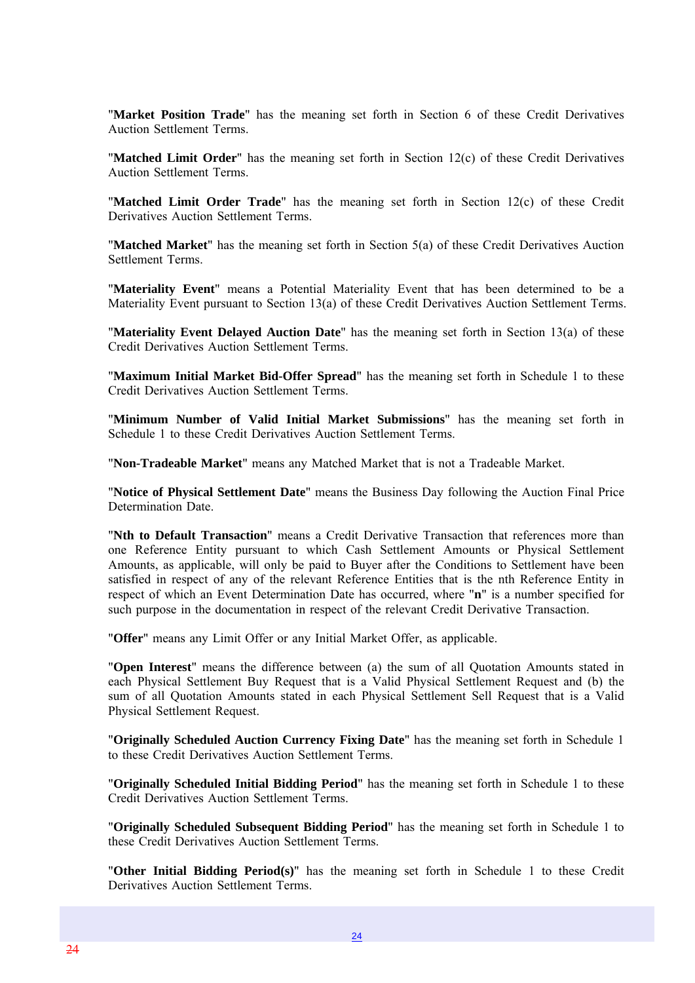"**Market Position Trade**" has the meaning set forth in Section 6 of these Credit Derivatives Auction Settlement Terms.

"**Matched Limit Order**" has the meaning set forth in Section 12(c) of these Credit Derivatives Auction Settlement Terms.

"**Matched Limit Order Trade**" has the meaning set forth in Section 12(c) of these Credit Derivatives Auction Settlement Terms.

"**Matched Market**" has the meaning set forth in Section 5(a) of these Credit Derivatives Auction Settlement Terms.

"**Materiality Event**" means a Potential Materiality Event that has been determined to be a Materiality Event pursuant to Section 13(a) of these Credit Derivatives Auction Settlement Terms.

"**Materiality Event Delayed Auction Date**" has the meaning set forth in Section 13(a) of these Credit Derivatives Auction Settlement Terms.

"**Maximum Initial Market Bid-Offer Spread**" has the meaning set forth in Schedule 1 to these Credit Derivatives Auction Settlement Terms.

"**Minimum Number of Valid Initial Market Submissions**" has the meaning set forth in Schedule 1 to these Credit Derivatives Auction Settlement Terms.

"**Non-Tradeable Market**" means any Matched Market that is not a Tradeable Market.

"**Notice of Physical Settlement Date**" means the Business Day following the Auction Final Price Determination Date.

"**Nth to Default Transaction**" means a Credit Derivative Transaction that references more than one Reference Entity pursuant to which Cash Settlement Amounts or Physical Settlement Amounts, as applicable, will only be paid to Buyer after the Conditions to Settlement have been satisfied in respect of any of the relevant Reference Entities that is the nth Reference Entity in respect of which an Event Determination Date has occurred, where "**n**" is a number specified for such purpose in the documentation in respect of the relevant Credit Derivative Transaction.

"**Offer**" means any Limit Offer or any Initial Market Offer, as applicable.

"**Open Interest**" means the difference between (a) the sum of all Quotation Amounts stated in each Physical Settlement Buy Request that is a Valid Physical Settlement Request and (b) the sum of all Quotation Amounts stated in each Physical Settlement Sell Request that is a Valid Physical Settlement Request.

"**Originally Scheduled Auction Currency Fixing Date**" has the meaning set forth in Schedule 1 to these Credit Derivatives Auction Settlement Terms.

"**Originally Scheduled Initial Bidding Period**" has the meaning set forth in Schedule 1 to these Credit Derivatives Auction Settlement Terms.

"**Originally Scheduled Subsequent Bidding Period**" has the meaning set forth in Schedule 1 to these Credit Derivatives Auction Settlement Terms.

"**Other Initial Bidding Period(s)**" has the meaning set forth in Schedule 1 to these Credit Derivatives Auction Settlement Terms.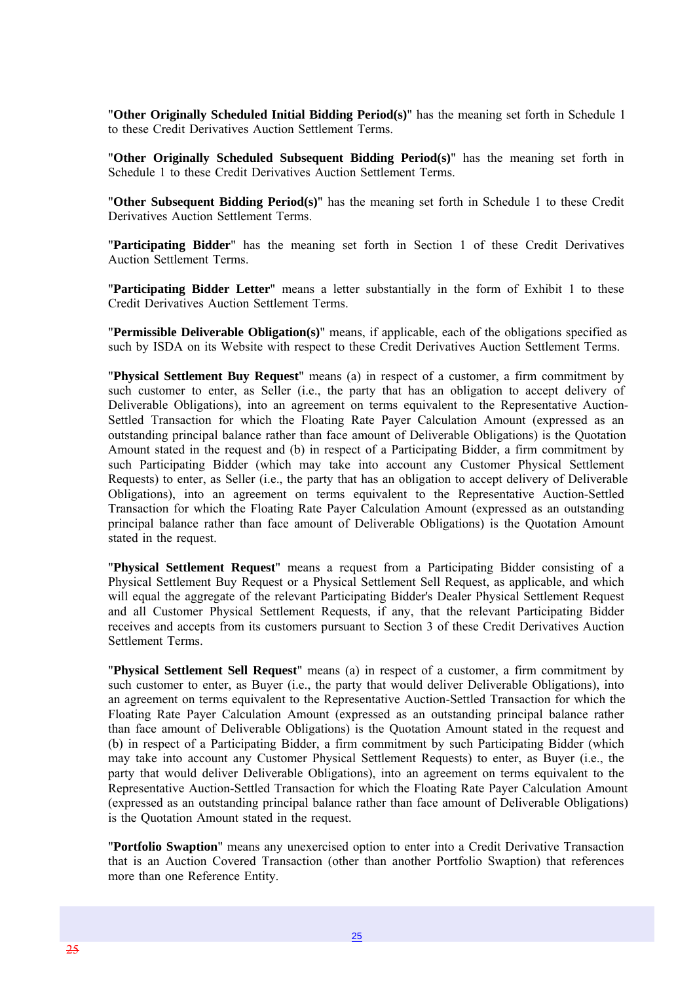"**Other Originally Scheduled Initial Bidding Period(s)**" has the meaning set forth in Schedule 1 to these Credit Derivatives Auction Settlement Terms.

"**Other Originally Scheduled Subsequent Bidding Period(s)**" has the meaning set forth in Schedule 1 to these Credit Derivatives Auction Settlement Terms.

"**Other Subsequent Bidding Period(s)**" has the meaning set forth in Schedule 1 to these Credit Derivatives Auction Settlement Terms.

"**Participating Bidder**" has the meaning set forth in Section 1 of these Credit Derivatives Auction Settlement Terms.

"**Participating Bidder Letter**" means a letter substantially in the form of Exhibit 1 to these Credit Derivatives Auction Settlement Terms.

"**Permissible Deliverable Obligation(s)**" means, if applicable, each of the obligations specified as such by ISDA on its Website with respect to these Credit Derivatives Auction Settlement Terms.

"**Physical Settlement Buy Request**" means (a) in respect of a customer, a firm commitment by such customer to enter, as Seller (i.e., the party that has an obligation to accept delivery of Deliverable Obligations), into an agreement on terms equivalent to the Representative Auction-Settled Transaction for which the Floating Rate Payer Calculation Amount (expressed as an outstanding principal balance rather than face amount of Deliverable Obligations) is the Quotation Amount stated in the request and (b) in respect of a Participating Bidder, a firm commitment by such Participating Bidder (which may take into account any Customer Physical Settlement Requests) to enter, as Seller (i.e., the party that has an obligation to accept delivery of Deliverable Obligations), into an agreement on terms equivalent to the Representative Auction-Settled Transaction for which the Floating Rate Payer Calculation Amount (expressed as an outstanding principal balance rather than face amount of Deliverable Obligations) is the Quotation Amount stated in the request.

"**Physical Settlement Request**" means a request from a Participating Bidder consisting of a Physical Settlement Buy Request or a Physical Settlement Sell Request, as applicable, and which will equal the aggregate of the relevant Participating Bidder's Dealer Physical Settlement Request and all Customer Physical Settlement Requests, if any, that the relevant Participating Bidder receives and accepts from its customers pursuant to Section 3 of these Credit Derivatives Auction Settlement Terms.

"**Physical Settlement Sell Request**" means (a) in respect of a customer, a firm commitment by such customer to enter, as Buyer (i.e., the party that would deliver Deliverable Obligations), into an agreement on terms equivalent to the Representative Auction-Settled Transaction for which the Floating Rate Payer Calculation Amount (expressed as an outstanding principal balance rather than face amount of Deliverable Obligations) is the Quotation Amount stated in the request and (b) in respect of a Participating Bidder, a firm commitment by such Participating Bidder (which may take into account any Customer Physical Settlement Requests) to enter, as Buyer (i.e., the party that would deliver Deliverable Obligations), into an agreement on terms equivalent to the Representative Auction-Settled Transaction for which the Floating Rate Payer Calculation Amount (expressed as an outstanding principal balance rather than face amount of Deliverable Obligations) is the Quotation Amount stated in the request.

"**Portfolio Swaption**" means any unexercised option to enter into a Credit Derivative Transaction that is an Auction Covered Transaction (other than another Portfolio Swaption) that references more than one Reference Entity.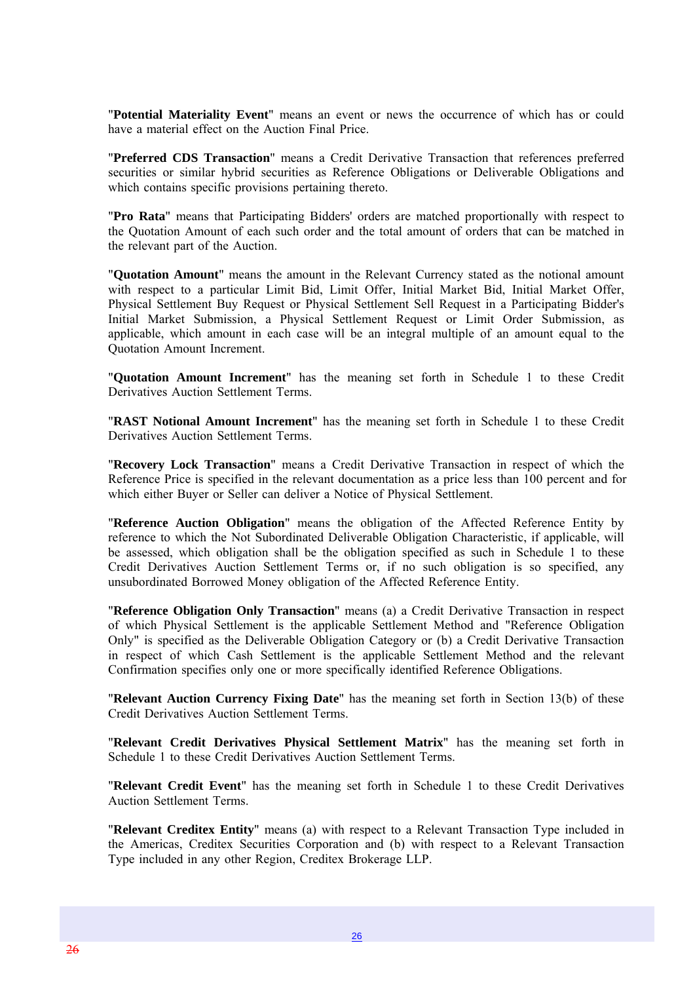"**Potential Materiality Event**" means an event or news the occurrence of which has or could have a material effect on the Auction Final Price.

"**Preferred CDS Transaction**" means a Credit Derivative Transaction that references preferred securities or similar hybrid securities as Reference Obligations or Deliverable Obligations and which contains specific provisions pertaining thereto.

"**Pro Rata**" means that Participating Bidders' orders are matched proportionally with respect to the Quotation Amount of each such order and the total amount of orders that can be matched in the relevant part of the Auction.

"**Quotation Amount**" means the amount in the Relevant Currency stated as the notional amount with respect to a particular Limit Bid, Limit Offer, Initial Market Bid, Initial Market Offer, Physical Settlement Buy Request or Physical Settlement Sell Request in a Participating Bidder's Initial Market Submission, a Physical Settlement Request or Limit Order Submission, as applicable, which amount in each case will be an integral multiple of an amount equal to the Quotation Amount Increment.

"**Quotation Amount Increment**" has the meaning set forth in Schedule 1 to these Credit Derivatives Auction Settlement Terms.

"**RAST Notional Amount Increment**" has the meaning set forth in Schedule 1 to these Credit Derivatives Auction Settlement Terms.

"**Recovery Lock Transaction**" means a Credit Derivative Transaction in respect of which the Reference Price is specified in the relevant documentation as a price less than 100 percent and for which either Buyer or Seller can deliver a Notice of Physical Settlement.

"**Reference Auction Obligation**" means the obligation of the Affected Reference Entity by reference to which the Not Subordinated Deliverable Obligation Characteristic, if applicable, will be assessed, which obligation shall be the obligation specified as such in Schedule 1 to these Credit Derivatives Auction Settlement Terms or, if no such obligation is so specified, any unsubordinated Borrowed Money obligation of the Affected Reference Entity.

"**Reference Obligation Only Transaction**" means (a) a Credit Derivative Transaction in respect of which Physical Settlement is the applicable Settlement Method and "Reference Obligation Only" is specified as the Deliverable Obligation Category or (b) a Credit Derivative Transaction in respect of which Cash Settlement is the applicable Settlement Method and the relevant Confirmation specifies only one or more specifically identified Reference Obligations.

"**Relevant Auction Currency Fixing Date**" has the meaning set forth in Section 13(b) of these Credit Derivatives Auction Settlement Terms.

"**Relevant Credit Derivatives Physical Settlement Matrix**" has the meaning set forth in Schedule 1 to these Credit Derivatives Auction Settlement Terms.

"**Relevant Credit Event**" has the meaning set forth in Schedule 1 to these Credit Derivatives Auction Settlement Terms.

"**Relevant Creditex Entity**" means (a) with respect to a Relevant Transaction Type included in the Americas, Creditex Securities Corporation and (b) with respect to a Relevant Transaction Type included in any other Region, Creditex Brokerage LLP.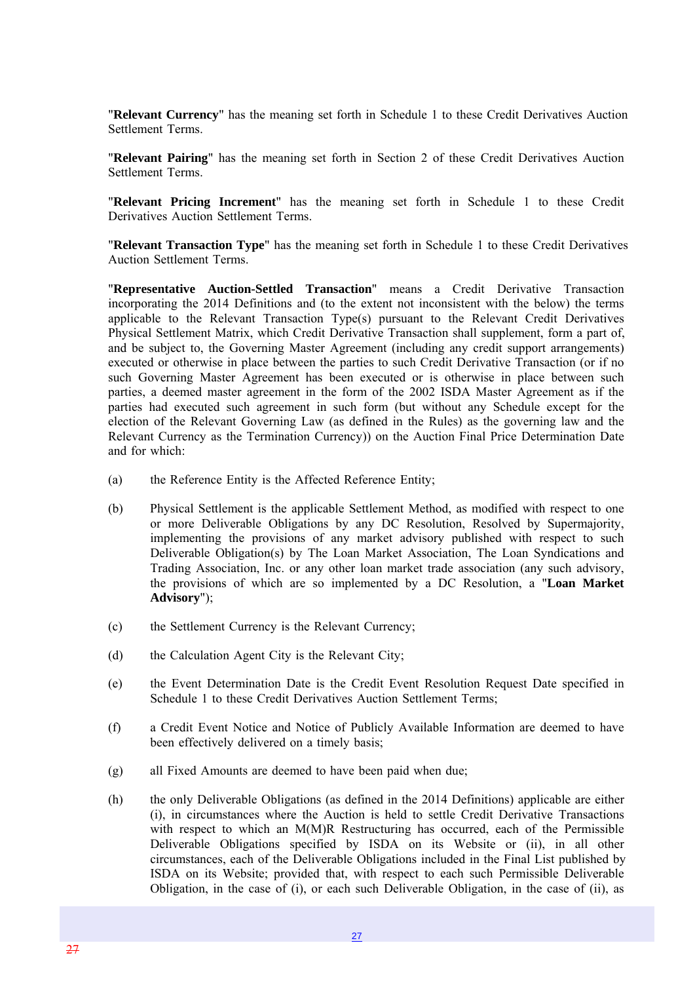"**Relevant Currency**" has the meaning set forth in Schedule 1 to these Credit Derivatives Auction Settlement Terms.

"**Relevant Pairing**" has the meaning set forth in Section 2 of these Credit Derivatives Auction Settlement Terms.

"**Relevant Pricing Increment**" has the meaning set forth in Schedule 1 to these Credit Derivatives Auction Settlement Terms.

"**Relevant Transaction Type**" has the meaning set forth in Schedule 1 to these Credit Derivatives Auction Settlement Terms.

"**Representative Auction-Settled Transaction**" means a Credit Derivative Transaction incorporating the 2014 Definitions and (to the extent not inconsistent with the below) the terms applicable to the Relevant Transaction Type(s) pursuant to the Relevant Credit Derivatives Physical Settlement Matrix, which Credit Derivative Transaction shall supplement, form a part of, and be subject to, the Governing Master Agreement (including any credit support arrangements) executed or otherwise in place between the parties to such Credit Derivative Transaction (or if no such Governing Master Agreement has been executed or is otherwise in place between such parties, a deemed master agreement in the form of the 2002 ISDA Master Agreement as if the parties had executed such agreement in such form (but without any Schedule except for the election of the Relevant Governing Law (as defined in the Rules) as the governing law and the Relevant Currency as the Termination Currency)) on the Auction Final Price Determination Date and for which:

- (a) the Reference Entity is the Affected Reference Entity;
- (b) Physical Settlement is the applicable Settlement Method, as modified with respect to one or more Deliverable Obligations by any DC Resolution, Resolved by Supermajority, implementing the provisions of any market advisory published with respect to such Deliverable Obligation(s) by The Loan Market Association, The Loan Syndications and Trading Association, Inc. or any other loan market trade association (any such advisory, the provisions of which are so implemented by a DC Resolution, a "**Loan Market Advisory**");
- (c) the Settlement Currency is the Relevant Currency;
- (d) the Calculation Agent City is the Relevant City;
- (e) the Event Determination Date is the Credit Event Resolution Request Date specified in Schedule 1 to these Credit Derivatives Auction Settlement Terms;
- (f) a Credit Event Notice and Notice of Publicly Available Information are deemed to have been effectively delivered on a timely basis;
- (g) all Fixed Amounts are deemed to have been paid when due;
- (h) the only Deliverable Obligations (as defined in the 2014 Definitions) applicable are either (i), in circumstances where the Auction is held to settle Credit Derivative Transactions with respect to which an M(M)R Restructuring has occurred, each of the Permissible Deliverable Obligations specified by ISDA on its Website or (ii), in all other circumstances, each of the Deliverable Obligations included in the Final List published by ISDA on its Website; provided that, with respect to each such Permissible Deliverable Obligation, in the case of (i), or each such Deliverable Obligation, in the case of (ii), as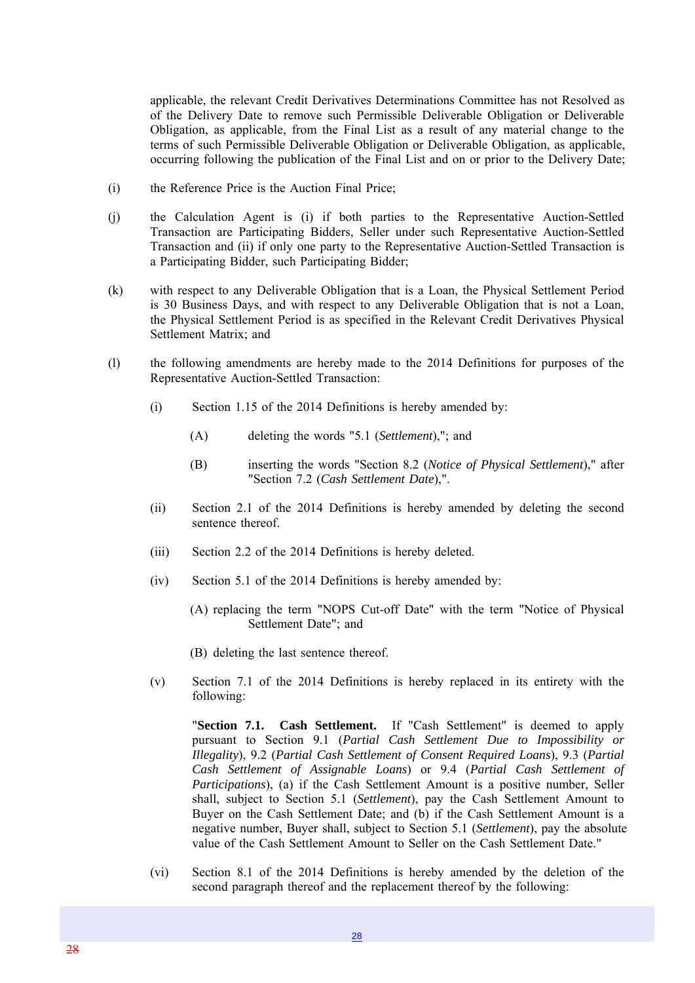applicable, the relevant Credit Derivatives Determinations Committee has not Resolved as of the Delivery Date to remove such Permissible Deliverable Obligation or Deliverable Obligation, as applicable, from the Final List as a result of any material change to the terms of such Permissible Deliverable Obligation or Deliverable Obligation, as applicable, occurring following the publication of the Final List and on or prior to the Delivery Date;

- (i) the Reference Price is the Auction Final Price;
- (j) the Calculation Agent is (i) if both parties to the Representative Auction-Settled Transaction are Participating Bidders, Seller under such Representative Auction-Settled Transaction and (ii) if only one party to the Representative Auction-Settled Transaction is a Participating Bidder, such Participating Bidder;
- (k) with respect to any Deliverable Obligation that is a Loan, the Physical Settlement Period is 30 Business Days, and with respect to any Deliverable Obligation that is not a Loan, the Physical Settlement Period is as specified in the Relevant Credit Derivatives Physical Settlement Matrix; and
- (l) the following amendments are hereby made to the 2014 Definitions for purposes of the Representative Auction-Settled Transaction:
	- (i) Section 1.15 of the 2014 Definitions is hereby amended by:
		- (A) deleting the words "5.1 (*Settlement*),"; and
		- (B) inserting the words "Section 8.2 (*Notice of Physical Settlement*)," after "Section 7.2 (*Cash Settlement Date*),".
	- (ii) Section 2.1 of the 2014 Definitions is hereby amended by deleting the second sentence thereof.
	- (iii) Section 2.2 of the 2014 Definitions is hereby deleted.
	- (iv) Section 5.1 of the 2014 Definitions is hereby amended by:
		- (A) replacing the term "NOPS Cut-off Date" with the term "Notice of Physical Settlement Date"; and
		- (B) deleting the last sentence thereof.
	- (v) Section 7.1 of the 2014 Definitions is hereby replaced in its entirety with the following:

"**Section 7.1. Cash Settlement.** If "Cash Settlement" is deemed to apply pursuant to Section 9.1 (*Partial Cash Settlement Due to Impossibility or Illegality*), 9.2 (*Partial Cash Settlement of Consent Required Loans*), 9.3 (*Partial Cash Settlement of Assignable Loans*) or 9.4 (*Partial Cash Settlement of Participations*), (a) if the Cash Settlement Amount is a positive number, Seller shall, subject to Section 5.1 (*Settlement*), pay the Cash Settlement Amount to Buyer on the Cash Settlement Date; and (b) if the Cash Settlement Amount is a negative number, Buyer shall, subject to Section 5.1 (*Settlement*), pay the absolute value of the Cash Settlement Amount to Seller on the Cash Settlement Date."

(vi) Section 8.1 of the 2014 Definitions is hereby amended by the deletion of the second paragraph thereof and the replacement thereof by the following: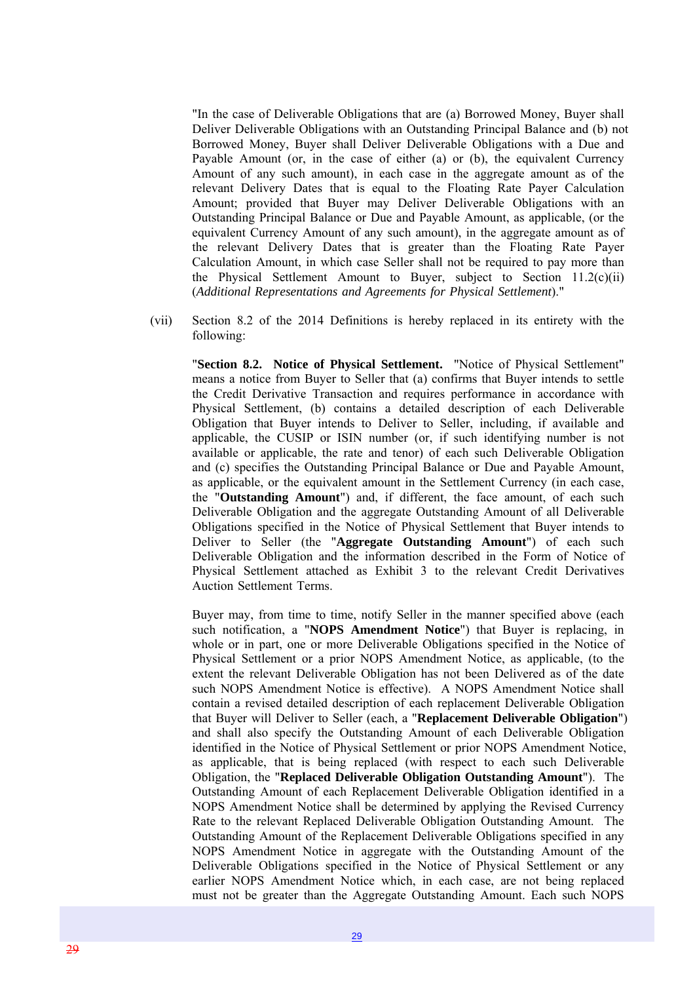"In the case of Deliverable Obligations that are (a) Borrowed Money, Buyer shall Deliver Deliverable Obligations with an Outstanding Principal Balance and (b) not Borrowed Money, Buyer shall Deliver Deliverable Obligations with a Due and Payable Amount (or, in the case of either (a) or (b), the equivalent Currency Amount of any such amount), in each case in the aggregate amount as of the relevant Delivery Dates that is equal to the Floating Rate Payer Calculation Amount; provided that Buyer may Deliver Deliverable Obligations with an Outstanding Principal Balance or Due and Payable Amount, as applicable, (or the equivalent Currency Amount of any such amount), in the aggregate amount as of the relevant Delivery Dates that is greater than the Floating Rate Payer Calculation Amount, in which case Seller shall not be required to pay more than the Physical Settlement Amount to Buyer, subject to Section 11.2(c)(ii) (*Additional Representations and Agreements for Physical Settlement*)."

(vii) Section 8.2 of the 2014 Definitions is hereby replaced in its entirety with the following:

"**Section 8.2. Notice of Physical Settlement.** "Notice of Physical Settlement" means a notice from Buyer to Seller that (a) confirms that Buyer intends to settle the Credit Derivative Transaction and requires performance in accordance with Physical Settlement, (b) contains a detailed description of each Deliverable Obligation that Buyer intends to Deliver to Seller, including, if available and applicable, the CUSIP or ISIN number (or, if such identifying number is not available or applicable, the rate and tenor) of each such Deliverable Obligation and (c) specifies the Outstanding Principal Balance or Due and Payable Amount, as applicable, or the equivalent amount in the Settlement Currency (in each case, the "**Outstanding Amount**") and, if different, the face amount, of each such Deliverable Obligation and the aggregate Outstanding Amount of all Deliverable Obligations specified in the Notice of Physical Settlement that Buyer intends to Deliver to Seller (the "**Aggregate Outstanding Amount**") of each such Deliverable Obligation and the information described in the Form of Notice of Physical Settlement attached as Exhibit 3 to the relevant Credit Derivatives Auction Settlement Terms.

Buyer may, from time to time, notify Seller in the manner specified above (each such notification, a "**NOPS Amendment Notice**") that Buyer is replacing, in whole or in part, one or more Deliverable Obligations specified in the Notice of Physical Settlement or a prior NOPS Amendment Notice, as applicable, (to the extent the relevant Deliverable Obligation has not been Delivered as of the date such NOPS Amendment Notice is effective). A NOPS Amendment Notice shall contain a revised detailed description of each replacement Deliverable Obligation that Buyer will Deliver to Seller (each, a "**Replacement Deliverable Obligation**") and shall also specify the Outstanding Amount of each Deliverable Obligation identified in the Notice of Physical Settlement or prior NOPS Amendment Notice, as applicable, that is being replaced (with respect to each such Deliverable Obligation, the "**Replaced Deliverable Obligation Outstanding Amount**"). The Outstanding Amount of each Replacement Deliverable Obligation identified in a NOPS Amendment Notice shall be determined by applying the Revised Currency Rate to the relevant Replaced Deliverable Obligation Outstanding Amount. The Outstanding Amount of the Replacement Deliverable Obligations specified in any NOPS Amendment Notice in aggregate with the Outstanding Amount of the Deliverable Obligations specified in the Notice of Physical Settlement or any earlier NOPS Amendment Notice which, in each case, are not being replaced must not be greater than the Aggregate Outstanding Amount. Each such NOPS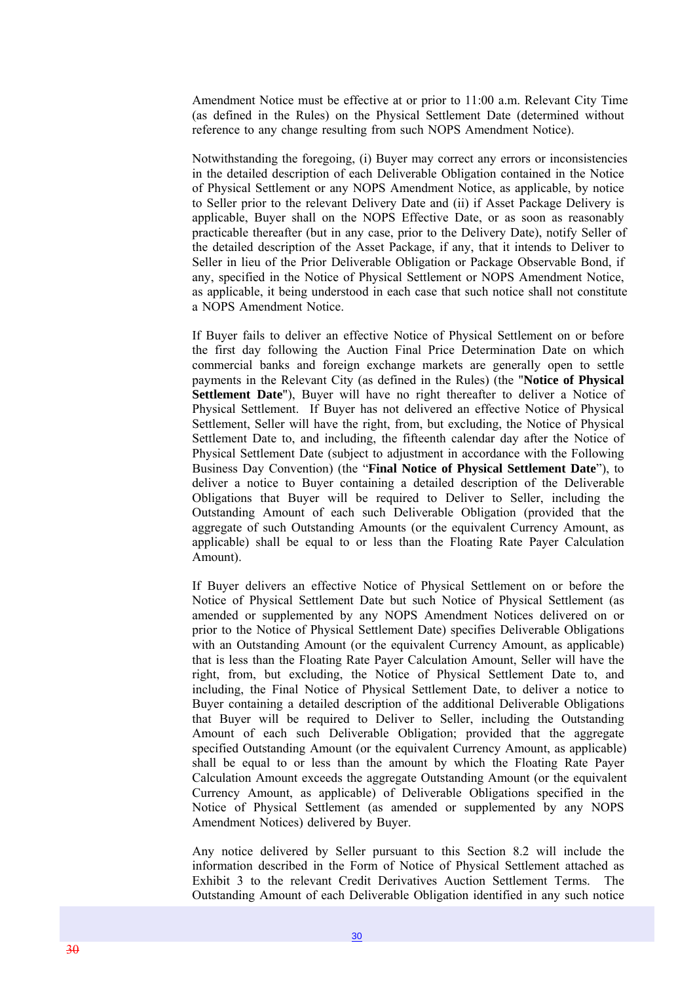Amendment Notice must be effective at or prior to 11:00 a.m. Relevant City Time (as defined in the Rules) on the Physical Settlement Date (determined without reference to any change resulting from such NOPS Amendment Notice).

Notwithstanding the foregoing, (i) Buyer may correct any errors or inconsistencies in the detailed description of each Deliverable Obligation contained in the Notice of Physical Settlement or any NOPS Amendment Notice, as applicable, by notice to Seller prior to the relevant Delivery Date and (ii) if Asset Package Delivery is applicable, Buyer shall on the NOPS Effective Date, or as soon as reasonably practicable thereafter (but in any case, prior to the Delivery Date), notify Seller of the detailed description of the Asset Package, if any, that it intends to Deliver to Seller in lieu of the Prior Deliverable Obligation or Package Observable Bond, if any, specified in the Notice of Physical Settlement or NOPS Amendment Notice, as applicable, it being understood in each case that such notice shall not constitute a NOPS Amendment Notice.

If Buyer fails to deliver an effective Notice of Physical Settlement on or before the first day following the Auction Final Price Determination Date on which commercial banks and foreign exchange markets are generally open to settle payments in the Relevant City (as defined in the Rules) (the "**Notice of Physical Settlement Date**"), Buyer will have no right thereafter to deliver a Notice of Physical Settlement. If Buyer has not delivered an effective Notice of Physical Settlement, Seller will have the right, from, but excluding, the Notice of Physical Settlement Date to, and including, the fifteenth calendar day after the Notice of Physical Settlement Date (subject to adjustment in accordance with the Following Business Day Convention) (the "**Final Notice of Physical Settlement Date**"), to deliver a notice to Buyer containing a detailed description of the Deliverable Obligations that Buyer will be required to Deliver to Seller, including the Outstanding Amount of each such Deliverable Obligation (provided that the aggregate of such Outstanding Amounts (or the equivalent Currency Amount, as applicable) shall be equal to or less than the Floating Rate Payer Calculation Amount).

If Buyer delivers an effective Notice of Physical Settlement on or before the Notice of Physical Settlement Date but such Notice of Physical Settlement (as amended or supplemented by any NOPS Amendment Notices delivered on or prior to the Notice of Physical Settlement Date) specifies Deliverable Obligations with an Outstanding Amount (or the equivalent Currency Amount, as applicable) that is less than the Floating Rate Payer Calculation Amount, Seller will have the right, from, but excluding, the Notice of Physical Settlement Date to, and including, the Final Notice of Physical Settlement Date, to deliver a notice to Buyer containing a detailed description of the additional Deliverable Obligations that Buyer will be required to Deliver to Seller, including the Outstanding Amount of each such Deliverable Obligation; provided that the aggregate specified Outstanding Amount (or the equivalent Currency Amount, as applicable) shall be equal to or less than the amount by which the Floating Rate Payer Calculation Amount exceeds the aggregate Outstanding Amount (or the equivalent Currency Amount, as applicable) of Deliverable Obligations specified in the Notice of Physical Settlement (as amended or supplemented by any NOPS Amendment Notices) delivered by Buyer.

Any notice delivered by Seller pursuant to this Section 8.2 will include the information described in the Form of Notice of Physical Settlement attached as Exhibit 3 to the relevant Credit Derivatives Auction Settlement Terms. The Outstanding Amount of each Deliverable Obligation identified in any such notice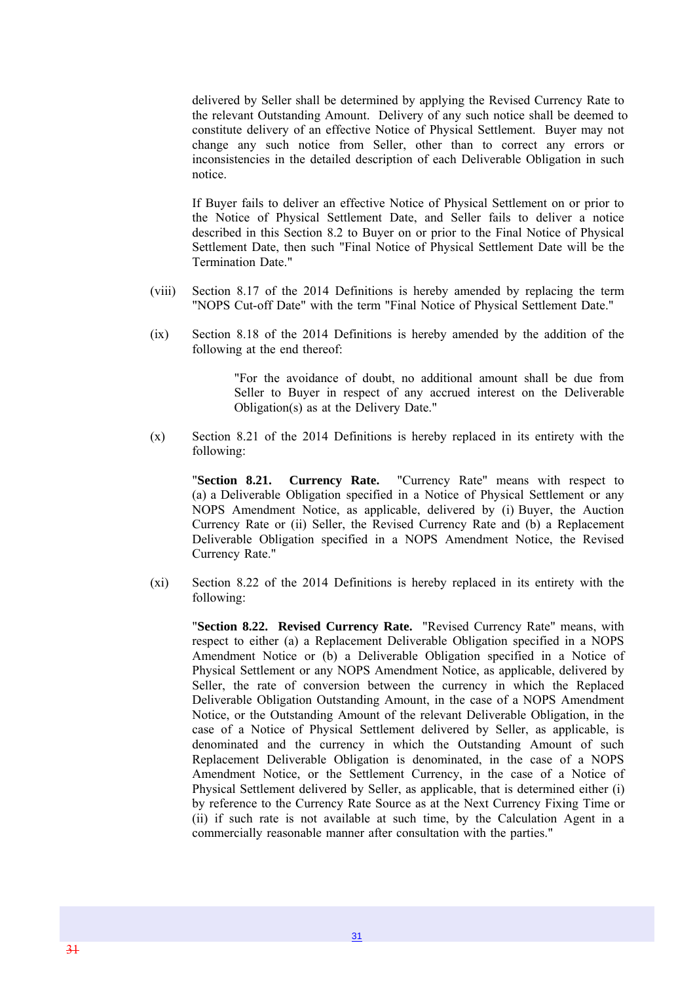delivered by Seller shall be determined by applying the Revised Currency Rate to the relevant Outstanding Amount. Delivery of any such notice shall be deemed to constitute delivery of an effective Notice of Physical Settlement. Buyer may not change any such notice from Seller, other than to correct any errors or inconsistencies in the detailed description of each Deliverable Obligation in such notice.

If Buyer fails to deliver an effective Notice of Physical Settlement on or prior to the Notice of Physical Settlement Date, and Seller fails to deliver a notice described in this Section 8.2 to Buyer on or prior to the Final Notice of Physical Settlement Date, then such "Final Notice of Physical Settlement Date will be the Termination Date."

- (viii) Section 8.17 of the 2014 Definitions is hereby amended by replacing the term "NOPS Cut-off Date" with the term "Final Notice of Physical Settlement Date."
- (ix) Section 8.18 of the 2014 Definitions is hereby amended by the addition of the following at the end thereof:

"For the avoidance of doubt, no additional amount shall be due from Seller to Buyer in respect of any accrued interest on the Deliverable Obligation(s) as at the Delivery Date."

(x) Section 8.21 of the 2014 Definitions is hereby replaced in its entirety with the following:

"**Section 8.21. Currency Rate.** "Currency Rate" means with respect to (a) a Deliverable Obligation specified in a Notice of Physical Settlement or any NOPS Amendment Notice, as applicable, delivered by (i) Buyer, the Auction Currency Rate or (ii) Seller, the Revised Currency Rate and (b) a Replacement Deliverable Obligation specified in a NOPS Amendment Notice, the Revised Currency Rate."

(xi) Section 8.22 of the 2014 Definitions is hereby replaced in its entirety with the following:

"**Section 8.22. Revised Currency Rate.** "Revised Currency Rate" means, with respect to either (a) a Replacement Deliverable Obligation specified in a NOPS Amendment Notice or (b) a Deliverable Obligation specified in a Notice of Physical Settlement or any NOPS Amendment Notice, as applicable, delivered by Seller, the rate of conversion between the currency in which the Replaced Deliverable Obligation Outstanding Amount, in the case of a NOPS Amendment Notice, or the Outstanding Amount of the relevant Deliverable Obligation, in the case of a Notice of Physical Settlement delivered by Seller, as applicable, is denominated and the currency in which the Outstanding Amount of such Replacement Deliverable Obligation is denominated, in the case of a NOPS Amendment Notice, or the Settlement Currency, in the case of a Notice of Physical Settlement delivered by Seller, as applicable, that is determined either (i) by reference to the Currency Rate Source as at the Next Currency Fixing Time or (ii) if such rate is not available at such time, by the Calculation Agent in a commercially reasonable manner after consultation with the parties."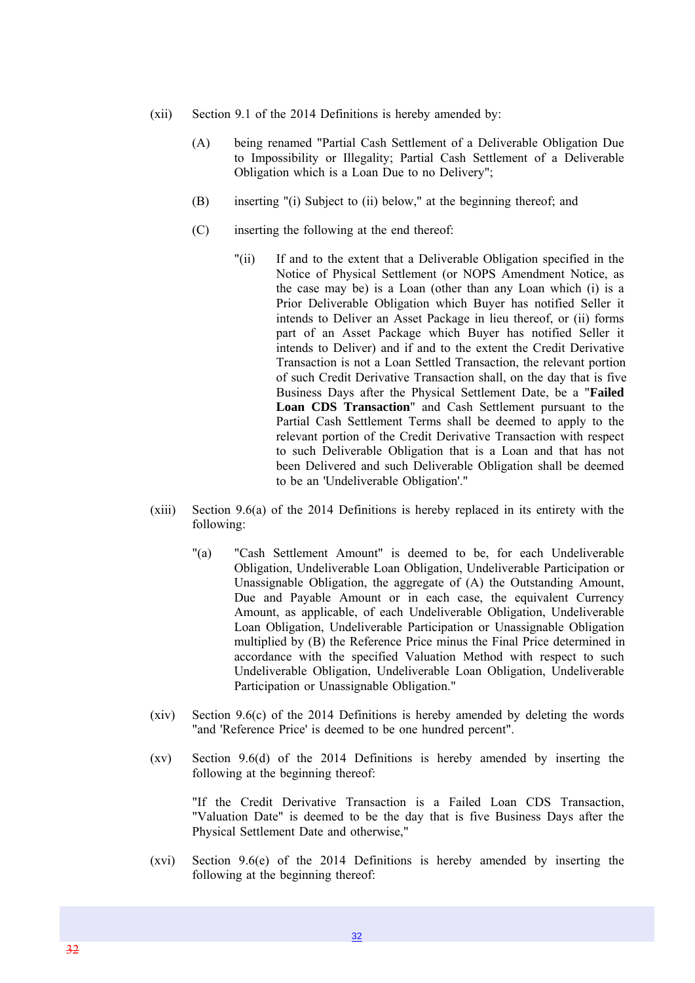- (xii) Section 9.1 of the 2014 Definitions is hereby amended by:
	- (A) being renamed "Partial Cash Settlement of a Deliverable Obligation Due to Impossibility or Illegality; Partial Cash Settlement of a Deliverable Obligation which is a Loan Due to no Delivery";
	- (B) inserting "(i) Subject to (ii) below," at the beginning thereof; and
	- (C) inserting the following at the end thereof:
		- "(ii) If and to the extent that a Deliverable Obligation specified in the Notice of Physical Settlement (or NOPS Amendment Notice, as the case may be) is a Loan (other than any Loan which (i) is a Prior Deliverable Obligation which Buyer has notified Seller it intends to Deliver an Asset Package in lieu thereof, or (ii) forms part of an Asset Package which Buyer has notified Seller it intends to Deliver) and if and to the extent the Credit Derivative Transaction is not a Loan Settled Transaction, the relevant portion of such Credit Derivative Transaction shall, on the day that is five Business Days after the Physical Settlement Date, be a "**Failed Loan CDS Transaction**" and Cash Settlement pursuant to the Partial Cash Settlement Terms shall be deemed to apply to the relevant portion of the Credit Derivative Transaction with respect to such Deliverable Obligation that is a Loan and that has not been Delivered and such Deliverable Obligation shall be deemed to be an 'Undeliverable Obligation'."
- (xiii) Section 9.6(a) of the 2014 Definitions is hereby replaced in its entirety with the following:
	- "(a) "Cash Settlement Amount" is deemed to be, for each Undeliverable Obligation, Undeliverable Loan Obligation, Undeliverable Participation or Unassignable Obligation, the aggregate of (A) the Outstanding Amount, Due and Payable Amount or in each case, the equivalent Currency Amount, as applicable, of each Undeliverable Obligation, Undeliverable Loan Obligation, Undeliverable Participation or Unassignable Obligation multiplied by (B) the Reference Price minus the Final Price determined in accordance with the specified Valuation Method with respect to such Undeliverable Obligation, Undeliverable Loan Obligation, Undeliverable Participation or Unassignable Obligation."
- (xiv) Section 9.6(c) of the 2014 Definitions is hereby amended by deleting the words "and 'Reference Price' is deemed to be one hundred percent".
- (xv) Section 9.6(d) of the 2014 Definitions is hereby amended by inserting the following at the beginning thereof:

"If the Credit Derivative Transaction is a Failed Loan CDS Transaction, "Valuation Date" is deemed to be the day that is five Business Days after the Physical Settlement Date and otherwise,"

(xvi) Section 9.6(e) of the 2014 Definitions is hereby amended by inserting the following at the beginning thereof: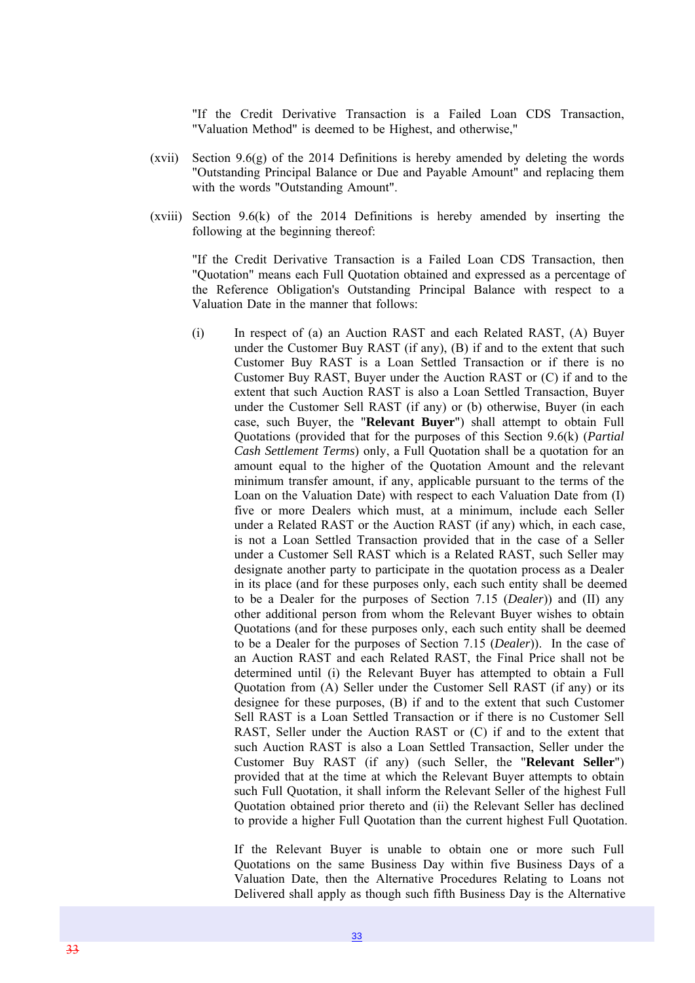"If the Credit Derivative Transaction is a Failed Loan CDS Transaction, "Valuation Method" is deemed to be Highest, and otherwise,"

- (xvii) Section 9.6(g) of the 2014 Definitions is hereby amended by deleting the words "Outstanding Principal Balance or Due and Payable Amount" and replacing them with the words "Outstanding Amount".
- (xviii) Section 9.6(k) of the 2014 Definitions is hereby amended by inserting the following at the beginning thereof:

"If the Credit Derivative Transaction is a Failed Loan CDS Transaction, then "Quotation" means each Full Quotation obtained and expressed as a percentage of the Reference Obligation's Outstanding Principal Balance with respect to a Valuation Date in the manner that follows:

(i) In respect of (a) an Auction RAST and each Related RAST, (A) Buyer under the Customer Buy RAST (if any), (B) if and to the extent that such Customer Buy RAST is a Loan Settled Transaction or if there is no Customer Buy RAST, Buyer under the Auction RAST or (C) if and to the extent that such Auction RAST is also a Loan Settled Transaction, Buyer under the Customer Sell RAST (if any) or (b) otherwise, Buyer (in each case, such Buyer, the "**Relevant Buyer**") shall attempt to obtain Full Quotations (provided that for the purposes of this Section 9.6(k) (*Partial Cash Settlement Terms*) only, a Full Quotation shall be a quotation for an amount equal to the higher of the Quotation Amount and the relevant minimum transfer amount, if any, applicable pursuant to the terms of the Loan on the Valuation Date) with respect to each Valuation Date from (I) five or more Dealers which must, at a minimum, include each Seller under a Related RAST or the Auction RAST (if any) which, in each case, is not a Loan Settled Transaction provided that in the case of a Seller under a Customer Sell RAST which is a Related RAST, such Seller may designate another party to participate in the quotation process as a Dealer in its place (and for these purposes only, each such entity shall be deemed to be a Dealer for the purposes of Section 7.15 (*Dealer*)) and (II) any other additional person from whom the Relevant Buyer wishes to obtain Quotations (and for these purposes only, each such entity shall be deemed to be a Dealer for the purposes of Section 7.15 (*Dealer*)). In the case of an Auction RAST and each Related RAST, the Final Price shall not be determined until (i) the Relevant Buyer has attempted to obtain a Full Quotation from (A) Seller under the Customer Sell RAST (if any) or its designee for these purposes, (B) if and to the extent that such Customer Sell RAST is a Loan Settled Transaction or if there is no Customer Sell RAST, Seller under the Auction RAST or (C) if and to the extent that such Auction RAST is also a Loan Settled Transaction, Seller under the Customer Buy RAST (if any) (such Seller, the "**Relevant Seller**") provided that at the time at which the Relevant Buyer attempts to obtain such Full Quotation, it shall inform the Relevant Seller of the highest Full Quotation obtained prior thereto and (ii) the Relevant Seller has declined to provide a higher Full Quotation than the current highest Full Quotation.

If the Relevant Buyer is unable to obtain one or more such Full Quotations on the same Business Day within five Business Days of a Valuation Date, then the Alternative Procedures Relating to Loans not Delivered shall apply as though such fifth Business Day is the Alternative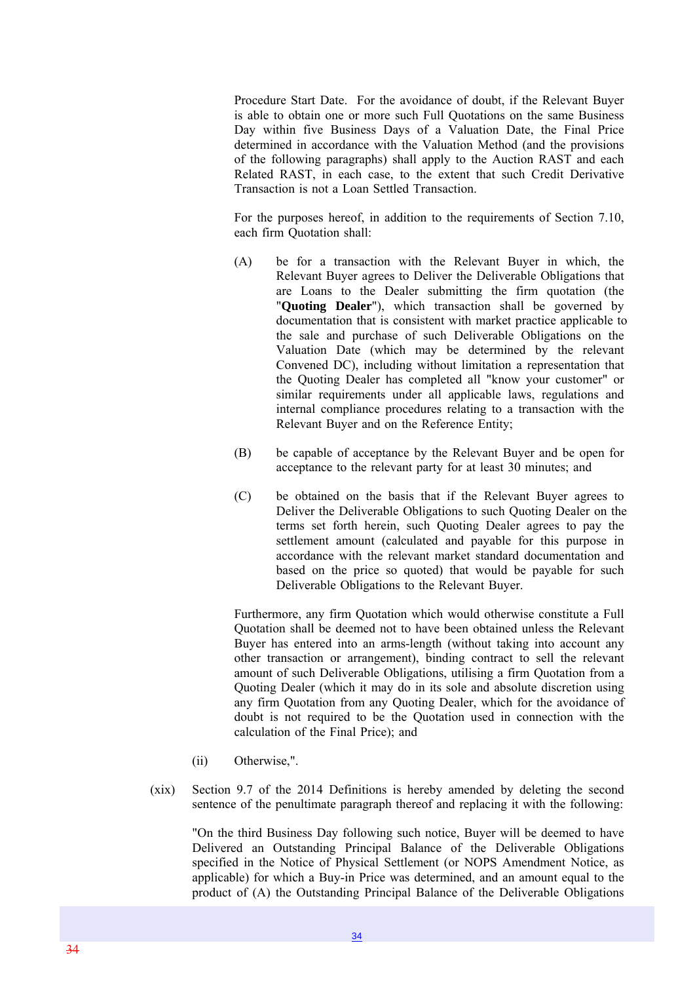Procedure Start Date. For the avoidance of doubt, if the Relevant Buyer is able to obtain one or more such Full Quotations on the same Business Day within five Business Days of a Valuation Date, the Final Price determined in accordance with the Valuation Method (and the provisions of the following paragraphs) shall apply to the Auction RAST and each Related RAST, in each case, to the extent that such Credit Derivative Transaction is not a Loan Settled Transaction.

For the purposes hereof, in addition to the requirements of Section 7.10, each firm Quotation shall:

- (A) be for a transaction with the Relevant Buyer in which, the Relevant Buyer agrees to Deliver the Deliverable Obligations that are Loans to the Dealer submitting the firm quotation (the "**Quoting Dealer**"), which transaction shall be governed by documentation that is consistent with market practice applicable to the sale and purchase of such Deliverable Obligations on the Valuation Date (which may be determined by the relevant Convened DC), including without limitation a representation that the Quoting Dealer has completed all "know your customer" or similar requirements under all applicable laws, regulations and internal compliance procedures relating to a transaction with the Relevant Buyer and on the Reference Entity;
- (B) be capable of acceptance by the Relevant Buyer and be open for acceptance to the relevant party for at least 30 minutes; and
- (C) be obtained on the basis that if the Relevant Buyer agrees to Deliver the Deliverable Obligations to such Quoting Dealer on the terms set forth herein, such Quoting Dealer agrees to pay the settlement amount (calculated and payable for this purpose in accordance with the relevant market standard documentation and based on the price so quoted) that would be payable for such Deliverable Obligations to the Relevant Buyer.

Furthermore, any firm Quotation which would otherwise constitute a Full Quotation shall be deemed not to have been obtained unless the Relevant Buyer has entered into an arms-length (without taking into account any other transaction or arrangement), binding contract to sell the relevant amount of such Deliverable Obligations, utilising a firm Quotation from a Quoting Dealer (which it may do in its sole and absolute discretion using any firm Quotation from any Quoting Dealer, which for the avoidance of doubt is not required to be the Quotation used in connection with the calculation of the Final Price); and

- (ii) Otherwise,".
- (xix) Section 9.7 of the 2014 Definitions is hereby amended by deleting the second sentence of the penultimate paragraph thereof and replacing it with the following:

"On the third Business Day following such notice, Buyer will be deemed to have Delivered an Outstanding Principal Balance of the Deliverable Obligations specified in the Notice of Physical Settlement (or NOPS Amendment Notice, as applicable) for which a Buy-in Price was determined, and an amount equal to the product of (A) the Outstanding Principal Balance of the Deliverable Obligations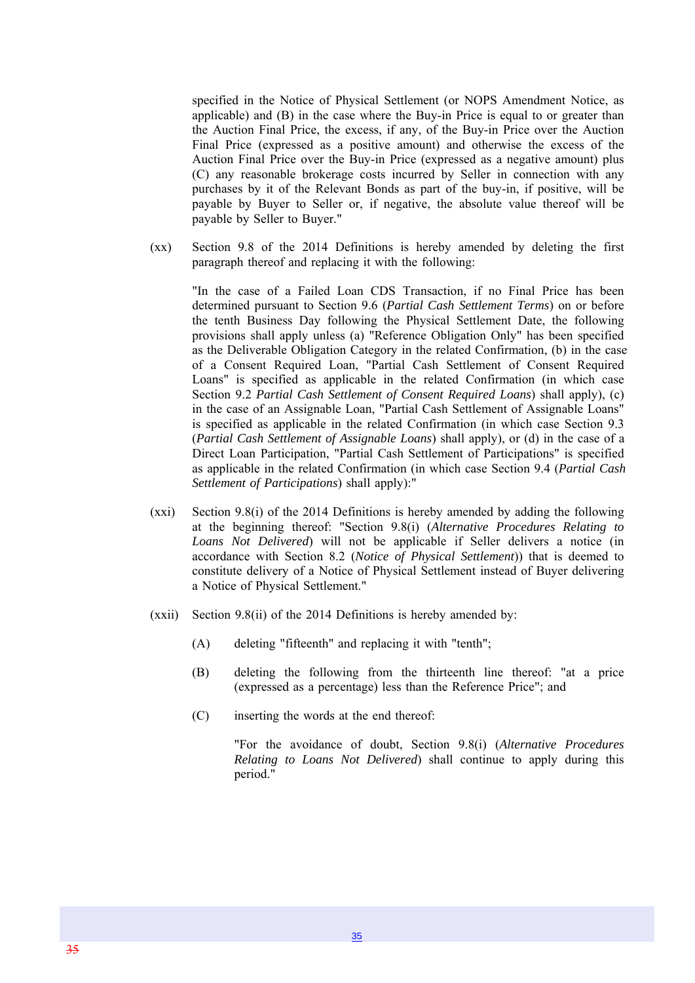specified in the Notice of Physical Settlement (or NOPS Amendment Notice, as applicable) and (B) in the case where the Buy-in Price is equal to or greater than the Auction Final Price, the excess, if any, of the Buy-in Price over the Auction Final Price (expressed as a positive amount) and otherwise the excess of the Auction Final Price over the Buy-in Price (expressed as a negative amount) plus (C) any reasonable brokerage costs incurred by Seller in connection with any purchases by it of the Relevant Bonds as part of the buy-in, if positive, will be payable by Buyer to Seller or, if negative, the absolute value thereof will be payable by Seller to Buyer."

(xx) Section 9.8 of the 2014 Definitions is hereby amended by deleting the first paragraph thereof and replacing it with the following:

"In the case of a Failed Loan CDS Transaction, if no Final Price has been determined pursuant to Section 9.6 (*Partial Cash Settlement Terms*) on or before the tenth Business Day following the Physical Settlement Date, the following provisions shall apply unless (a) "Reference Obligation Only" has been specified as the Deliverable Obligation Category in the related Confirmation, (b) in the case of a Consent Required Loan, "Partial Cash Settlement of Consent Required Loans" is specified as applicable in the related Confirmation (in which case Section 9.2 *Partial Cash Settlement of Consent Required Loans*) shall apply), (c) in the case of an Assignable Loan, "Partial Cash Settlement of Assignable Loans" is specified as applicable in the related Confirmation (in which case Section 9.3 (*Partial Cash Settlement of Assignable Loans*) shall apply), or (d) in the case of a Direct Loan Participation, "Partial Cash Settlement of Participations" is specified as applicable in the related Confirmation (in which case Section 9.4 (*Partial Cash Settlement of Participations*) shall apply):"

- (xxi) Section 9.8(i) of the 2014 Definitions is hereby amended by adding the following at the beginning thereof: "Section 9.8(i) (*Alternative Procedures Relating to Loans Not Delivered*) will not be applicable if Seller delivers a notice (in accordance with Section 8.2 (*Notice of Physical Settlement*)) that is deemed to constitute delivery of a Notice of Physical Settlement instead of Buyer delivering a Notice of Physical Settlement."
- (xxii) Section 9.8(ii) of the 2014 Definitions is hereby amended by:
	- (A) deleting "fifteenth" and replacing it with "tenth";
	- (B) deleting the following from the thirteenth line thereof: "at a price (expressed as a percentage) less than the Reference Price"; and
	- (C) inserting the words at the end thereof:

"For the avoidance of doubt, Section 9.8(i) (*Alternative Procedures Relating to Loans Not Delivered*) shall continue to apply during this period."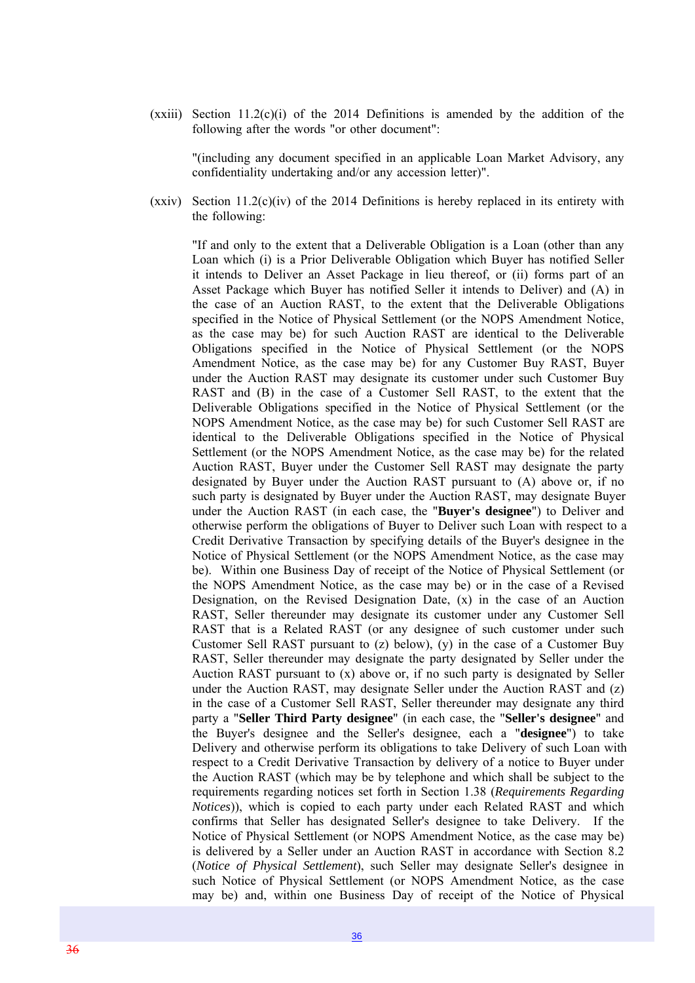$(xxiii)$  Section 11.2(c)(i) of the 2014 Definitions is amended by the addition of the following after the words "or other document":

"(including any document specified in an applicable Loan Market Advisory, any confidentiality undertaking and/or any accession letter)".

(xxiv) Section 11.2(c)(iv) of the 2014 Definitions is hereby replaced in its entirety with the following:

"If and only to the extent that a Deliverable Obligation is a Loan (other than any Loan which (i) is a Prior Deliverable Obligation which Buyer has notified Seller it intends to Deliver an Asset Package in lieu thereof, or (ii) forms part of an Asset Package which Buyer has notified Seller it intends to Deliver) and (A) in the case of an Auction RAST, to the extent that the Deliverable Obligations specified in the Notice of Physical Settlement (or the NOPS Amendment Notice, as the case may be) for such Auction RAST are identical to the Deliverable Obligations specified in the Notice of Physical Settlement (or the NOPS Amendment Notice, as the case may be) for any Customer Buy RAST, Buyer under the Auction RAST may designate its customer under such Customer Buy RAST and (B) in the case of a Customer Sell RAST, to the extent that the Deliverable Obligations specified in the Notice of Physical Settlement (or the NOPS Amendment Notice, as the case may be) for such Customer Sell RAST are identical to the Deliverable Obligations specified in the Notice of Physical Settlement (or the NOPS Amendment Notice, as the case may be) for the related Auction RAST, Buyer under the Customer Sell RAST may designate the party designated by Buyer under the Auction RAST pursuant to (A) above or, if no such party is designated by Buyer under the Auction RAST, may designate Buyer under the Auction RAST (in each case, the "**Buyer's designee**") to Deliver and otherwise perform the obligations of Buyer to Deliver such Loan with respect to a Credit Derivative Transaction by specifying details of the Buyer's designee in the Notice of Physical Settlement (or the NOPS Amendment Notice, as the case may be). Within one Business Day of receipt of the Notice of Physical Settlement (or the NOPS Amendment Notice, as the case may be) or in the case of a Revised Designation, on the Revised Designation Date, (x) in the case of an Auction RAST, Seller thereunder may designate its customer under any Customer Sell RAST that is a Related RAST (or any designee of such customer under such Customer Sell RAST pursuant to (z) below), (y) in the case of a Customer Buy RAST, Seller thereunder may designate the party designated by Seller under the Auction RAST pursuant to (x) above or, if no such party is designated by Seller under the Auction RAST, may designate Seller under the Auction RAST and (z) in the case of a Customer Sell RAST, Seller thereunder may designate any third party a "**Seller Third Party designee**" (in each case, the "**Seller's designee**" and the Buyer's designee and the Seller's designee, each a "**designee**") to take Delivery and otherwise perform its obligations to take Delivery of such Loan with respect to a Credit Derivative Transaction by delivery of a notice to Buyer under the Auction RAST (which may be by telephone and which shall be subject to the requirements regarding notices set forth in Section 1.38 (*Requirements Regarding Notices*)), which is copied to each party under each Related RAST and which confirms that Seller has designated Seller's designee to take Delivery. If the Notice of Physical Settlement (or NOPS Amendment Notice, as the case may be) is delivered by a Seller under an Auction RAST in accordance with Section 8.2 (*Notice of Physical Settlement*), such Seller may designate Seller's designee in such Notice of Physical Settlement (or NOPS Amendment Notice, as the case may be) and, within one Business Day of receipt of the Notice of Physical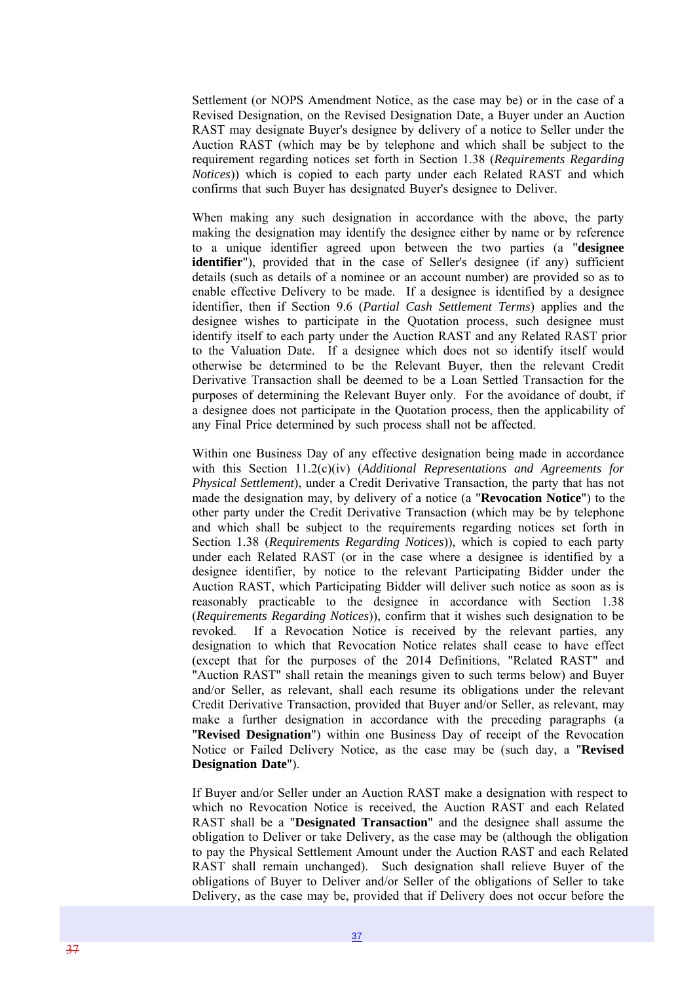Settlement (or NOPS Amendment Notice, as the case may be) or in the case of a Revised Designation, on the Revised Designation Date, a Buyer under an Auction RAST may designate Buyer's designee by delivery of a notice to Seller under the Auction RAST (which may be by telephone and which shall be subject to the requirement regarding notices set forth in Section 1.38 (*Requirements Regarding Notices*)) which is copied to each party under each Related RAST and which confirms that such Buyer has designated Buyer's designee to Deliver.

When making any such designation in accordance with the above, the party making the designation may identify the designee either by name or by reference to a unique identifier agreed upon between the two parties (a "**designee identifier**"), provided that in the case of Seller's designee (if any) sufficient details (such as details of a nominee or an account number) are provided so as to enable effective Delivery to be made. If a designee is identified by a designee identifier, then if Section 9.6 (*Partial Cash Settlement Terms*) applies and the designee wishes to participate in the Quotation process, such designee must identify itself to each party under the Auction RAST and any Related RAST prior to the Valuation Date. If a designee which does not so identify itself would otherwise be determined to be the Relevant Buyer, then the relevant Credit Derivative Transaction shall be deemed to be a Loan Settled Transaction for the purposes of determining the Relevant Buyer only. For the avoidance of doubt, if a designee does not participate in the Quotation process, then the applicability of any Final Price determined by such process shall not be affected.

Within one Business Day of any effective designation being made in accordance with this Section 11.2(c)(iv) (*Additional Representations and Agreements for Physical Settlement*), under a Credit Derivative Transaction, the party that has not made the designation may, by delivery of a notice (a "**Revocation Notice**") to the other party under the Credit Derivative Transaction (which may be by telephone and which shall be subject to the requirements regarding notices set forth in Section 1.38 (*Requirements Regarding Notices*)), which is copied to each party under each Related RAST (or in the case where a designee is identified by a designee identifier, by notice to the relevant Participating Bidder under the Auction RAST, which Participating Bidder will deliver such notice as soon as is reasonably practicable to the designee in accordance with Section 1.38 (*Requirements Regarding Notices*)), confirm that it wishes such designation to be revoked. If a Revocation Notice is received by the relevant parties, any designation to which that Revocation Notice relates shall cease to have effect (except that for the purposes of the 2014 Definitions, "Related RAST" and "Auction RAST" shall retain the meanings given to such terms below) and Buyer and/or Seller, as relevant, shall each resume its obligations under the relevant Credit Derivative Transaction, provided that Buyer and/or Seller, as relevant, may make a further designation in accordance with the preceding paragraphs (a "**Revised Designation**") within one Business Day of receipt of the Revocation Notice or Failed Delivery Notice, as the case may be (such day, a "**Revised Designation Date**").

If Buyer and/or Seller under an Auction RAST make a designation with respect to which no Revocation Notice is received, the Auction RAST and each Related RAST shall be a "**Designated Transaction**" and the designee shall assume the obligation to Deliver or take Delivery, as the case may be (although the obligation to pay the Physical Settlement Amount under the Auction RAST and each Related RAST shall remain unchanged). Such designation shall relieve Buyer of the obligations of Buyer to Deliver and/or Seller of the obligations of Seller to take Delivery, as the case may be, provided that if Delivery does not occur before the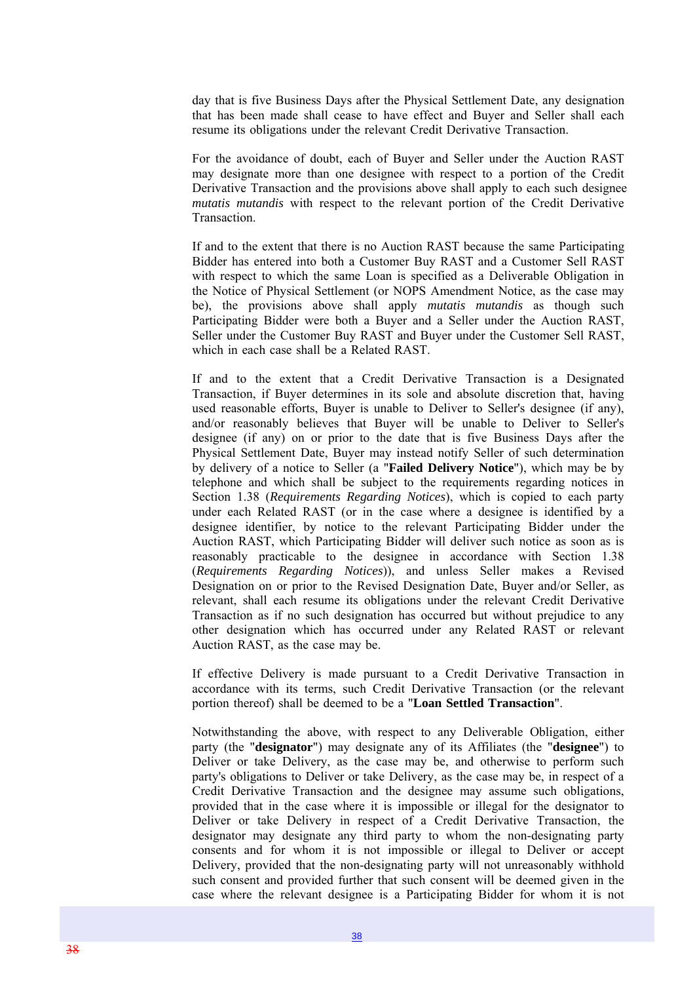day that is five Business Days after the Physical Settlement Date, any designation that has been made shall cease to have effect and Buyer and Seller shall each resume its obligations under the relevant Credit Derivative Transaction.

For the avoidance of doubt, each of Buyer and Seller under the Auction RAST may designate more than one designee with respect to a portion of the Credit Derivative Transaction and the provisions above shall apply to each such designee *mutatis mutandis* with respect to the relevant portion of the Credit Derivative **Transaction** 

If and to the extent that there is no Auction RAST because the same Participating Bidder has entered into both a Customer Buy RAST and a Customer Sell RAST with respect to which the same Loan is specified as a Deliverable Obligation in the Notice of Physical Settlement (or NOPS Amendment Notice, as the case may be), the provisions above shall apply *mutatis mutandis* as though such Participating Bidder were both a Buyer and a Seller under the Auction RAST, Seller under the Customer Buy RAST and Buyer under the Customer Sell RAST, which in each case shall be a Related RAST.

If and to the extent that a Credit Derivative Transaction is a Designated Transaction, if Buyer determines in its sole and absolute discretion that, having used reasonable efforts, Buyer is unable to Deliver to Seller's designee (if any), and/or reasonably believes that Buyer will be unable to Deliver to Seller's designee (if any) on or prior to the date that is five Business Days after the Physical Settlement Date, Buyer may instead notify Seller of such determination by delivery of a notice to Seller (a "**Failed Delivery Notice**"), which may be by telephone and which shall be subject to the requirements regarding notices in Section 1.38 (*Requirements Regarding Notices*), which is copied to each party under each Related RAST (or in the case where a designee is identified by a designee identifier, by notice to the relevant Participating Bidder under the Auction RAST, which Participating Bidder will deliver such notice as soon as is reasonably practicable to the designee in accordance with Section 1.38 (*Requirements Regarding Notices*)), and unless Seller makes a Revised Designation on or prior to the Revised Designation Date, Buyer and/or Seller, as relevant, shall each resume its obligations under the relevant Credit Derivative Transaction as if no such designation has occurred but without prejudice to any other designation which has occurred under any Related RAST or relevant Auction RAST, as the case may be.

If effective Delivery is made pursuant to a Credit Derivative Transaction in accordance with its terms, such Credit Derivative Transaction (or the relevant portion thereof) shall be deemed to be a "**Loan Settled Transaction**".

Notwithstanding the above, with respect to any Deliverable Obligation, either party (the "**designator**") may designate any of its Affiliates (the "**designee**") to Deliver or take Delivery, as the case may be, and otherwise to perform such party's obligations to Deliver or take Delivery, as the case may be, in respect of a Credit Derivative Transaction and the designee may assume such obligations, provided that in the case where it is impossible or illegal for the designator to Deliver or take Delivery in respect of a Credit Derivative Transaction, the designator may designate any third party to whom the non-designating party consents and for whom it is not impossible or illegal to Deliver or accept Delivery, provided that the non-designating party will not unreasonably withhold such consent and provided further that such consent will be deemed given in the case where the relevant designee is a Participating Bidder for whom it is not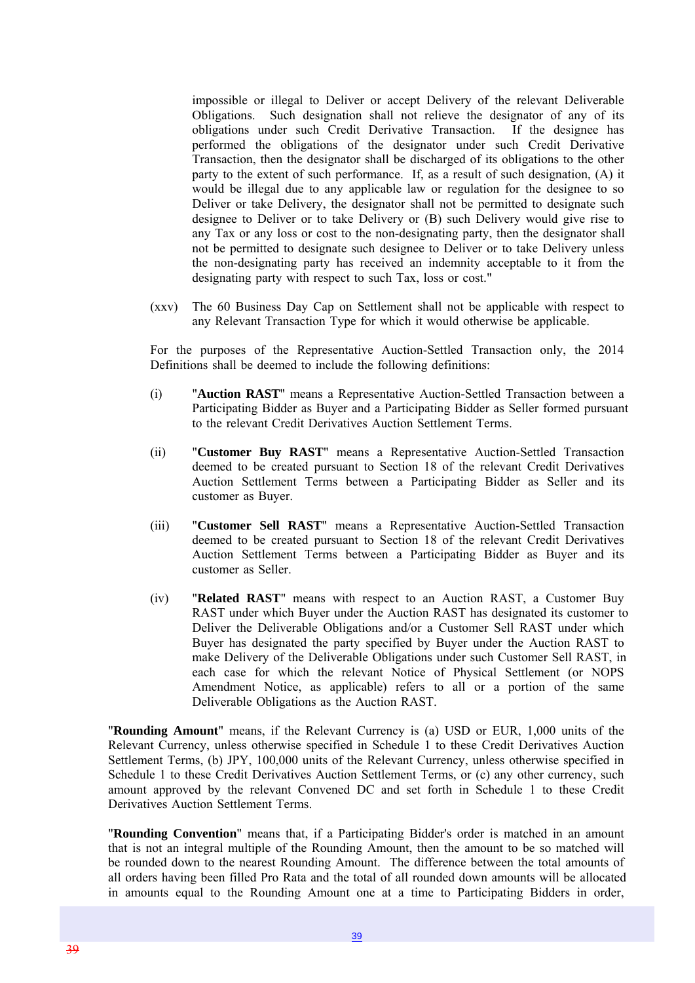impossible or illegal to Deliver or accept Delivery of the relevant Deliverable Obligations. Such designation shall not relieve the designator of any of its obligations under such Credit Derivative Transaction. If the designee has performed the obligations of the designator under such Credit Derivative Transaction, then the designator shall be discharged of its obligations to the other party to the extent of such performance. If, as a result of such designation, (A) it would be illegal due to any applicable law or regulation for the designee to so Deliver or take Delivery, the designator shall not be permitted to designate such designee to Deliver or to take Delivery or (B) such Delivery would give rise to any Tax or any loss or cost to the non-designating party, then the designator shall not be permitted to designate such designee to Deliver or to take Delivery unless the non-designating party has received an indemnity acceptable to it from the designating party with respect to such Tax, loss or cost."

(xxv) The 60 Business Day Cap on Settlement shall not be applicable with respect to any Relevant Transaction Type for which it would otherwise be applicable.

For the purposes of the Representative Auction-Settled Transaction only, the 2014 Definitions shall be deemed to include the following definitions:

- (i) "**Auction RAST**" means a Representative Auction-Settled Transaction between a Participating Bidder as Buyer and a Participating Bidder as Seller formed pursuant to the relevant Credit Derivatives Auction Settlement Terms.
- (ii) "**Customer Buy RAST**" means a Representative Auction-Settled Transaction deemed to be created pursuant to Section 18 of the relevant Credit Derivatives Auction Settlement Terms between a Participating Bidder as Seller and its customer as Buyer.
- (iii) "**Customer Sell RAST**" means a Representative Auction-Settled Transaction deemed to be created pursuant to Section 18 of the relevant Credit Derivatives Auction Settlement Terms between a Participating Bidder as Buyer and its customer as Seller.
- (iv) "**Related RAST**" means with respect to an Auction RAST, a Customer Buy RAST under which Buyer under the Auction RAST has designated its customer to Deliver the Deliverable Obligations and/or a Customer Sell RAST under which Buyer has designated the party specified by Buyer under the Auction RAST to make Delivery of the Deliverable Obligations under such Customer Sell RAST, in each case for which the relevant Notice of Physical Settlement (or NOPS Amendment Notice, as applicable) refers to all or a portion of the same Deliverable Obligations as the Auction RAST.

"**Rounding Amount**" means, if the Relevant Currency is (a) USD or EUR, 1,000 units of the Relevant Currency, unless otherwise specified in Schedule 1 to these Credit Derivatives Auction Settlement Terms, (b) JPY, 100,000 units of the Relevant Currency, unless otherwise specified in Schedule 1 to these Credit Derivatives Auction Settlement Terms, or (c) any other currency, such amount approved by the relevant Convened DC and set forth in Schedule 1 to these Credit Derivatives Auction Settlement Terms.

"**Rounding Convention**" means that, if a Participating Bidder's order is matched in an amount that is not an integral multiple of the Rounding Amount, then the amount to be so matched will be rounded down to the nearest Rounding Amount. The difference between the total amounts of all orders having been filled Pro Rata and the total of all rounded down amounts will be allocated in amounts equal to the Rounding Amount one at a time to Participating Bidders in order,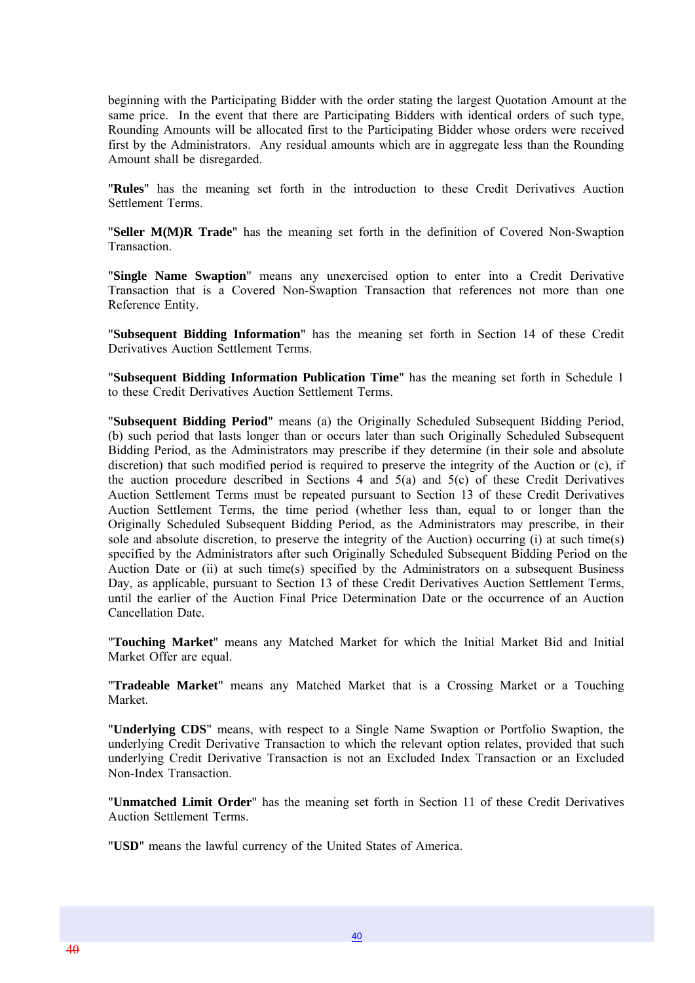beginning with the Participating Bidder with the order stating the largest Quotation Amount at the same price. In the event that there are Participating Bidders with identical orders of such type, Rounding Amounts will be allocated first to the Participating Bidder whose orders were received first by the Administrators. Any residual amounts which are in aggregate less than the Rounding Amount shall be disregarded.

"**Rules**" has the meaning set forth in the introduction to these Credit Derivatives Auction Settlement Terms.

"**Seller M(M)R Trade**" has the meaning set forth in the definition of Covered Non-Swaption Transaction.

"**Single Name Swaption**" means any unexercised option to enter into a Credit Derivative Transaction that is a Covered Non-Swaption Transaction that references not more than one Reference Entity.

"**Subsequent Bidding Information**" has the meaning set forth in Section 14 of these Credit Derivatives Auction Settlement Terms.

"**Subsequent Bidding Information Publication Time**" has the meaning set forth in Schedule 1 to these Credit Derivatives Auction Settlement Terms.

"**Subsequent Bidding Period**" means (a) the Originally Scheduled Subsequent Bidding Period, (b) such period that lasts longer than or occurs later than such Originally Scheduled Subsequent Bidding Period, as the Administrators may prescribe if they determine (in their sole and absolute discretion) that such modified period is required to preserve the integrity of the Auction or (c), if the auction procedure described in Sections 4 and 5(a) and 5(c) of these Credit Derivatives Auction Settlement Terms must be repeated pursuant to Section 13 of these Credit Derivatives Auction Settlement Terms, the time period (whether less than, equal to or longer than the Originally Scheduled Subsequent Bidding Period, as the Administrators may prescribe, in their sole and absolute discretion, to preserve the integrity of the Auction) occurring (i) at such time(s) specified by the Administrators after such Originally Scheduled Subsequent Bidding Period on the Auction Date or (ii) at such time(s) specified by the Administrators on a subsequent Business Day, as applicable, pursuant to Section 13 of these Credit Derivatives Auction Settlement Terms, until the earlier of the Auction Final Price Determination Date or the occurrence of an Auction Cancellation Date.

"**Touching Market**" means any Matched Market for which the Initial Market Bid and Initial Market Offer are equal.

"**Tradeable Market**" means any Matched Market that is a Crossing Market or a Touching Market.

"**Underlying CDS**" means, with respect to a Single Name Swaption or Portfolio Swaption, the underlying Credit Derivative Transaction to which the relevant option relates, provided that such underlying Credit Derivative Transaction is not an Excluded Index Transaction or an Excluded Non-Index Transaction.

"**Unmatched Limit Order**" has the meaning set forth in Section 11 of these Credit Derivatives Auction Settlement Terms.

"**USD**" means the lawful currency of the United States of America.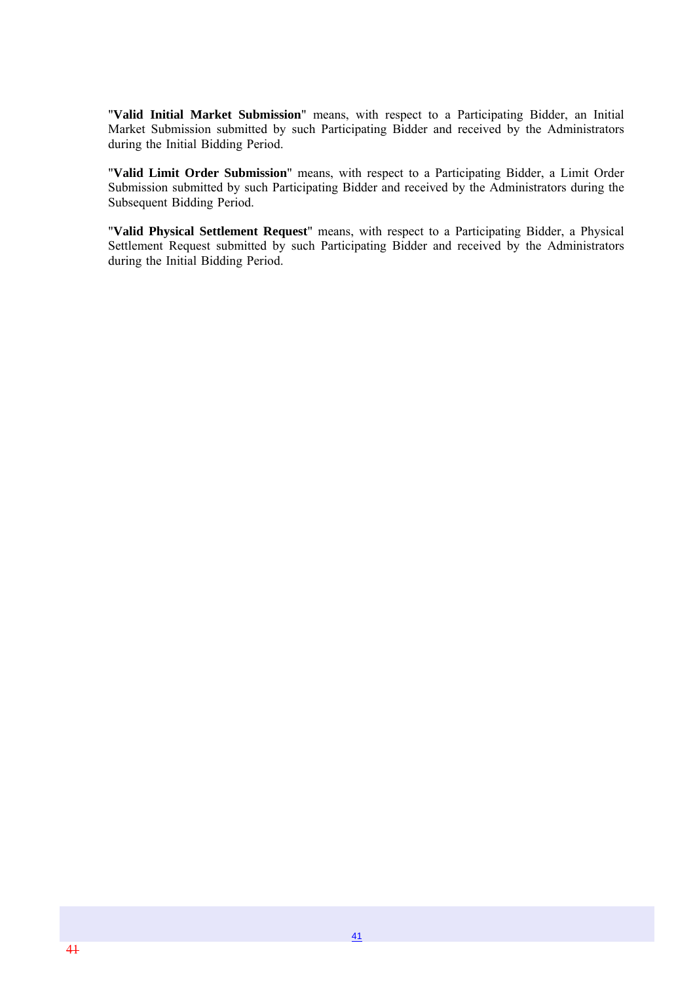"**Valid Initial Market Submission**" means, with respect to a Participating Bidder, an Initial Market Submission submitted by such Participating Bidder and received by the Administrators during the Initial Bidding Period.

"**Valid Limit Order Submission**" means, with respect to a Participating Bidder, a Limit Order Submission submitted by such Participating Bidder and received by the Administrators during the Subsequent Bidding Period.

"**Valid Physical Settlement Request**" means, with respect to a Participating Bidder, a Physical Settlement Request submitted by such Participating Bidder and received by the Administrators during the Initial Bidding Period.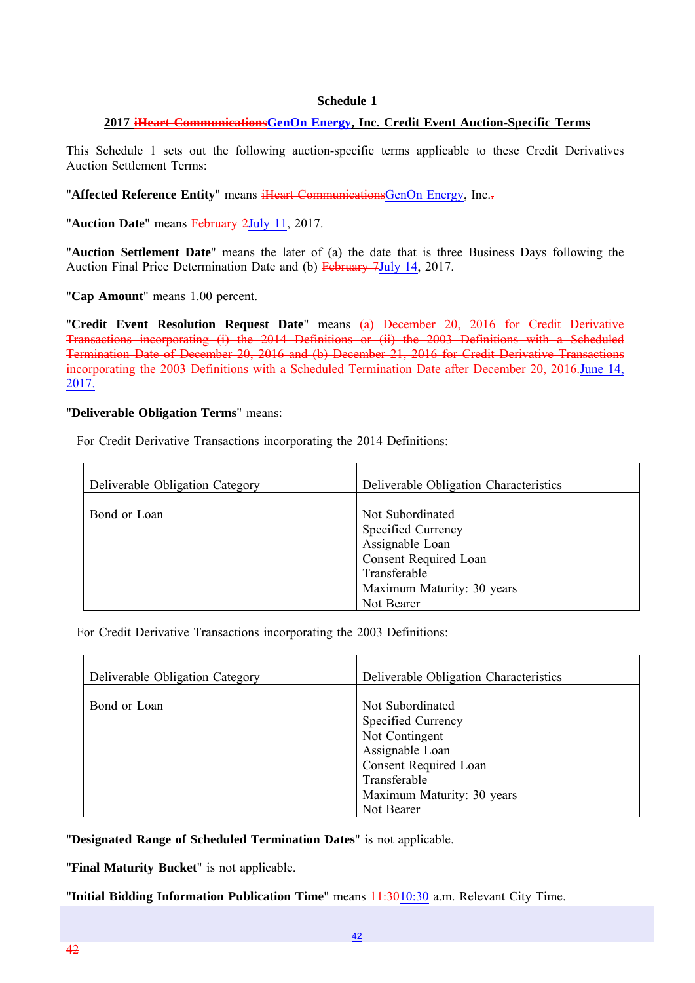#### **Schedule 1**

#### **2017 iHeart CommunicationsGenOn Energy, Inc. Credit Event Auction-Specific Terms**

This Schedule 1 sets out the following auction-specific terms applicable to these Credit Derivatives Auction Settlement Terms:

"**Affected Reference Entity**" means iHeart CommunicationsGenOn Energy, Inc..

"**Auction Date**" means February 2July 11, 2017.

"**Auction Settlement Date**" means the later of (a) the date that is three Business Days following the Auction Final Price Determination Date and (b) February 7July 14, 2017.

"**Cap Amount**" means 1.00 percent.

"**Credit Event Resolution Request Date**" means (a) December 20, 2016 for Credit Derivative Transactions incorporating (i) the 2014 Definitions or (ii) the 2003 Definitions with a Scheduled Termination Date of December 20, 2016 and (b) December 21, 2016 for Credit Derivative Transactions incorporating the 2003 Definitions with a Scheduled Termination Date after December 20, 2016.June 14, 2017.

#### "**Deliverable Obligation Terms**" means:

For Credit Derivative Transactions incorporating the 2014 Definitions:

| Deliverable Obligation Category | Deliverable Obligation Characteristics                                                                                                         |
|---------------------------------|------------------------------------------------------------------------------------------------------------------------------------------------|
| Bond or Loan                    | Not Subordinated<br>Specified Currency<br>Assignable Loan<br>Consent Required Loan<br>Transferable<br>Maximum Maturity: 30 years<br>Not Bearer |

For Credit Derivative Transactions incorporating the 2003 Definitions:

| Deliverable Obligation Category | Deliverable Obligation Characteristics                                                                                                             |
|---------------------------------|----------------------------------------------------------------------------------------------------------------------------------------------------|
| Bond or Loan                    | Not Subordinated<br>Specified Currency<br>Not Contingent<br>Assignable Loan<br>Consent Required Loan<br>Transferable<br>Maximum Maturity: 30 years |
|                                 | Not Bearer                                                                                                                                         |

"**Designated Range of Scheduled Termination Dates**" is not applicable.

"**Final Maturity Bucket**" is not applicable.

"**Initial Bidding Information Publication Time**" means  $11:3010:30$  a.m. Relevant City Time.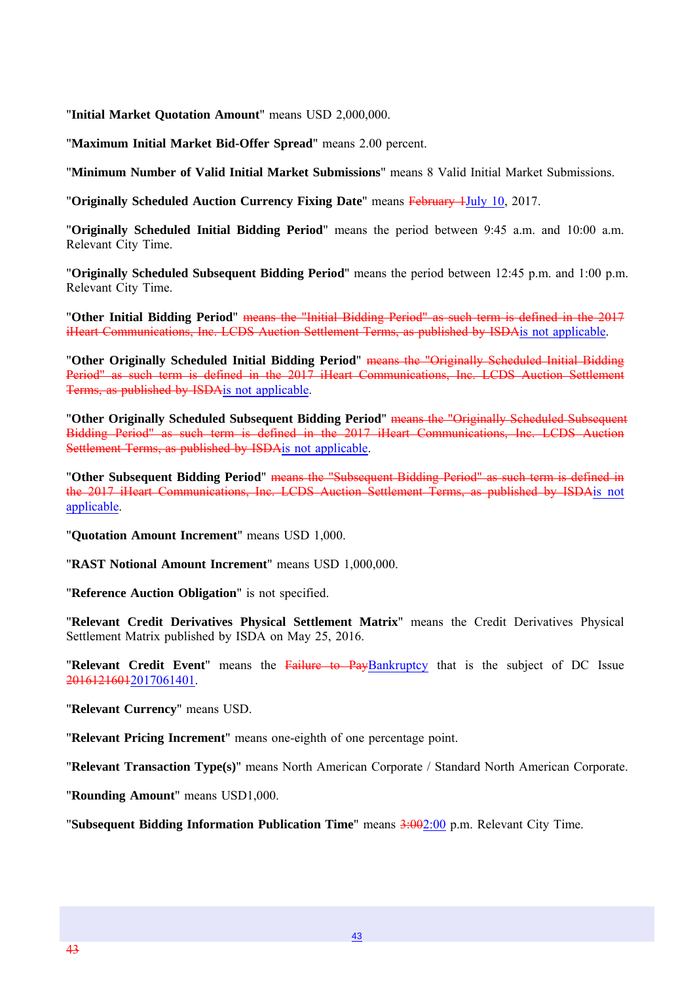"**Initial Market Quotation Amount**" means USD 2,000,000.

"**Maximum Initial Market Bid-Offer Spread**" means 2.00 percent.

"**Minimum Number of Valid Initial Market Submissions**" means 8 Valid Initial Market Submissions.

"**Originally Scheduled Auction Currency Fixing Date**" means February 1July 10, 2017.

"**Originally Scheduled Initial Bidding Period**" means the period between 9:45 a.m. and 10:00 a.m. Relevant City Time.

"**Originally Scheduled Subsequent Bidding Period**" means the period between 12:45 p.m. and 1:00 p.m. Relevant City Time.

"**Other Initial Bidding Period**" means the "Initial Bidding Period" as such term is defined in the 2017 iHeart Communications, Inc. LCDS Auction Settlement Terms, as published by ISDAis not applicable.

"**Other Originally Scheduled Initial Bidding Period**" means the "Originally Scheduled Initial Bidding Period" as such term is defined in the 2017 iHeart Communications, Inc. LCDS Auction Settlement Terms, as published by ISDAis not applicable.

"**Other Originally Scheduled Subsequent Bidding Period**" means the "Originally Scheduled Subsequent Bidding Period" as such term is defined in the 2017 iHeart Communications, Inc. LCDS Auction Settlement Terms, as published by ISDA is not applicable.

"**Other Subsequent Bidding Period**" means the "Subsequent Bidding Period" as such term is defined in the 2017 iHeart Communications, Inc. LCDS Auction Settlement Terms, as published by ISDAis not applicable.

"**Quotation Amount Increment**" means USD 1,000.

"**RAST Notional Amount Increment**" means USD 1,000,000.

"**Reference Auction Obligation**" is not specified.

"**Relevant Credit Derivatives Physical Settlement Matrix**" means the Credit Derivatives Physical Settlement Matrix published by ISDA on May 25, 2016.

"**Relevant Credit Event**" means the Failure to PayBankruptcy that is the subject of DC Issue 20161216012017061401.

"**Relevant Currency**" means USD.

"**Relevant Pricing Increment**" means one-eighth of one percentage point.

"**Relevant Transaction Type(s)**" means North American Corporate / Standard North American Corporate.

"**Rounding Amount**" means USD1,000.

"**Subsequent Bidding Information Publication Time**" means 3:002:00 p.m. Relevant City Time.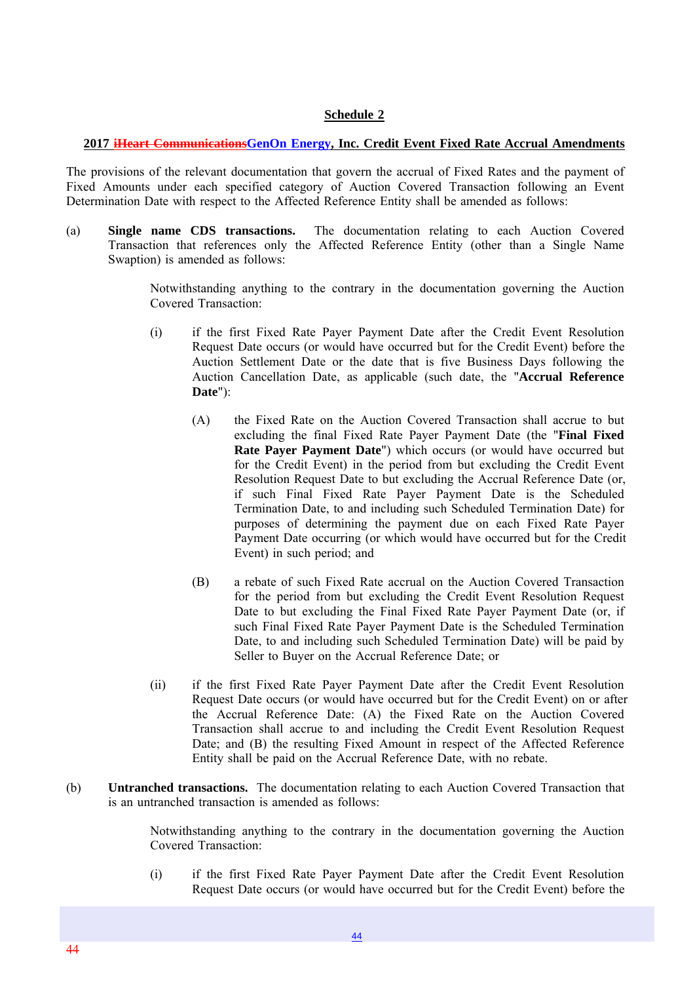#### **Schedule 2**

#### **2017 iHeart CommunicationsGenOn Energy, Inc. Credit Event Fixed Rate Accrual Amendments**

The provisions of the relevant documentation that govern the accrual of Fixed Rates and the payment of Fixed Amounts under each specified category of Auction Covered Transaction following an Event Determination Date with respect to the Affected Reference Entity shall be amended as follows:

(a) **Single name CDS transactions.** The documentation relating to each Auction Covered Transaction that references only the Affected Reference Entity (other than a Single Name Swaption) is amended as follows:

> Notwithstanding anything to the contrary in the documentation governing the Auction Covered Transaction:

- (i) if the first Fixed Rate Payer Payment Date after the Credit Event Resolution Request Date occurs (or would have occurred but for the Credit Event) before the Auction Settlement Date or the date that is five Business Days following the Auction Cancellation Date, as applicable (such date, the "**Accrual Reference Date**"):
	- (A) the Fixed Rate on the Auction Covered Transaction shall accrue to but excluding the final Fixed Rate Payer Payment Date (the "**Final Fixed Rate Payer Payment Date**") which occurs (or would have occurred but for the Credit Event) in the period from but excluding the Credit Event Resolution Request Date to but excluding the Accrual Reference Date (or, if such Final Fixed Rate Payer Payment Date is the Scheduled Termination Date, to and including such Scheduled Termination Date) for purposes of determining the payment due on each Fixed Rate Payer Payment Date occurring (or which would have occurred but for the Credit Event) in such period; and
	- (B) a rebate of such Fixed Rate accrual on the Auction Covered Transaction for the period from but excluding the Credit Event Resolution Request Date to but excluding the Final Fixed Rate Payer Payment Date (or, if such Final Fixed Rate Payer Payment Date is the Scheduled Termination Date, to and including such Scheduled Termination Date) will be paid by Seller to Buyer on the Accrual Reference Date; or
- (ii) if the first Fixed Rate Payer Payment Date after the Credit Event Resolution Request Date occurs (or would have occurred but for the Credit Event) on or after the Accrual Reference Date: (A) the Fixed Rate on the Auction Covered Transaction shall accrue to and including the Credit Event Resolution Request Date; and (B) the resulting Fixed Amount in respect of the Affected Reference Entity shall be paid on the Accrual Reference Date, with no rebate.
- (b) **Untranched transactions.** The documentation relating to each Auction Covered Transaction that is an untranched transaction is amended as follows:

Notwithstanding anything to the contrary in the documentation governing the Auction Covered Transaction:

(i) if the first Fixed Rate Payer Payment Date after the Credit Event Resolution Request Date occurs (or would have occurred but for the Credit Event) before the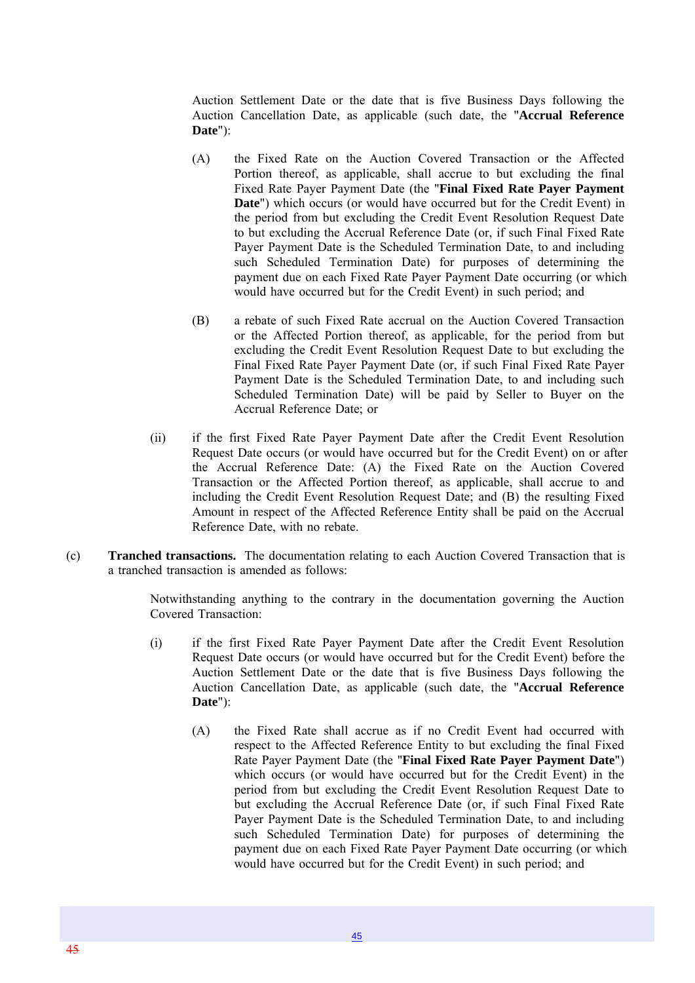Auction Settlement Date or the date that is five Business Days following the Auction Cancellation Date, as applicable (such date, the "**Accrual Reference Date**"):

- (A) the Fixed Rate on the Auction Covered Transaction or the Affected Portion thereof, as applicable, shall accrue to but excluding the final Fixed Rate Payer Payment Date (the "**Final Fixed Rate Payer Payment Date**") which occurs (or would have occurred but for the Credit Event) in the period from but excluding the Credit Event Resolution Request Date to but excluding the Accrual Reference Date (or, if such Final Fixed Rate Payer Payment Date is the Scheduled Termination Date, to and including such Scheduled Termination Date) for purposes of determining the payment due on each Fixed Rate Payer Payment Date occurring (or which would have occurred but for the Credit Event) in such period; and
- (B) a rebate of such Fixed Rate accrual on the Auction Covered Transaction or the Affected Portion thereof, as applicable, for the period from but excluding the Credit Event Resolution Request Date to but excluding the Final Fixed Rate Payer Payment Date (or, if such Final Fixed Rate Payer Payment Date is the Scheduled Termination Date, to and including such Scheduled Termination Date) will be paid by Seller to Buyer on the Accrual Reference Date; or
- (ii) if the first Fixed Rate Payer Payment Date after the Credit Event Resolution Request Date occurs (or would have occurred but for the Credit Event) on or after the Accrual Reference Date: (A) the Fixed Rate on the Auction Covered Transaction or the Affected Portion thereof, as applicable, shall accrue to and including the Credit Event Resolution Request Date; and (B) the resulting Fixed Amount in respect of the Affected Reference Entity shall be paid on the Accrual Reference Date, with no rebate.
- (c) **Tranched transactions.** The documentation relating to each Auction Covered Transaction that is a tranched transaction is amended as follows:

Notwithstanding anything to the contrary in the documentation governing the Auction Covered Transaction:

- (i) if the first Fixed Rate Payer Payment Date after the Credit Event Resolution Request Date occurs (or would have occurred but for the Credit Event) before the Auction Settlement Date or the date that is five Business Days following the Auction Cancellation Date, as applicable (such date, the "**Accrual Reference Date**"):
	- (A) the Fixed Rate shall accrue as if no Credit Event had occurred with respect to the Affected Reference Entity to but excluding the final Fixed Rate Payer Payment Date (the "**Final Fixed Rate Payer Payment Date**") which occurs (or would have occurred but for the Credit Event) in the period from but excluding the Credit Event Resolution Request Date to but excluding the Accrual Reference Date (or, if such Final Fixed Rate Payer Payment Date is the Scheduled Termination Date, to and including such Scheduled Termination Date) for purposes of determining the payment due on each Fixed Rate Payer Payment Date occurring (or which would have occurred but for the Credit Event) in such period; and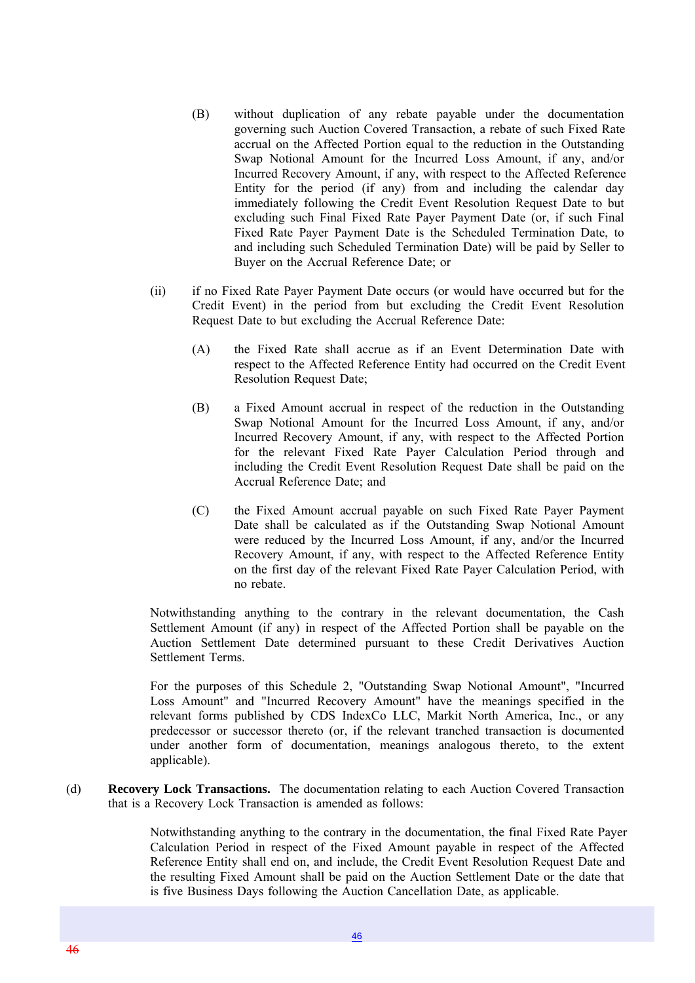- (B) without duplication of any rebate payable under the documentation governing such Auction Covered Transaction, a rebate of such Fixed Rate accrual on the Affected Portion equal to the reduction in the Outstanding Swap Notional Amount for the Incurred Loss Amount, if any, and/or Incurred Recovery Amount, if any, with respect to the Affected Reference Entity for the period (if any) from and including the calendar day immediately following the Credit Event Resolution Request Date to but excluding such Final Fixed Rate Payer Payment Date (or, if such Final Fixed Rate Payer Payment Date is the Scheduled Termination Date, to and including such Scheduled Termination Date) will be paid by Seller to Buyer on the Accrual Reference Date; or
- (ii) if no Fixed Rate Payer Payment Date occurs (or would have occurred but for the Credit Event) in the period from but excluding the Credit Event Resolution Request Date to but excluding the Accrual Reference Date:
	- (A) the Fixed Rate shall accrue as if an Event Determination Date with respect to the Affected Reference Entity had occurred on the Credit Event Resolution Request Date;
	- (B) a Fixed Amount accrual in respect of the reduction in the Outstanding Swap Notional Amount for the Incurred Loss Amount, if any, and/or Incurred Recovery Amount, if any, with respect to the Affected Portion for the relevant Fixed Rate Payer Calculation Period through and including the Credit Event Resolution Request Date shall be paid on the Accrual Reference Date; and
	- (C) the Fixed Amount accrual payable on such Fixed Rate Payer Payment Date shall be calculated as if the Outstanding Swap Notional Amount were reduced by the Incurred Loss Amount, if any, and/or the Incurred Recovery Amount, if any, with respect to the Affected Reference Entity on the first day of the relevant Fixed Rate Payer Calculation Period, with no rebate.

Notwithstanding anything to the contrary in the relevant documentation, the Cash Settlement Amount (if any) in respect of the Affected Portion shall be payable on the Auction Settlement Date determined pursuant to these Credit Derivatives Auction Settlement Terms.

For the purposes of this Schedule 2, "Outstanding Swap Notional Amount", "Incurred Loss Amount" and "Incurred Recovery Amount" have the meanings specified in the relevant forms published by CDS IndexCo LLC, Markit North America, Inc., or any predecessor or successor thereto (or, if the relevant tranched transaction is documented under another form of documentation, meanings analogous thereto, to the extent applicable).

(d) **Recovery Lock Transactions.** The documentation relating to each Auction Covered Transaction that is a Recovery Lock Transaction is amended as follows:

> Notwithstanding anything to the contrary in the documentation, the final Fixed Rate Payer Calculation Period in respect of the Fixed Amount payable in respect of the Affected Reference Entity shall end on, and include, the Credit Event Resolution Request Date and the resulting Fixed Amount shall be paid on the Auction Settlement Date or the date that is five Business Days following the Auction Cancellation Date, as applicable.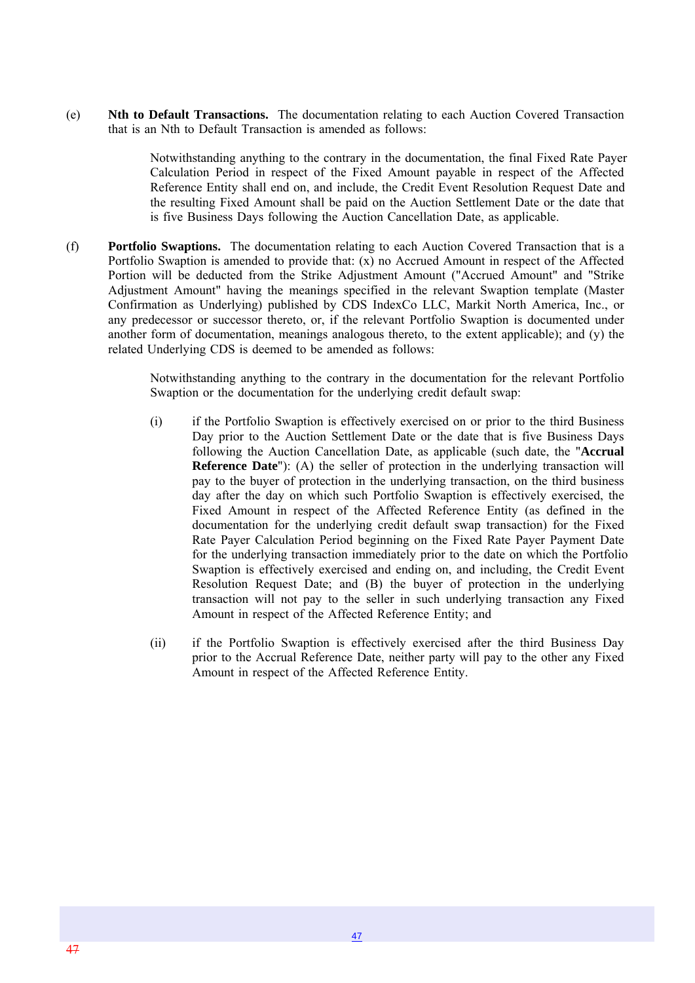(e) **Nth to Default Transactions.** The documentation relating to each Auction Covered Transaction that is an Nth to Default Transaction is amended as follows:

> Notwithstanding anything to the contrary in the documentation, the final Fixed Rate Payer Calculation Period in respect of the Fixed Amount payable in respect of the Affected Reference Entity shall end on, and include, the Credit Event Resolution Request Date and the resulting Fixed Amount shall be paid on the Auction Settlement Date or the date that is five Business Days following the Auction Cancellation Date, as applicable.

(f) **Portfolio Swaptions.** The documentation relating to each Auction Covered Transaction that is a Portfolio Swaption is amended to provide that: (x) no Accrued Amount in respect of the Affected Portion will be deducted from the Strike Adjustment Amount ("Accrued Amount" and "Strike Adjustment Amount" having the meanings specified in the relevant Swaption template (Master Confirmation as Underlying) published by CDS IndexCo LLC, Markit North America, Inc., or any predecessor or successor thereto, or, if the relevant Portfolio Swaption is documented under another form of documentation, meanings analogous thereto, to the extent applicable); and (y) the related Underlying CDS is deemed to be amended as follows:

> Notwithstanding anything to the contrary in the documentation for the relevant Portfolio Swaption or the documentation for the underlying credit default swap:

- (i) if the Portfolio Swaption is effectively exercised on or prior to the third Business Day prior to the Auction Settlement Date or the date that is five Business Days following the Auction Cancellation Date, as applicable (such date, the "**Accrual Reference Date**"): (A) the seller of protection in the underlying transaction will pay to the buyer of protection in the underlying transaction, on the third business day after the day on which such Portfolio Swaption is effectively exercised, the Fixed Amount in respect of the Affected Reference Entity (as defined in the documentation for the underlying credit default swap transaction) for the Fixed Rate Payer Calculation Period beginning on the Fixed Rate Payer Payment Date for the underlying transaction immediately prior to the date on which the Portfolio Swaption is effectively exercised and ending on, and including, the Credit Event Resolution Request Date; and (B) the buyer of protection in the underlying transaction will not pay to the seller in such underlying transaction any Fixed Amount in respect of the Affected Reference Entity; and
- (ii) if the Portfolio Swaption is effectively exercised after the third Business Day prior to the Accrual Reference Date, neither party will pay to the other any Fixed Amount in respect of the Affected Reference Entity.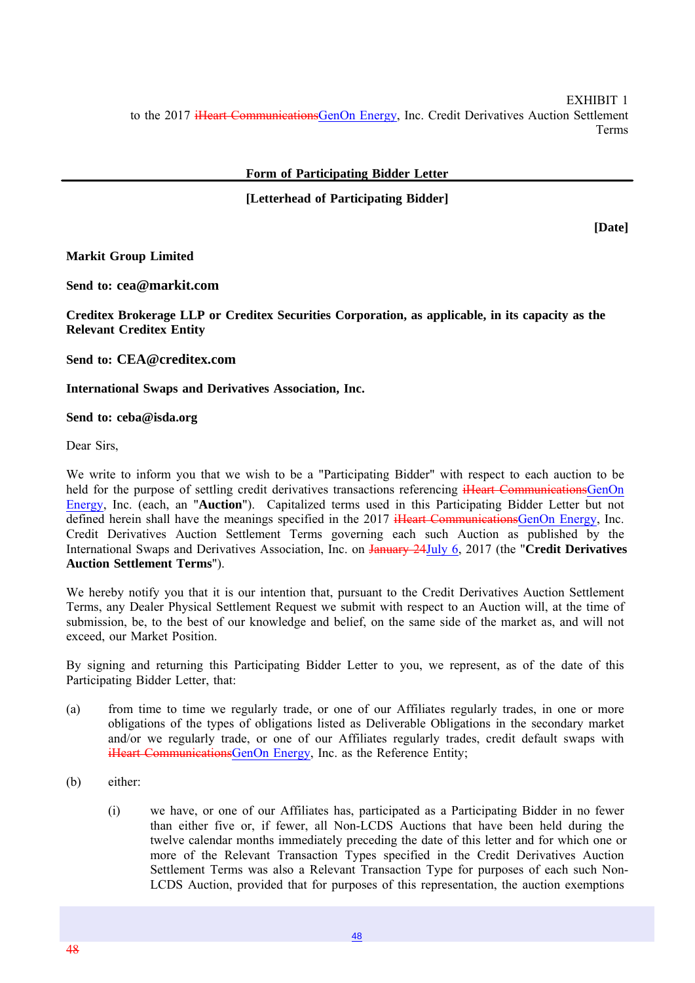EXHIBIT 1 to the 2017 iHeart CommunicationsGenOn Energy, Inc. Credit Derivatives Auction Settlement Terms

**Form of Participating Bidder Letter**

#### **[Letterhead of Participating Bidder]**

**[Date]**

**Markit Group Limited**

**Send to: cea@markit.com**

**Creditex Brokerage LLP or Creditex Securities Corporation, as applicable, in its capacity as the Relevant Creditex Entity**

**Send to: CEA@creditex.com**

**International Swaps and Derivatives Association, Inc.**

#### **Send to: ceba@isda.org**

Dear Sirs

We write to inform you that we wish to be a "Participating Bidder" with respect to each auction to be held for the purpose of settling credit derivatives transactions referencing iHeart CommunicationsGenOn Energy, Inc. (each, an "**Auction**"). Capitalized terms used in this Participating Bidder Letter but not defined herein shall have the meanings specified in the 2017 iHeart CommunicationsGenOn Energy, Inc. Credit Derivatives Auction Settlement Terms governing each such Auction as published by the International Swaps and Derivatives Association, Inc. on January 24July 6, 2017 (the "**Credit Derivatives Auction Settlement Terms**").

We hereby notify you that it is our intention that, pursuant to the Credit Derivatives Auction Settlement Terms, any Dealer Physical Settlement Request we submit with respect to an Auction will, at the time of submission, be, to the best of our knowledge and belief, on the same side of the market as, and will not exceed, our Market Position.

By signing and returning this Participating Bidder Letter to you, we represent, as of the date of this Participating Bidder Letter, that:

- (a) from time to time we regularly trade, or one of our Affiliates regularly trades, in one or more obligations of the types of obligations listed as Deliverable Obligations in the secondary market and/or we regularly trade, or one of our Affiliates regularly trades, credit default swaps with iHeart CommunicationsGenOn Energy, Inc. as the Reference Entity;
- (b) either:
	- (i) we have, or one of our Affiliates has, participated as a Participating Bidder in no fewer than either five or, if fewer, all Non-LCDS Auctions that have been held during the twelve calendar months immediately preceding the date of this letter and for which one or more of the Relevant Transaction Types specified in the Credit Derivatives Auction Settlement Terms was also a Relevant Transaction Type for purposes of each such Non-LCDS Auction, provided that for purposes of this representation, the auction exemptions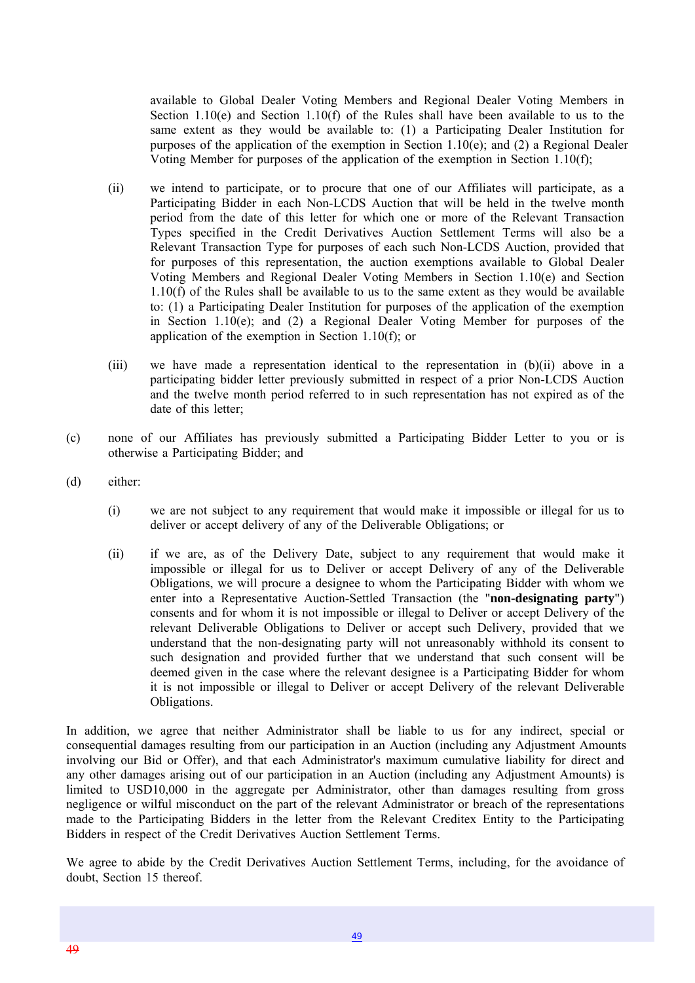available to Global Dealer Voting Members and Regional Dealer Voting Members in Section 1.10(e) and Section 1.10(f) of the Rules shall have been available to us to the same extent as they would be available to: (1) a Participating Dealer Institution for purposes of the application of the exemption in Section 1.10(e); and (2) a Regional Dealer Voting Member for purposes of the application of the exemption in Section 1.10(f);

- (ii) we intend to participate, or to procure that one of our Affiliates will participate, as a Participating Bidder in each Non-LCDS Auction that will be held in the twelve month period from the date of this letter for which one or more of the Relevant Transaction Types specified in the Credit Derivatives Auction Settlement Terms will also be a Relevant Transaction Type for purposes of each such Non-LCDS Auction, provided that for purposes of this representation, the auction exemptions available to Global Dealer Voting Members and Regional Dealer Voting Members in Section 1.10(e) and Section 1.10(f) of the Rules shall be available to us to the same extent as they would be available to: (1) a Participating Dealer Institution for purposes of the application of the exemption in Section 1.10(e); and (2) a Regional Dealer Voting Member for purposes of the application of the exemption in Section 1.10(f); or
- (iii) we have made a representation identical to the representation in (b)(ii) above in a participating bidder letter previously submitted in respect of a prior Non-LCDS Auction and the twelve month period referred to in such representation has not expired as of the date of this letter:
- (c) none of our Affiliates has previously submitted a Participating Bidder Letter to you or is otherwise a Participating Bidder; and
- (d) either:
	- (i) we are not subject to any requirement that would make it impossible or illegal for us to deliver or accept delivery of any of the Deliverable Obligations; or
	- (ii) if we are, as of the Delivery Date, subject to any requirement that would make it impossible or illegal for us to Deliver or accept Delivery of any of the Deliverable Obligations, we will procure a designee to whom the Participating Bidder with whom we enter into a Representative Auction-Settled Transaction (the "**non-designating party**") consents and for whom it is not impossible or illegal to Deliver or accept Delivery of the relevant Deliverable Obligations to Deliver or accept such Delivery, provided that we understand that the non-designating party will not unreasonably withhold its consent to such designation and provided further that we understand that such consent will be deemed given in the case where the relevant designee is a Participating Bidder for whom it is not impossible or illegal to Deliver or accept Delivery of the relevant Deliverable Obligations.

In addition, we agree that neither Administrator shall be liable to us for any indirect, special or consequential damages resulting from our participation in an Auction (including any Adjustment Amounts involving our Bid or Offer), and that each Administrator's maximum cumulative liability for direct and any other damages arising out of our participation in an Auction (including any Adjustment Amounts) is limited to USD10,000 in the aggregate per Administrator, other than damages resulting from gross negligence or wilful misconduct on the part of the relevant Administrator or breach of the representations made to the Participating Bidders in the letter from the Relevant Creditex Entity to the Participating Bidders in respect of the Credit Derivatives Auction Settlement Terms.

We agree to abide by the Credit Derivatives Auction Settlement Terms, including, for the avoidance of doubt, Section 15 thereof.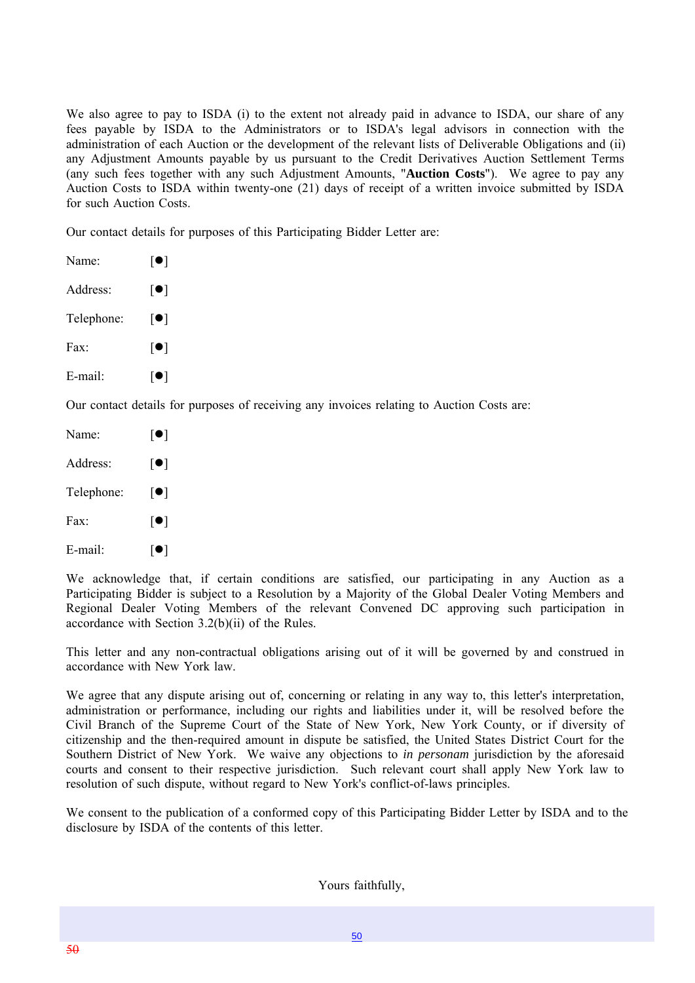We also agree to pay to ISDA (i) to the extent not already paid in advance to ISDA, our share of any fees payable by ISDA to the Administrators or to ISDA's legal advisors in connection with the administration of each Auction or the development of the relevant lists of Deliverable Obligations and (ii) any Adjustment Amounts payable by us pursuant to the Credit Derivatives Auction Settlement Terms (any such fees together with any such Adjustment Amounts, "**Auction Costs**"). We agree to pay any Auction Costs to ISDA within twenty-one (21) days of receipt of a written invoice submitted by ISDA for such Auction Costs.

Our contact details for purposes of this Participating Bidder Letter are:

| Name:      | $\lceil \bullet \rceil$                                 |
|------------|---------------------------------------------------------|
| Address:   | $\lceil \bullet \rceil$                                 |
| Telephone: | $\lceil \bullet \rceil$                                 |
| Fax:       | $\lceil \bullet \rceil$                                 |
| E-mail:    | $\lceil \bullet \rceil$                                 |
|            | $\sim$ $\sim$ $\sim$ $\sim$ $\sim$ $\sim$ $\sim$ $\sim$ |

Our contact details for purposes of receiving any invoices relating to Auction Costs are:

| Name:      | $\lceil \bullet \rceil$ |
|------------|-------------------------|
| Address:   | $\lceil \bullet \rceil$ |
| Telephone: | $\lceil \bullet \rceil$ |
| Fax:       | $\lceil \bullet \rceil$ |
| E-mail:    | $\lfloor\bullet\rfloor$ |

We acknowledge that, if certain conditions are satisfied, our participating in any Auction as a Participating Bidder is subject to a Resolution by a Majority of the Global Dealer Voting Members and Regional Dealer Voting Members of the relevant Convened DC approving such participation in accordance with Section 3.2(b)(ii) of the Rules.

This letter and any non-contractual obligations arising out of it will be governed by and construed in accordance with New York law.

We agree that any dispute arising out of, concerning or relating in any way to, this letter's interpretation, administration or performance, including our rights and liabilities under it, will be resolved before the Civil Branch of the Supreme Court of the State of New York, New York County, or if diversity of citizenship and the then-required amount in dispute be satisfied, the United States District Court for the Southern District of New York. We waive any objections to *in personam* jurisdiction by the aforesaid courts and consent to their respective jurisdiction. Such relevant court shall apply New York law to resolution of such dispute, without regard to New York's conflict-of-laws principles.

We consent to the publication of a conformed copy of this Participating Bidder Letter by ISDA and to the disclosure by ISDA of the contents of this letter.

Yours faithfully,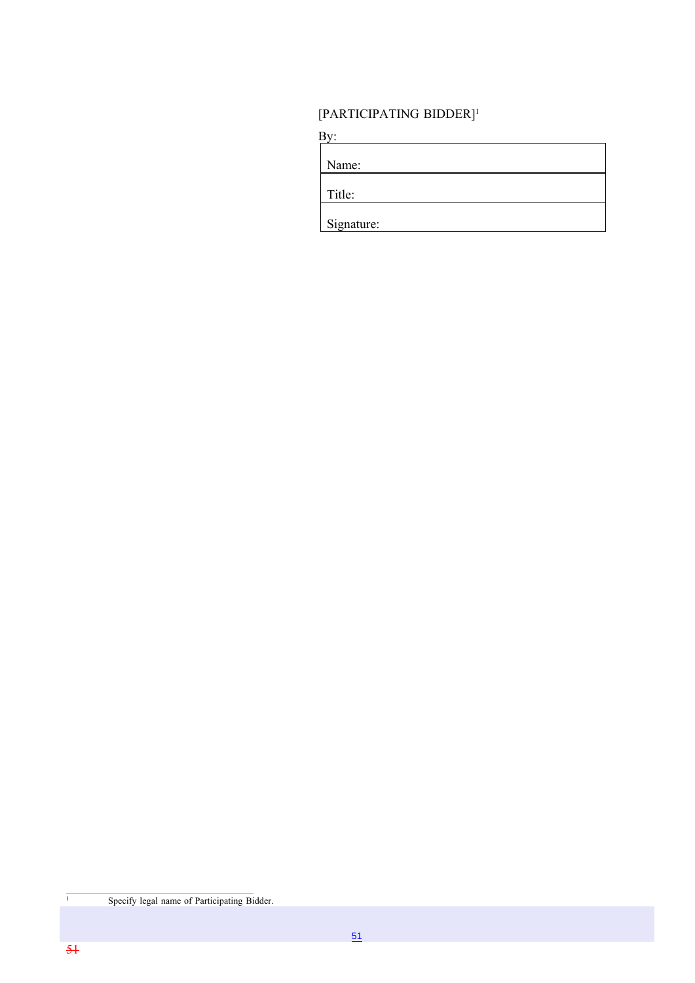### [PARTICIPATING BIDDER]1

| Name:      |  |  |
|------------|--|--|
|            |  |  |
| Title:     |  |  |
|            |  |  |
| Signature: |  |  |

<sup>1</sup> Specify legal name of Participating Bidder.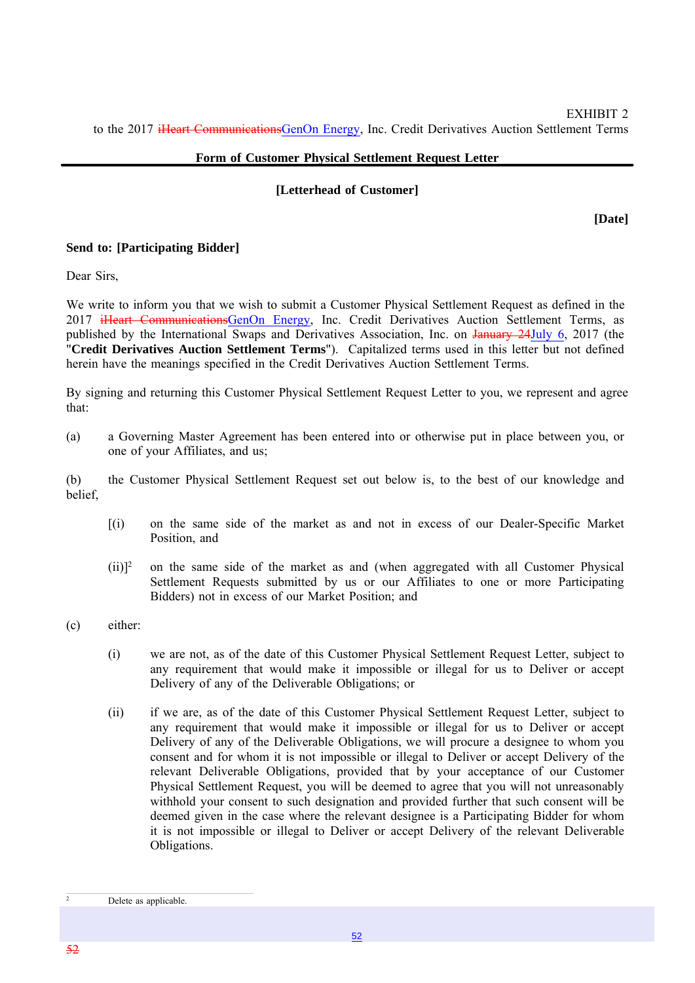#### **Form of Customer Physical Settlement Request Letter**

#### **[Letterhead of Customer]**

**[Date]**

#### **Send to: [Participating Bidder]**

Dear Sirs,

We write to inform you that we wish to submit a Customer Physical Settlement Request as defined in the 2017 iHeart CommunicationsGenOn Energy, Inc. Credit Derivatives Auction Settlement Terms, as published by the International Swaps and Derivatives Association, Inc. on January 24July 6, 2017 (the "**Credit Derivatives Auction Settlement Terms**"). Capitalized terms used in this letter but not defined herein have the meanings specified in the Credit Derivatives Auction Settlement Terms.

By signing and returning this Customer Physical Settlement Request Letter to you, we represent and agree that:

(a) a Governing Master Agreement has been entered into or otherwise put in place between you, or one of your Affiliates, and us;

(b) the Customer Physical Settlement Request set out below is, to the best of our knowledge and belief,

- [(i) on the same side of the market as and not in excess of our Dealer-Specific Market Position, and
- $(ii)$ <sup>2</sup> on the same side of the market as and (when aggregated with all Customer Physical Settlement Requests submitted by us or our Affiliates to one or more Participating Bidders) not in excess of our Market Position; and
- (c) either:
	- (i) we are not, as of the date of this Customer Physical Settlement Request Letter, subject to any requirement that would make it impossible or illegal for us to Deliver or accept Delivery of any of the Deliverable Obligations; or
	- (ii) if we are, as of the date of this Customer Physical Settlement Request Letter, subject to any requirement that would make it impossible or illegal for us to Deliver or accept Delivery of any of the Deliverable Obligations, we will procure a designee to whom you consent and for whom it is not impossible or illegal to Deliver or accept Delivery of the relevant Deliverable Obligations, provided that by your acceptance of our Customer Physical Settlement Request, you will be deemed to agree that you will not unreasonably withhold your consent to such designation and provided further that such consent will be deemed given in the case where the relevant designee is a Participating Bidder for whom it is not impossible or illegal to Deliver or accept Delivery of the relevant Deliverable Obligations.

 $\overline{2}$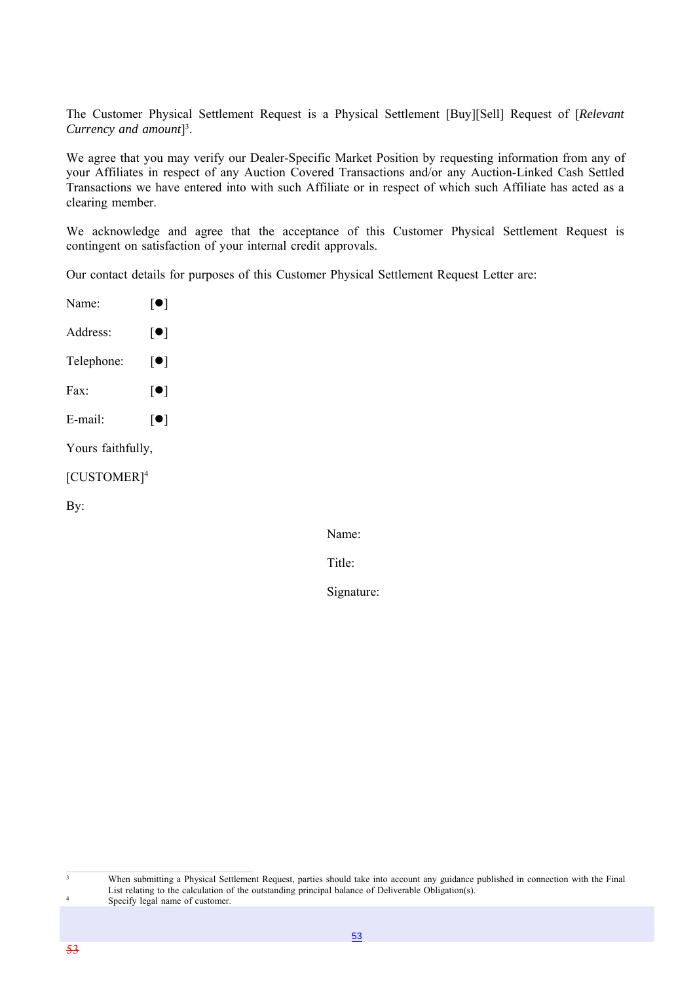The Customer Physical Settlement Request is a Physical Settlement [Buy][Sell] Request of [*Relevant Currency and amount*] 3 .

We agree that you may verify our Dealer-Specific Market Position by requesting information from any of your Affiliates in respect of any Auction Covered Transactions and/or any Auction-Linked Cash Settled Transactions we have entered into with such Affiliate or in respect of which such Affiliate has acted as a clearing member.

We acknowledge and agree that the acceptance of this Customer Physical Settlement Request is contingent on satisfaction of your internal credit approvals.

Our contact details for purposes of this Customer Physical Settlement Request Letter are:

Name:  $\lceil \bullet \rceil$ Address:  $[\bullet]$ Telephone:  $\lceil \bullet \rceil$ Fax:  $\lceil \bullet \rceil$ E-mail:  $[\bullet]$ Yours faithfully, [CUSTOMER]4 By:

Name:

Title:

Signature:

3

4

When submitting a Physical Settlement Request, parties should take into account any guidance published in connection with the Final List relating to the calculation of the outstanding principal balance of Deliverable Obligation(s). Specify legal name of customer.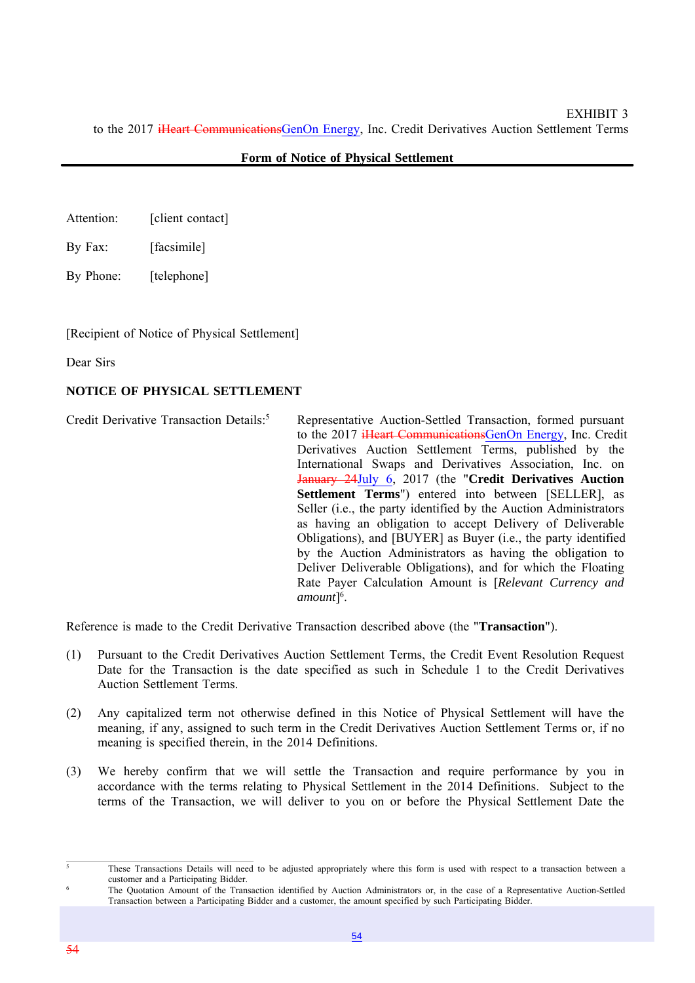#### **Form of Notice of Physical Settlement**

- Attention: [client contact]
- By Fax: [facsimile]
- By Phone: [telephone]

[Recipient of Notice of Physical Settlement]

Dear Sirs

#### **NOTICE OF PHYSICAL SETTLEMENT**

Credit Derivative Transaction Details:<sup>5</sup> Representative Auction-Settled Transaction, formed pursuant to the 2017 iHeart CommunicationsGenOn Energy, Inc. Credit Derivatives Auction Settlement Terms, published by the International Swaps and Derivatives Association, Inc. on January 24July 6, 2017 (the "**Credit Derivatives Auction Settlement Terms**") entered into between [SELLER], as Seller (i.e., the party identified by the Auction Administrators as having an obligation to accept Delivery of Deliverable Obligations), and [BUYER] as Buyer (i.e., the party identified by the Auction Administrators as having the obligation to Deliver Deliverable Obligations), and for which the Floating Rate Payer Calculation Amount is [*Relevant Currency and amount*] 6 .

Reference is made to the Credit Derivative Transaction described above (the "**Transaction**").

- (1) Pursuant to the Credit Derivatives Auction Settlement Terms, the Credit Event Resolution Request Date for the Transaction is the date specified as such in Schedule 1 to the Credit Derivatives Auction Settlement Terms.
- (2) Any capitalized term not otherwise defined in this Notice of Physical Settlement will have the meaning, if any, assigned to such term in the Credit Derivatives Auction Settlement Terms or, if no meaning is specified therein, in the 2014 Definitions.
- (3) We hereby confirm that we will settle the Transaction and require performance by you in accordance with the terms relating to Physical Settlement in the 2014 Definitions. Subject to the terms of the Transaction, we will deliver to you on or before the Physical Settlement Date the

<sup>&</sup>lt;sup>5</sup> These Transactions Details will need to be adjusted appropriately where this form is used with respect to a transaction between a customer and a Participating Bidder.

The Quotation Amount of the Transaction identified by Auction Administrators or, in the case of a Representative Auction-Settled Transaction between a Participating Bidder and a customer, the amount specified by such Participating Bidder.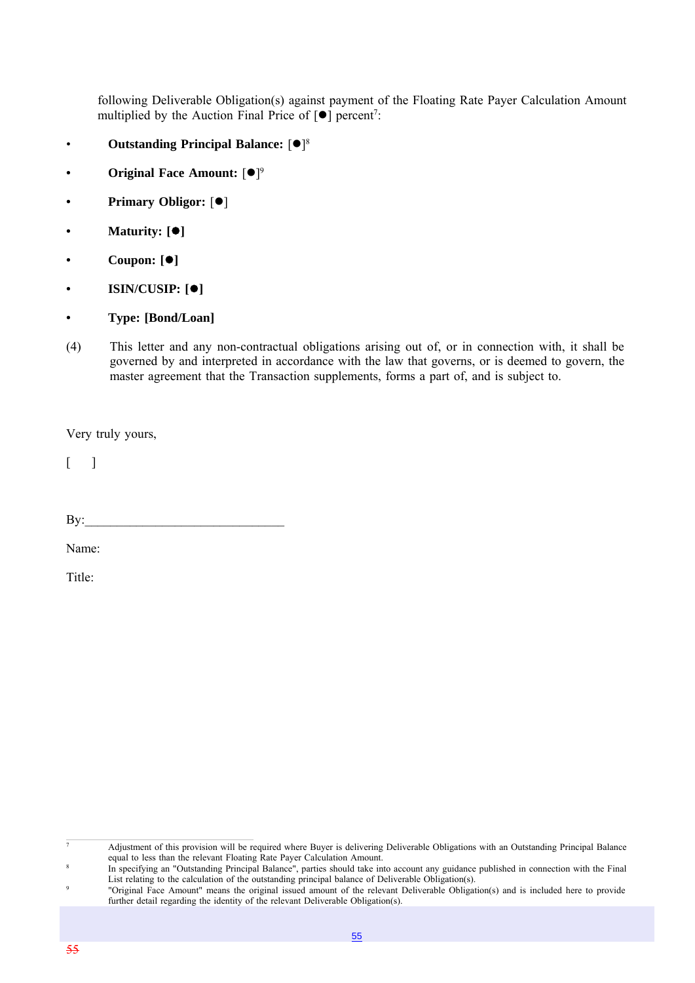following Deliverable Obligation(s) against payment of the Floating Rate Payer Calculation Amount multiplied by the Auction Final Price of  $[•]$  percent<sup>7</sup>:

- **Outstanding Principal Balance:** [ $\bullet$ ]<sup>8</sup>
- **Original Face Amount:**  $[•]$ <sup>9</sup>
- **Primary Obligor:**  $[①]$
- **Maturity: []**
- **Coupon: []**
- **ISIN/CUSIP: []**
- **Type: [Bond/Loan]**
- (4) This letter and any non-contractual obligations arising out of, or in connection with, it shall be governed by and interpreted in accordance with the law that governs, or is deemed to govern, the master agreement that the Transaction supplements, forms a part of, and is subject to.

Very truly yours,

 $\lceil$ 

| , |  |
|---|--|
|   |  |

Name:

Title:

<sup>7</sup> Adjustment of this provision will be required where Buyer is delivering Deliverable Obligations with an Outstanding Principal Balance equal to less than the relevant Floating Rate Payer Calculation Amount.

<sup>8</sup> In specifying an "Outstanding Principal Balance", parties should take into account any guidance published in connection with the Final List relating to the calculation of the outstanding principal balance of Deliverable Obligation(s).

<sup>9</sup> "Original Face Amount" means the original issued amount of the relevant Deliverable Obligation(s) and is included here to provide further detail regarding the identity of the relevant Deliverable Obligation(s).